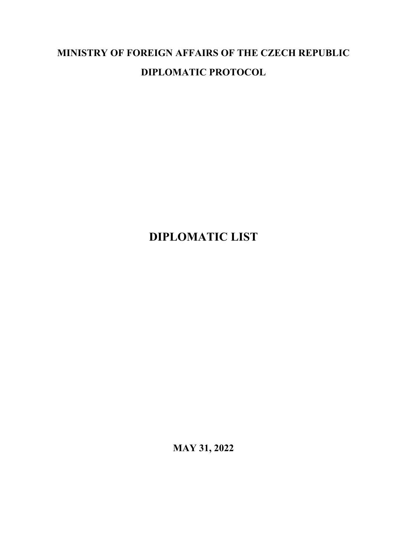# **MINISTRY OF FOREIGN AFFAIRS OF THE CZECH REPUBLIC DIPLOMATIC PROTOCOL**

# **DIPLOMATIC LIST**

**MAY 31, 2022**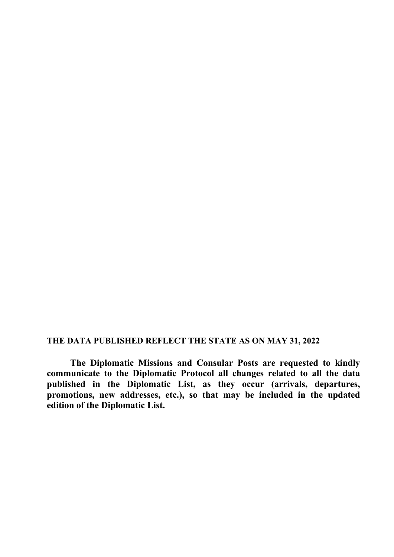#### **THE DATA PUBLISHED REFLECT THE STATE AS ON MAY 31, 2022**

**The Diplomatic Missions and Consular Posts are requested to kindly communicate to the Diplomatic Protocol all changes related to all the data published in the Diplomatic List, as they occur (arrivals, departures, promotions, new addresses, etc.), so that may be included in the updated edition of the Diplomatic List.**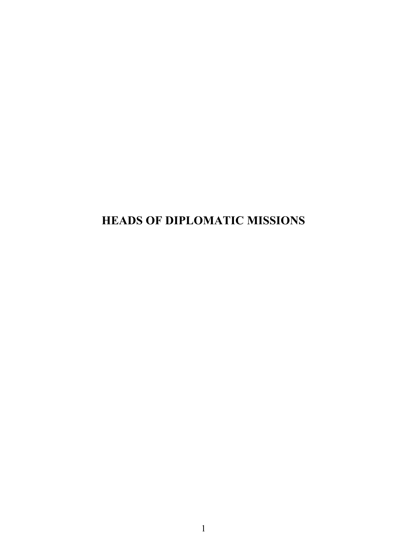# **HEADS OF DIPLOMATIC MISSIONS**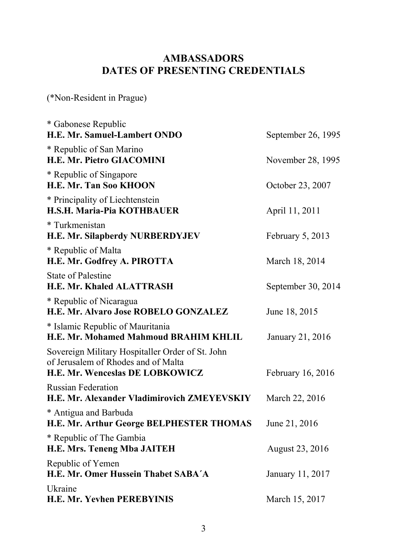### **AMBASSADORS - DATES OF PRESENTING CREDENTIALS AMBASSADORS DATES OF PRESENTING CREDENTIALS**

(\*Non-Resident in Prague)

| * Gabonese Republic<br>H.E. Mr. Samuel-Lambert ONDO                                                                        | September 26, 1995                    |  |
|----------------------------------------------------------------------------------------------------------------------------|---------------------------------------|--|
| * Republic of San Marino<br><b>H.E. Mr. Pietro GIACOMINI</b>                                                               | November 28, 1995<br>October 23, 2007 |  |
| * Republic of Singapore<br><b>H.E. Mr. Tan Soo KHOON</b>                                                                   |                                       |  |
| * Principality of Liechtenstein<br><b>H.S.H. Maria-Pia KOTHBAUER</b>                                                       | April 11, 2011                        |  |
| * Turkmenistan<br>H.E. Mr. Silapberdy NURBERDYJEV                                                                          | February 5, 2013                      |  |
| * Republic of Malta<br>H.E. Mr. Godfrey A. PIROTTA                                                                         | March 18, 2014                        |  |
| <b>State of Palestine</b><br><b>H.E. Mr. Khaled ALATTRASH</b>                                                              | September 30, 2014                    |  |
| * Republic of Nicaragua<br>H.E. Mr. Alvaro Jose ROBELO GONZALEZ                                                            | June 18, 2015                         |  |
| * Islamic Republic of Mauritania<br>H.E. Mr. Mohamed Mahmoud BRAHIM KHLIL                                                  | January 21, 2016                      |  |
| Sovereign Military Hospitaller Order of St. John<br>of Jerusalem of Rhodes and of Malta<br>H.E. Mr. Wenceslas DE LOBKOWICZ | February 16, 2016                     |  |
| <b>Russian Federation</b><br>H.E. Mr. Alexander Vladimirovich ZMEYEVSKIY                                                   | March 22, 2016                        |  |
| * Antigua and Barbuda<br>H.E. Mr. Arthur George BELPHESTER THOMAS                                                          | June 21, 2016                         |  |
| * Republic of The Gambia<br><b>H.E. Mrs. Teneng Mba JAITEH</b>                                                             | <b>August 23, 2016</b>                |  |
| Republic of Yemen<br>H.E. Mr. Omer Hussein Thabet SABA'A                                                                   | January 11, 2017                      |  |
| Ukraine<br><b>H.E. Mr. Yevhen PEREBYINIS</b>                                                                               | March 15, 2017                        |  |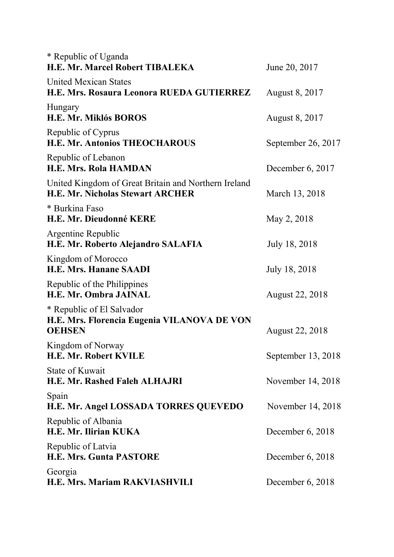| * Republic of Uganda<br><b>H.E. Mr. Marcel Robert TIBALEKA</b>                                  | June 20, 2017          |  |  |
|-------------------------------------------------------------------------------------------------|------------------------|--|--|
| <b>United Mexican States</b><br>H.E. Mrs. Rosaura Leonora RUEDA GUTIERREZ                       | August 8, 2017         |  |  |
| Hungary<br><b>H.E. Mr. Miklós BOROS</b>                                                         | <b>August 8, 2017</b>  |  |  |
| Republic of Cyprus<br><b>H.E. Mr. Antonios THEOCHAROUS</b>                                      | September 26, 2017     |  |  |
| Republic of Lebanon<br><b>H.E. Mrs. Rola HAMDAN</b>                                             | December $6, 2017$     |  |  |
| United Kingdom of Great Britain and Northern Ireland<br><b>H.E. Mr. Nicholas Stewart ARCHER</b> | March 13, 2018         |  |  |
| * Burkina Faso<br>H.E. Mr. Dieudonné KERE                                                       | May 2, 2018            |  |  |
| Argentine Republic<br>H.E. Mr. Roberto Alejandro SALAFIA                                        | July 18, 2018          |  |  |
| Kingdom of Morocco<br><b>H.E. Mrs. Hanane SAADI</b>                                             | July 18, 2018          |  |  |
| Republic of the Philippines<br><b>H.E. Mr. Ombra JAINAL</b>                                     | <b>August 22, 2018</b> |  |  |
| * Republic of El Salvador<br>H.E. Mrs. Florencia Eugenia VILANOVA DE VON<br><b>OEHSEN</b>       | <b>August 22, 2018</b> |  |  |
| Kingdom of Norway<br>H.E. Mr. Robert KVILE                                                      | September 13, 2018     |  |  |
| <b>State of Kuwait</b><br><b>H.E. Mr. Rashed Faleh ALHAJRI</b>                                  | November 14, 2018      |  |  |
| Spain<br>H.E. Mr. Angel LOSSADA TORRES QUEVEDO                                                  | November 14, 2018      |  |  |
| Republic of Albania<br>H.E. Mr. Ilirian KUKA                                                    | December $6, 2018$     |  |  |
| Republic of Latvia<br><b>H.E. Mrs. Gunta PASTORE</b>                                            | December $6, 2018$     |  |  |
| Georgia<br>H.E. Mrs. Mariam RAKVIASHVILI                                                        | December $6, 2018$     |  |  |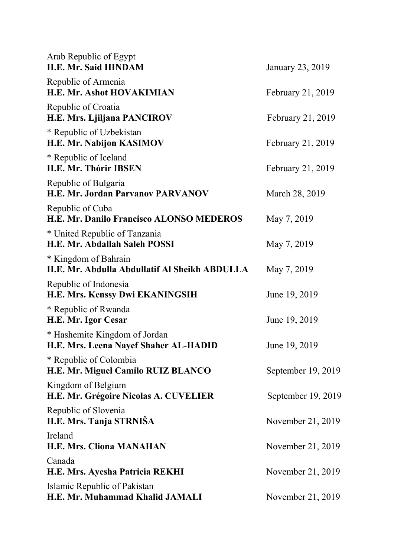| Arab Republic of Egypt<br><b>H.E. Mr. Said HINDAM</b>                         | January 23, 2019   |
|-------------------------------------------------------------------------------|--------------------|
| Republic of Armenia<br>H.E. Mr. Ashot HOVAKIMIAN                              | February 21, 2019  |
| Republic of Croatia<br>H.E. Mrs. Ljiljana PANCIROV                            | February 21, 2019  |
| * Republic of Uzbekistan<br>H.E. Mr. Nabijon KASIMOV                          | February 21, 2019  |
| * Republic of Iceland<br>H.E. Mr. Thórir IBSEN                                | February 21, 2019  |
| Republic of Bulgaria<br><b>H.E. Mr. Jordan Parvanov PARVANOV</b>              | March 28, 2019     |
| Republic of Cuba<br>H.E. Mr. Danilo Francisco ALONSO MEDEROS                  | May 7, 2019        |
| * United Republic of Tanzania<br>H.E. Mr. Abdallah Saleh POSSI                | May 7, 2019        |
| * Kingdom of Bahrain<br>H.E. Mr. Abdulla Abdullatif Al Sheikh ABDULLA         | May 7, 2019        |
| Republic of Indonesia<br>H.E. Mrs. Kenssy Dwi EKANINGSIH                      | June 19, 2019      |
| * Republic of Rwanda<br>H.E. Mr. Igor Cesar                                   | June 19, 2019      |
| * Hashemite Kingdom of Jordan<br><b>H.E. Mrs. Leena Nayef Shaher AL-HADID</b> | June 19, 2019      |
| * Republic of Colombia<br>H.E. Mr. Miguel Camilo RUIZ BLANCO                  | September 19, 2019 |
| Kingdom of Belgium<br>H.E. Mr. Grégoire Nicolas A. CUVELIER                   | September 19, 2019 |
| Republic of Slovenia<br>H.E. Mrs. Tanja STRNIŠA                               | November 21, 2019  |
| Ireland<br><b>H.E. Mrs. Cliona MANAHAN</b>                                    | November 21, 2019  |
| Canada<br>H.E. Mrs. Ayesha Patricia REKHI                                     | November 21, 2019  |
| Islamic Republic of Pakistan<br>H.E. Mr. Muhammad Khalid JAMALI               | November 21, 2019  |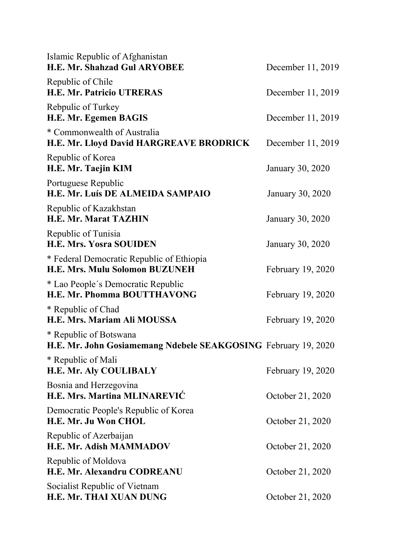| Islamic Republic of Afghanistan<br><b>H.E. Mr. Shahzad Gul ARYOBEE</b>                   | December 11, 2019 |
|------------------------------------------------------------------------------------------|-------------------|
| Republic of Chile<br><b>H.E. Mr. Patricio UTRERAS</b>                                    | December 11, 2019 |
| Rebpulic of Turkey<br><b>H.E. Mr. Egemen BAGIS</b>                                       | December 11, 2019 |
| * Commonwealth of Australia<br>H.E. Mr. Lloyd David HARGREAVE BRODRICK                   | December 11, 2019 |
| Republic of Korea<br>H.E. Mr. Taejin KIM                                                 | January 30, 2020  |
| Portuguese Republic<br>H.E. Mr. Luís DE ALMEIDA SAMPAIO                                  | January 30, 2020  |
| Republic of Kazakhstan<br><b>H.E. Mr. Marat TAZHIN</b>                                   | January 30, 2020  |
| Republic of Tunisia<br><b>H.E. Mrs. Yosra SOUIDEN</b>                                    | January 30, 2020  |
| * Federal Democratic Republic of Ethiopia<br><b>H.E. Mrs. Mulu Solomon BUZUNEH</b>       | February 19, 2020 |
| * Lao People's Democratic Republic<br><b>H.E. Mr. Phomma BOUTTHAVONG</b>                 | February 19, 2020 |
| * Republic of Chad<br>H.E. Mrs. Mariam Ali MOUSSA                                        | February 19, 2020 |
| * Republic of Botswana<br>H.E. Mr. John Gosiamemang Ndebele SEAKGOSING February 19, 2020 |                   |
| * Republic of Mali<br><b>H.E. Mr. Aly COULIBALY</b>                                      | February 19, 2020 |
| Bosnia and Herzegovina<br>H.E. Mrs. Martina MLINAREVIC                                   | October 21, 2020  |
| Democratic People's Republic of Korea<br>H.E. Mr. Ju Won CHOL                            | October 21, 2020  |
| Republic of Azerbaijan<br>H.E. Mr. Adish MAMMADOV                                        | October 21, 2020  |
| Republic of Moldova<br><b>H.E. Mr. Alexandru CODREANU</b>                                | October 21, 2020  |
| Socialist Republic of Vietnam<br>H.E. Mr. THAI XUAN DUNG                                 | October 21, 2020  |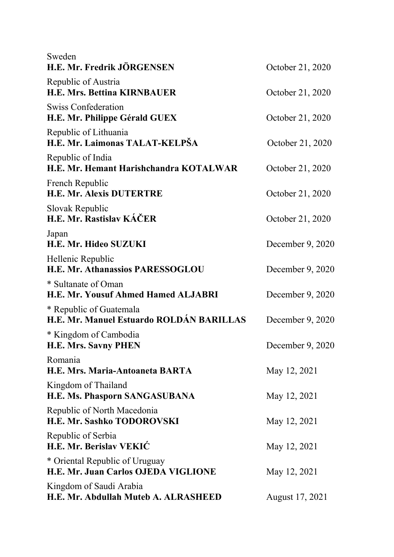| Sweden                                                                |                  |  |
|-----------------------------------------------------------------------|------------------|--|
| H.E. Mr. Fredrik JÖRGENSEN                                            | October 21, 2020 |  |
| Republic of Austria<br><b>H.E. Mrs. Bettina KIRNBAUER</b>             | October 21, 2020 |  |
| <b>Swiss Confederation</b><br>H.E. Mr. Philippe Gérald GUEX           | October 21, 2020 |  |
| Republic of Lithuania<br>H.E. Mr. Laimonas TALAT-KELPŠA               | October 21, 2020 |  |
| Republic of India<br>H.E. Mr. Hemant Harishchandra KOTALWAR           | October 21, 2020 |  |
| French Republic<br><b>H.E. Mr. Alexis DUTERTRE</b>                    | October 21, 2020 |  |
| Slovak Republic<br>H.E. Mr. Rastislav KÁČER                           | October 21, 2020 |  |
| Japan<br>H.E. Mr. Hideo SUZUKI                                        | December 9, 2020 |  |
| Hellenic Republic<br>H.E. Mr. Athanassios PARESSOGLOU                 | December 9, 2020 |  |
| * Sultanate of Oman<br>H.E. Mr. Yousuf Ahmed Hamed ALJABRI            | December 9, 2020 |  |
| * Republic of Guatemala<br>H.E. Mr. Manuel Estuardo ROLDÁN BARILLAS   | December 9, 2020 |  |
| * Kingdom of Cambodia<br><b>H.E. Mrs. Savny PHEN</b>                  | December 9, 2020 |  |
| Romania<br>H.E. Mrs. Maria-Antoaneta BARTA                            | May 12, 2021     |  |
| Kingdom of Thailand<br>H.E. Ms. Phasporn SANGASUBANA                  | May 12, 2021     |  |
| Republic of North Macedonia<br>H.E. Mr. Sashko TODOROVSKI             | May 12, 2021     |  |
| Republic of Serbia<br>H.E. Mr. Berislav VEKIĆ                         | May 12, 2021     |  |
| * Oriental Republic of Uruguay<br>H.E. Mr. Juan Carlos OJEDA VIGLIONE | May 12, 2021     |  |
| Kingdom of Saudi Arabia<br>H.E. Mr. Abdullah Muteb A. ALRASHEED       | August 17, 2021  |  |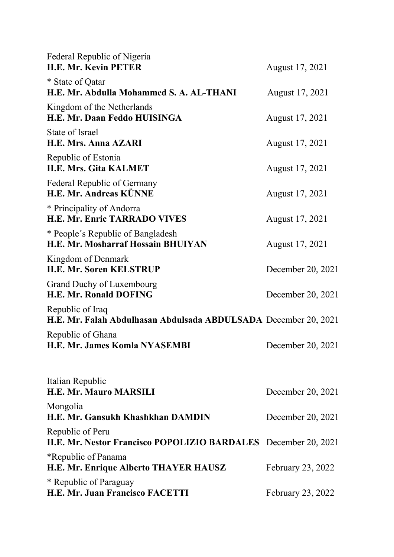| Federal Republic of Nigeria<br><b>H.E. Mr. Kevin PETER</b>                          | August 17, 2021   |
|-------------------------------------------------------------------------------------|-------------------|
| * State of Qatar<br>H.E. Mr. Abdulla Mohammed S. A. AL-THANI                        | August 17, 2021   |
| Kingdom of the Netherlands<br>H.E. Mr. Daan Feddo HUISINGA                          | August 17, 2021   |
| State of Israel<br><b>H.E. Mrs. Anna AZARI</b>                                      | August 17, 2021   |
| Republic of Estonia<br><b>H.E. Mrs. Gita KALMET</b>                                 | August 17, 2021   |
| Federal Republic of Germany<br>H.E. Mr. Andreas KÜNNE                               | August 17, 2021   |
| * Principality of Andorra<br><b>H.E. Mr. Enric TARRADO VIVES</b>                    | August 17, 2021   |
| * People's Republic of Bangladesh<br><b>H.E. Mr. Mosharraf Hossain BHUIYAN</b>      | August 17, 2021   |
| Kingdom of Denmark<br><b>H.E. Mr. Soren KELSTRUP</b>                                | December 20, 2021 |
| Grand Duchy of Luxembourg<br><b>H.E. Mr. Ronald DOFING</b>                          | December 20, 2021 |
| Republic of Iraq<br>H.E. Mr. Falah Abdulhasan Abdulsada ABDULSADA December 20, 2021 |                   |
| Republic of Ghana<br>H.E. Mr. James Komla NYASEMBI                                  | December 20, 2021 |
| Italian Republic<br><b>H.E. Mr. Mauro MARSILI</b>                                   | December 20, 2021 |
| Mongolia<br>H.E. Mr. Gansukh Khashkhan DAMDIN                                       | December 20, 2021 |
| Republic of Peru<br>H.E. Mr. Nestor Francisco POPOLIZIO BARDALES December 20, 2021  |                   |
| *Republic of Panama<br>H.E. Mr. Enrique Alberto THAYER HAUSZ                        | February 23, 2022 |
| * Republic of Paraguay<br>H.E. Mr. Juan Francisco FACETTI                           | February 23, 2022 |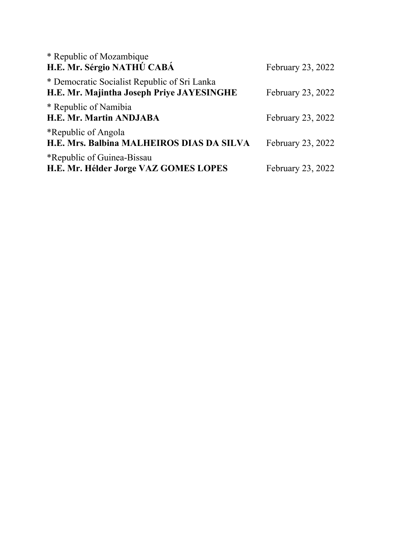| * Republic of Mozambique<br>H.E. Mr. Sérgio NATHÚ CABÁ                                    | February 23, 2022 |
|-------------------------------------------------------------------------------------------|-------------------|
| * Democratic Socialist Republic of Sri Lanka<br>H.E. Mr. Majintha Joseph Priye JAYESINGHE | February 23, 2022 |
| * Republic of Namibia<br><b>H.E. Mr. Martin ANDJABA</b>                                   | February 23, 2022 |
| *Republic of Angola<br>H.E. Mrs. Balbina MALHEIROS DIAS DA SILVA                          | February 23, 2022 |
| *Republic of Guinea-Bissau<br>H.E. Mr. Hélder Jorge VAZ GOMES LOPES                       | February 23, 2022 |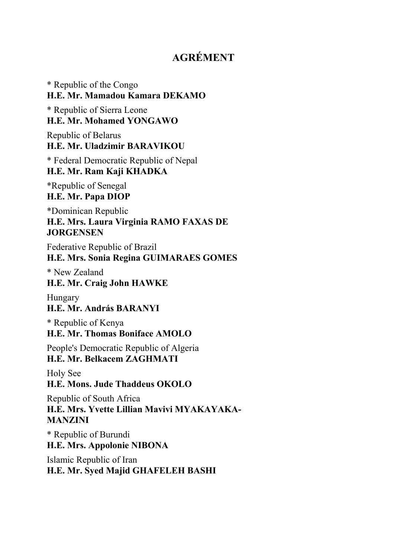### **AGRÉMENT**

\* Republic of the Congo **H.E. Mr. Mamadou Kamara DEKAMO** \* Republic of Sierra Leone **H.E. Mr. Mohamed YONGAWO** Republic of Belarus **H.E. Mr. Uladzimir BARAVIKOU**  \* Federal Democratic Republic of Nepal **H.E. Mr. Ram Kaji KHADKA** \*Republic of Senegal **H.E. Mr. Papa DIOP**  \*Dominican Republic **H.E. Mrs. Laura Virginia RAMO FAXAS DE JORGENSEN** Federative Republic of Brazil **H.E. Mrs. Sonia Regina GUIMARAES GOMES** \* New Zealand **H.E. Mr. Craig John HAWKE** Hungary **H.E. Mr. András BARANYI** \* Republic of Kenya **H.E. Mr. Thomas Boniface AMOLO** People's Democratic Republic of Algeria **H.E. Mr. Belkacem ZAGHMATI** Holy See **H.E. Mons. Jude Thaddeus OKOLO** Republic of South Africa **H.E. Mrs. Yvette Lillian Mavivi MYAKAYAKA-MANZINI** \* Republic of Burundi **H.E. Mrs. Appolonie NIBONA** Islamic Republic of Iran **H.E. Mr. Syed Majid GHAFELEH BASHI**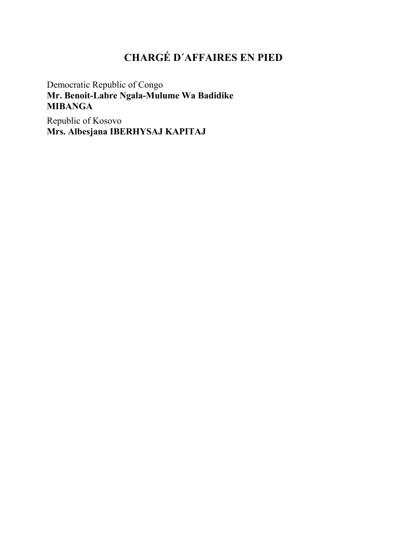## **CHARGÉ D´AFFAIRES EN PIED**

Democratic Republic of Congo **Mr. Benoit-Labre Ngala-Mulume Wa Badidike MIBANGA**

Republic of Kosovo **Mrs. Albesjana IBERHYSAJ KAPITAJ**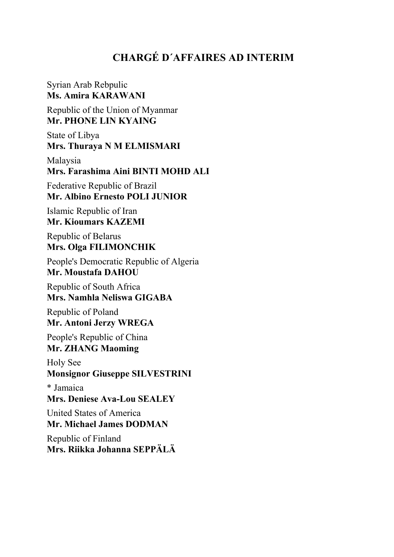### **CHARGÉ D´AFFAIRES AD INTERIM**

Syrian Arab Rebpulic **Ms. Amira KARAWANI**

Republic of the Union of Myanmar **Mr. PHONE LIN KYAING**

State of Libya **Mrs. Thuraya N M ELMISMARI**

Malaysia **Mrs. Farashima Aini BINTI MOHD ALI**

Federative Republic of Brazil **Mr. Albino Ernesto POLI JUNIOR**

Islamic Republic of Iran **Mr. Kioumars KAZEMI**

Republic of Belarus **Mrs. Olga FILIMONCHIK**

People's Democratic Republic of Algeria **Mr. Moustafa DAHOU**

Republic of South Africa **Mrs. Namhla Neliswa GIGABA**

Republic of Poland **Mr. Antoni Jerzy WREGA**

People's Republic of China **Mr. ZHANG Maoming**

Holy See **Monsignor Giuseppe SILVESTRINI**

\* Jamaica **Mrs. Deniese Ava-Lou SEALEY**

United States of America **Mr. Michael James DODMAN**

Republic of Finland **Mrs. Riikka Johanna SEPPÄLÄ**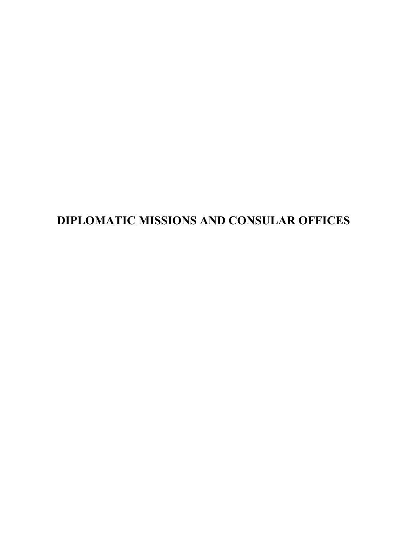# **DIPLOMATIC MISSIONS AND CONSULAR OFFICES**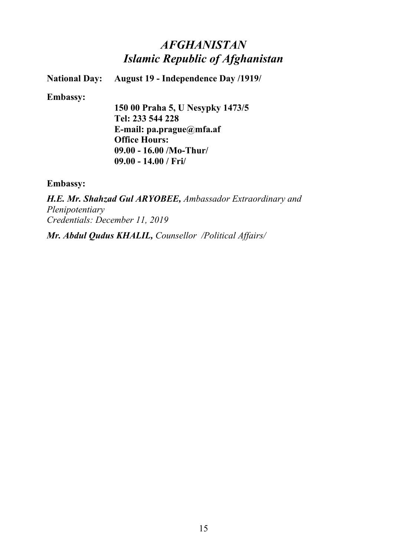## *AFGHANISTAN Islamic Republic of Afghanistan*

**National Day: August 19 - Independence Day /1919/**

**Embassy:**

**150 00 Praha 5, U Nesypky 1473/5 Tel: 233 544 228 E-mail: pa.prague@mfa.af Office Hours: 09.00 - 16.00 /Mo-Thur/ 09.00 - 14.00 / Fri/**

**Embassy:**

*H.E. Mr. Shahzad Gul ARYOBEE, Ambassador Extraordinary and Plenipotentiary Credentials: December 11, 2019*

*Mr. Abdul Qudus KHALIL, Counsellor /Political Affairs/*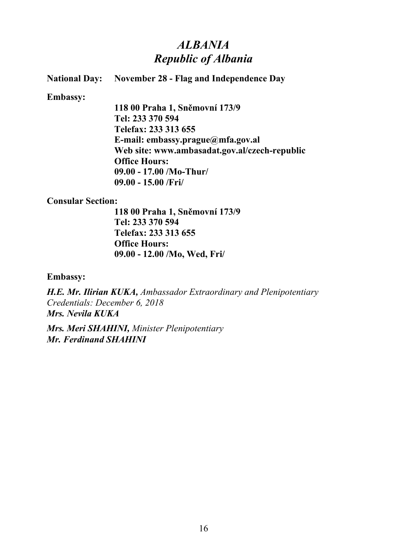## *ALBANIA Republic of Albania*

### **National Day: November 28 - Flag and Independence Day**

#### **Embassy:**

**118 00 Praha 1, Sněmovní 173/9 Tel: 233 370 594 Telefax: 233 313 655 E-mail: embassy.prague@mfa.gov.al Web site: www.ambasadat.gov.al/czech-republic Office Hours: 09.00 - 17.00 /Mo-Thur/ 09.00 - 15.00 /Fri/**

#### **Consular Section:**

**118 00 Praha 1, Sněmovní 173/9 Tel: 233 370 594 Telefax: 233 313 655 Office Hours: 09.00 - 12.00 /Mo, Wed, Fri/**

#### **Embassy:**

*H.E. Mr. Ilirian KUKA, Ambassador Extraordinary and Plenipotentiary Credentials: December 6, 2018 Mrs. Nevila KUKA*

*Mrs. Meri SHAHINI, Minister Plenipotentiary Mr. Ferdinand SHAHINI*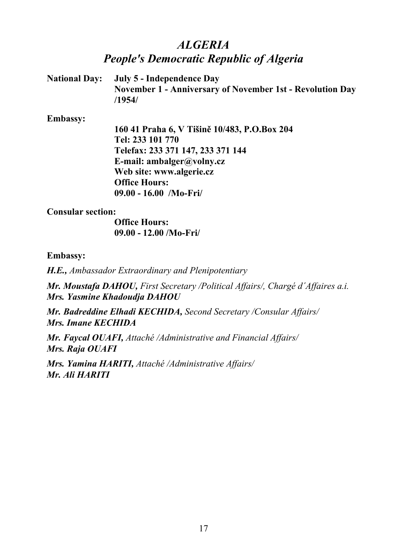## *ALGERIA People's Democratic Republic of Algeria*

**National Day: July 5 - Independence Day November 1 - Anniversary of November 1st - Revolution Day /1954/**

**Embassy:**

**160 41 Praha 6, V Tišině 10/483, P.O.Box 204 Tel: 233 101 770 Telefax: 233 371 147, 233 371 144 E-mail: ambalger@volny.cz Web site: www.algerie.cz Office Hours: 09.00 - 16.00 /Mo-Fri/**

### **Consular section:**

**Office Hours: 09.00 - 12.00 /Mo-Fri/**

### **Embassy:**

*H.E., Ambassador Extraordinary and Plenipotentiary*

*Mr. Moustafa DAHOU, First Secretary /Political Affairs/, Chargé d´Affaires a.i. Mrs. Yasmine Khadoudja DAHOU*

*Mr. Badreddine Elhadi KECHIDA, Second Secretary /Consular Affairs/ Mrs. Imane KECHIDA*

*Mr. Faycal OUAFI, Attaché /Administrative and Financial Affairs/ Mrs. Raja OUAFI*

*Mrs. Yamina HARITI, Attaché /Administrative Affairs/ Mr. Ali HARITI*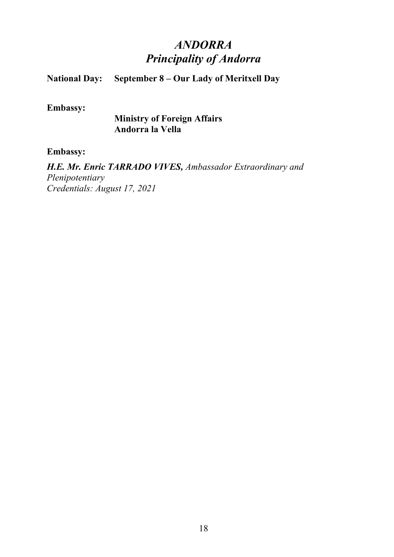# *ANDORRA Principality of Andorra*

### **National Day:** September 8 – Our Lady of Meritxell Day

### **Embassy:**

**Ministry of Foreign Affairs Andorra la Vella**

#### **Embassy:**

*H.E. Mr. Enric TARRADO VIVES, Ambassador Extraordinary and Plenipotentiary Credentials: August 17, 2021*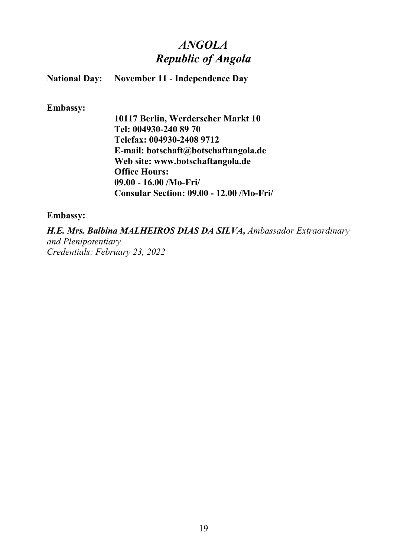## *ANGOLA Republic of Angola*

| <b>National Day:</b> | <b>November 11 - Independence Day</b> |  |  |
|----------------------|---------------------------------------|--|--|
|                      |                                       |  |  |

**Embassy:**

**10117 Berlin, Werderscher Markt 10 Tel: 004930-240 89 70 Telefax: 004930-2408 9712 E-mail: botschaft@botschaftangola.de Web site: www.botschaftangola.de Office Hours: 09.00 - 16.00 /Mo-Fri/ Consular Section: 09.00 - 12.00 /Mo-Fri/**

### **Embassy:**

*H.E. Mrs. Balbina MALHEIROS DIAS DA SILVA, Ambassador Extraordinary and Plenipotentiary Credentials: February 23, 2022*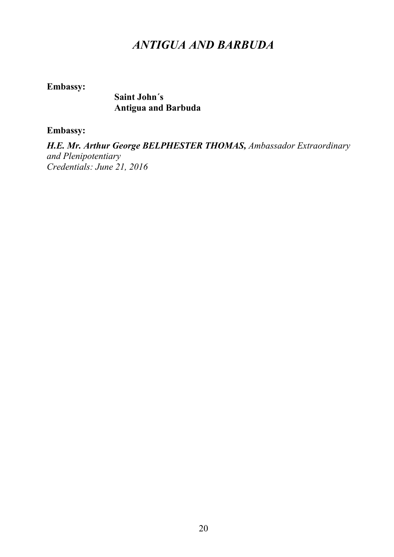## *ANTIGUA AND BARBUDA*

**Embassy:**

**Saint John´s Antigua and Barbuda**

**Embassy:**

*H.E. Mr. Arthur George BELPHESTER THOMAS, Ambassador Extraordinary and Plenipotentiary Credentials: June 21, 2016*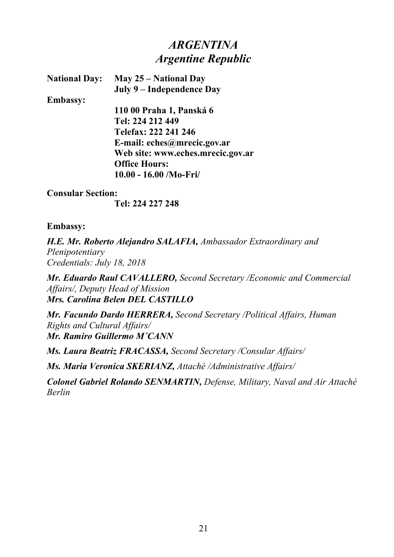## *ARGENTINA Argentine Republic*

**National Day: May 25 – National Day July 9 – Independence Day**

**Embassy:**

**110 00 Praha 1, Panská 6 Tel: 224 212 449 Telefax: 222 241 246 E-mail: eches@mrecic.gov.ar Web site: www.eches.mrecic.gov.ar Office Hours: 10.00 - 16.00 /Mo-Fri/**

### **Consular Section:**

**Tel: 224 227 248**

### **Embassy:**

*H.E. Mr. Roberto Alejandro SALAFIA, Ambassador Extraordinary and Plenipotentiary Credentials: July 18, 2018*

*Mr. Eduardo Raul CAVALLERO, Second Secretary /Economic and Commercial Affairs/, Deputy Head of Mission Mrs. Carolina Belen DEL CASTILLO*

*Mr. Facundo Dardo HERRERA, Second Secretary /Political Affairs, Human Rights and Cultural Affairs/ Mr. Ramiro Guillermo M´CANN*

*Ms. Laura Beatriz FRACASSA, Second Secretary /Consular Affairs/*

*Ms. Maria Veronica SKERIANZ, Attaché /Administrative Affairs/*

*Colonel Gabriel Rolando SENMARTIN, Defense, Military, Naval and Air Attaché Berlin*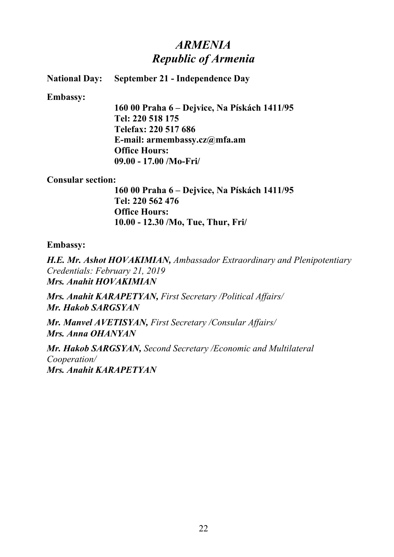## *ARMENIA Republic of Armenia*

### **National Day: September 21 - Independence Day**

#### **Embassy:**

**160 00 Praha 6 – Dejvice, Na Pískách 1411/95 Tel: 220 518 175 Telefax: 220 517 686 E-mail: armembassy.cz@mfa.am Office Hours: 09.00 - 17.00 /Mo-Fri/**

#### **Consular section:**

**160 00 Praha 6 – Dejvice, Na Pískách 1411/95 Tel: 220 562 476 Office Hours: 10.00 - 12.30 /Mo, Tue, Thur, Fri/**

#### **Embassy:**

*H.E. Mr. Ashot HOVAKIMIAN, Ambassador Extraordinary and Plenipotentiary Credentials: February 21, 2019 Mrs. Anahit HOVAKIMIAN*

*Mrs. Anahit KARAPETYAN, First Secretary /Political Affairs/ Mr. Hakob SARGSYAN*

*Mr. Manvel AVETISYAN, First Secretary /Consular Affairs/ Mrs. Anna OHANYAN*

*Mr. Hakob SARGSYAN, Second Secretary /Economic and Multilateral Cooperation/ Mrs. Anahit KARAPETYAN*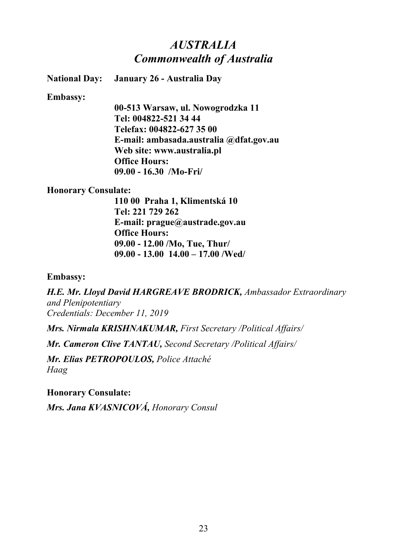### *AUSTRALIA Commonwealth of Australia*

**National Day: January 26 - Australia Day**

**Embassy:**

**00-513 Warsaw, ul. Nowogrodzka 11 Tel: 004822-521 34 44 Telefax: 004822-627 35 00 E-mail: ambasada.australia @dfat.gov.au Web site: www.australia.pl Office Hours: 09.00 - 16.30 /Mo-Fri/**

#### **Honorary Consulate:**

**110 00 Praha 1, Klimentská 10 Tel: 221 729 262 E-mail: prague@austrade.gov.au Office Hours: 09.00 - 12.00 /Mo, Tue, Thur/ 09.00 - 13.00 14.00 – 17.00 /Wed/**

**Embassy:**

*H.E. Mr. Lloyd David HARGREAVE BRODRICK, Ambassador Extraordinary and Plenipotentiary Credentials: December 11, 2019*

*Mrs. Nirmala KRISHNAKUMAR, First Secretary /Political Affairs/*

*Mr. Cameron Clive TANTAU, Second Secretary /Political Affairs/*

*Mr. Elias PETROPOULOS, Police Attaché Haag*

**Honorary Consulate:**

*Mrs. Jana KVASNICOVÁ, Honorary Consul*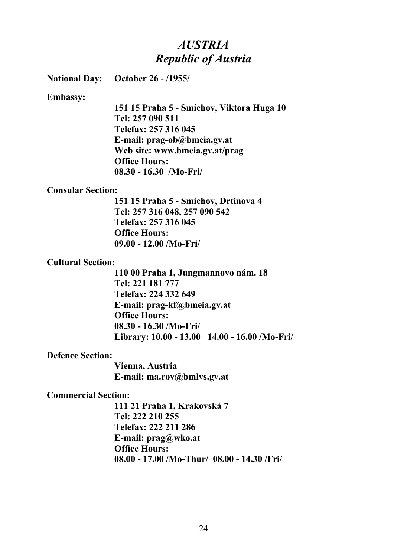### *AUSTRIA Republic of Austria*

**National Day: October 26 - /1955/**

#### **Embassy:**

**151 15 Praha 5 - Smíchov, Viktora Huga 10 Tel: 257 090 511 Telefax: 257 316 045 E-mail: prag-ob@bmeia.gv.at Web site: www.bmeia.gv.at/prag Office Hours: 08.30 - 16.30 /Mo-Fri/**

#### **Consular Section:**

**151 15 Praha 5 - Smíchov, Drtinova 4 Tel: 257 316 048, 257 090 542 Telefax: 257 316 045 Office Hours: 09.00 - 12.00 /Mo-Fri/**

#### **Cultural Section:**

**110 00 Praha 1, Jungmannovo nám. 18 Tel: 221 181 777 Telefax: 224 332 649 E-mail: prag-kf@bmeia.gv.at Office Hours: 08.30 - 16.30 /Mo-Fri/ Library: 10.00 - 13.00 14.00 - 16.00 /Mo-Fri/**

#### **Defence Section:**

**Vienna, Austria E-mail: ma.rov@bmlvs.gv.at**

#### **Commercial Section:**

**111 21 Praha 1, Krakovská 7 Tel: 222 210 255 Telefax: 222 211 286 E-mail: prag@wko.at Office Hours: 08.00 - 17.00 /Mo-Thur/ 08.00 - 14.30 /Fri/**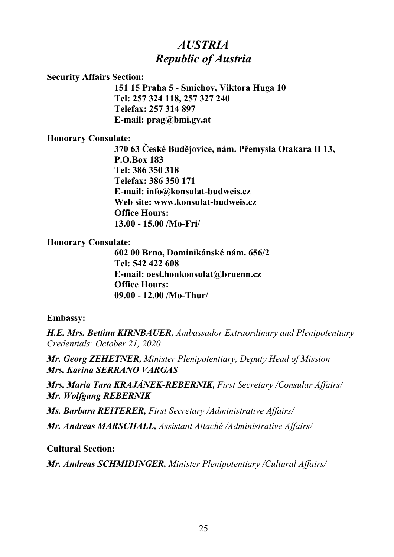## *AUSTRIA Republic of Austria*

#### **Security Affairs Section:**

**151 15 Praha 5 - Smíchov, Viktora Huga 10 Tel: 257 324 118, 257 327 240 Telefax: 257 314 897 E-mail: prag@bmi.gv.at**

### **Honorary Consulate:**

**370 63 České Budějovice, nám. Přemysla Otakara II 13, P.O.Box 183 Tel: 386 350 318 Telefax: 386 350 171 E-mail: info@konsulat-budweis.cz Web site: www.konsulat-budweis.cz Office Hours: 13.00 - 15.00 /Mo-Fri/**

### **Honorary Consulate:**

**602 00 Brno, Dominikánské nám. 656/2 Tel: 542 422 608 E-mail: oest.honkonsulat@bruenn.cz Office Hours: 09.00 - 12.00 /Mo-Thur/**

### **Embassy:**

*H.E. Mrs. Bettina KIRNBAUER, Ambassador Extraordinary and Plenipotentiary Credentials: October 21, 2020*

*Mr. Georg ZEHETNER, Minister Plenipotentiary, Deputy Head of Mission Mrs. Karina SERRANO VARGAS*

*Mrs. Maria Tara KRAJÁNEK-REBERNIK, First Secretary /Consular Affairs/ Mr. Wolfgang REBERNIK*

*Ms. Barbara REITERER, First Secretary /Administrative Affairs/*

*Mr. Andreas MARSCHALL, Assistant Attaché /Administrative Affairs/*

### **Cultural Section:**

*Mr. Andreas SCHMIDINGER, Minister Plenipotentiary /Cultural Affairs/*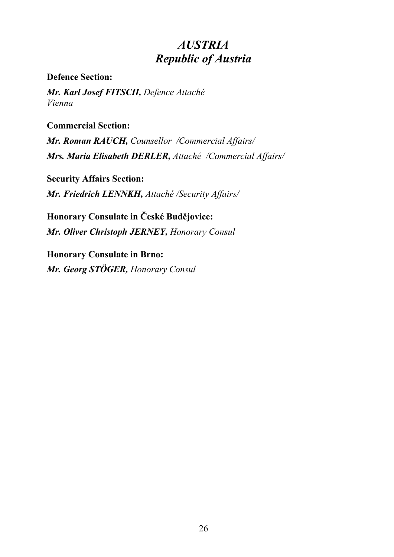## *AUSTRIA Republic of Austria*

**Defence Section:**

*Mr. Karl Josef FITSCH, Defence Attaché Vienna*

**Commercial Section:**

*Mr. Roman RAUCH, Counsellor /Commercial Affairs/ Mrs. Maria Elisabeth DERLER, Attaché /Commercial Affairs/*

**Security Affairs Section:** *Mr. Friedrich LENNKH, Attaché /Security Affairs/*

**Honorary Consulate in České Budějovice:** *Mr. Oliver Christoph JERNEY, Honorary Consul*

**Honorary Consulate in Brno:** *Mr. Georg STÖGER, Honorary Consul*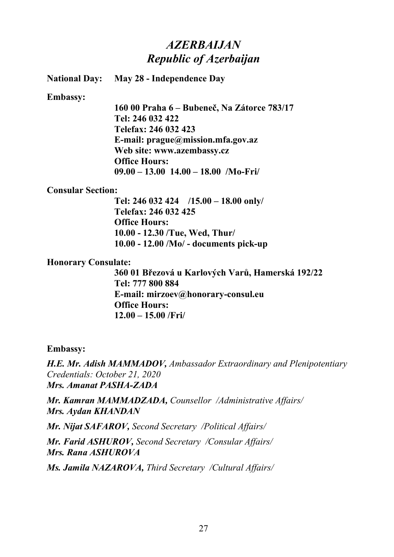## *AZERBAIJAN Republic of Azerbaijan*

**National Day: May 28 - Independence Day**

**Embassy:**

**160 00 Praha 6 – Bubeneč, Na Zátorce 783/17 Tel: 246 032 422 Telefax: 246 032 423 E-mail: prague@mission.mfa.gov.az Web site: www.azembassy.cz Office Hours: 09.00 – 13.00 14.00 – 18.00 /Mo-Fri/** 

#### **Consular Section:**

**Tel: 246 032 424 /15.00 – 18.00 only/ Telefax: 246 032 425 Office Hours: 10.00 - 12.30 /Tue, Wed, Thur/ 10.00 - 12.00 /Mo/ - documents pick-up**

#### **Honorary Consulate:**

**360 01 Březová u Karlových Varů, Hamerská 192/22 Tel: 777 800 884 E-mail: mirzoev@honorary-consul.eu Office Hours: 12.00 – 15.00 /Fri/**

#### **Embassy:**

*H.E. Mr. Adish MAMMADOV, Ambassador Extraordinary and Plenipotentiary Credentials: October 21, 2020 Mrs. Amanat PASHA-ZADA*

*Mr. Kamran MAMMADZADA, Counsellor /Administrative Affairs/ Mrs. Aydan KHANDAN*

*Mr. Nijat SAFAROV, Second Secretary /Political Affairs/*

*Mr. Farid ASHUROV, Second Secretary /Consular Affairs/ Mrs. Rana ASHUROVA*

*Ms. Jamila NAZAROVA, Third Secretary /Cultural Affairs/*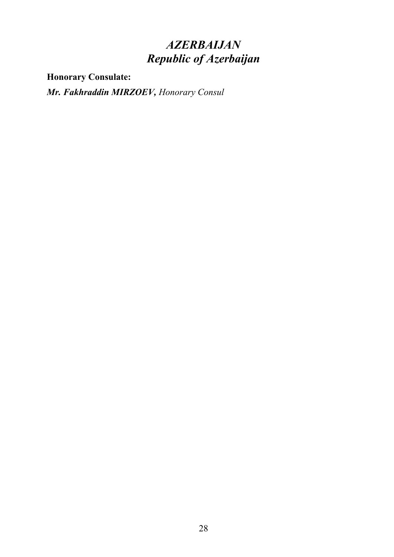# *AZERBAIJAN Republic of Azerbaijan*

**Honorary Consulate:**

*Mr. Fakhraddin MIRZOEV, Honorary Consul*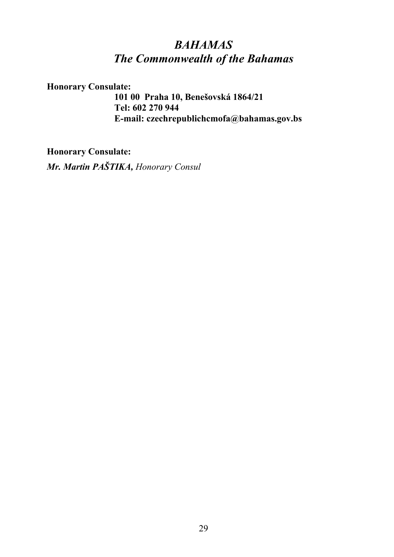## *BAHAMAS The Commonwealth of the Bahamas*

**Honorary Consulate:**

**101 00 Praha 10, Benešovská 1864/21 Tel: 602 270 944 E-mail: czechrepublichcmofa@bahamas.gov.bs**

**Honorary Consulate:**

*Mr. Martin PAŠTIKA, Honorary Consul*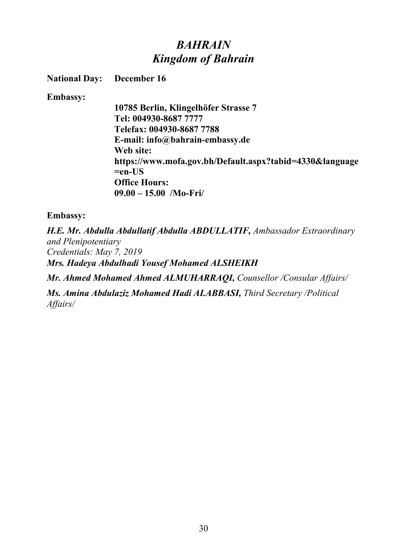## *BAHRAIN Kingdom of Bahrain*

**National Day: December 16**

**Embassy:**

**10785 Berlin, Klingelhöfer Strasse 7 Tel: 004930-8687 7777 Telefax: 004930-8687 7788 E-mail: info@bahrain-embassy.de Web site: https://www.mofa.gov.bh/Default.aspx?tabid=4330&language =en-US Office Hours: 09.00 – 15.00 /Mo-Fri/** 

### **Embassy:**

*H.E. Mr. Abdulla Abdullatif Abdulla ABDULLATIF, Ambassador Extraordinary and Plenipotentiary Credentials: May 7, 2019 Mrs. Hadeya Abdulhadi Yousef Mohamed ALSHEIKH*

*Mr. Ahmed Mohamed Ahmed ALMUHARRAQI, Counsellor /Consular Affairs/*

*Ms. Amina Abdulaziz Mohamed Hadi ALABBASI, Third Secretary /Political Affairs/*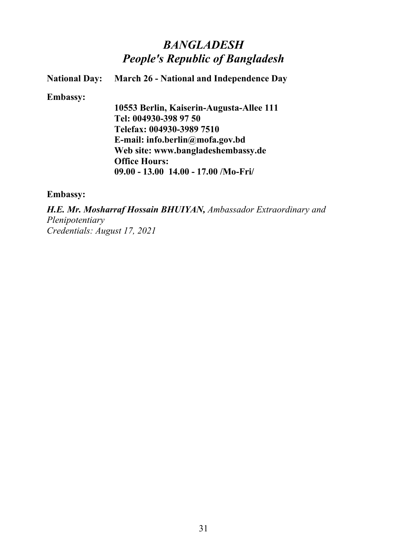## *BANGLADESH People's Republic of Bangladesh*

**National Day: March 26 - National and Independence Day**

**Embassy:**

**10553 Berlin, Kaiserin-Augusta-Allee 111 Tel: 004930-398 97 50 Telefax: 004930-3989 7510 E-mail: info.berlin@mofa.gov.bd Web site: www.bangladeshembassy.de Office Hours: 09.00 - 13.00 14.00 - 17.00 /Mo-Fri/**

#### **Embassy:**

*H.E. Mr. Mosharraf Hossain BHUIYAN, Ambassador Extraordinary and Plenipotentiary Credentials: August 17, 2021*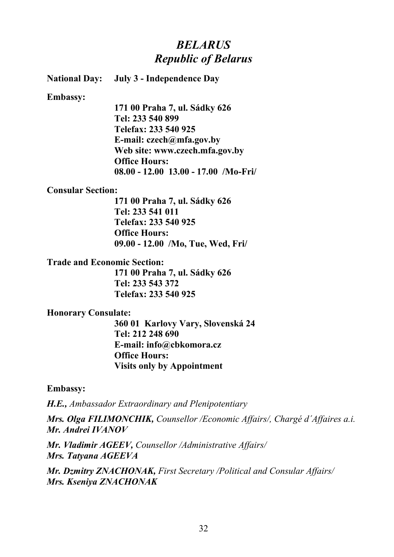## *BELARUS Republic of Belarus*

**National Day: July 3 - Independence Day**

**Embassy:**

**171 00 Praha 7, ul. Sádky 626 Tel: 233 540 899 Telefax: 233 540 925 E-mail: czech@mfa.gov.by Web site: www.czech.mfa.gov.by Office Hours: 08.00 - 12.00 13.00 - 17.00 /Mo-Fri/**

#### **Consular Section:**

**171 00 Praha 7, ul. Sádky 626 Tel: 233 541 011 Telefax: 233 540 925 Office Hours: 09.00 - 12.00 /Mo, Tue, Wed, Fri/**

#### **Trade and Economic Section:**

**171 00 Praha 7, ul. Sádky 626 Tel: 233 543 372 Telefax: 233 540 925**

### **Honorary Consulate:**

**360 01 Karlovy Vary, Slovenská 24 Tel: 212 248 690 E-mail: info@cbkomora.cz Office Hours: Visits only by Appointment**

**Embassy:**

*H.E., Ambassador Extraordinary and Plenipotentiary*

*Mrs. Olga FILIMONCHIK, Counsellor /Economic Affairs/, Chargé d´Affaires a.i. Mr. Andrei IVANOV*

*Mr. Vladimir AGEEV, Counsellor /Administrative Affairs/ Mrs. Tatyana AGEEVA*

*Mr. Dzmitry ZNACHONAK, First Secretary /Political and Consular Affairs/ Mrs. Kseniya ZNACHONAK*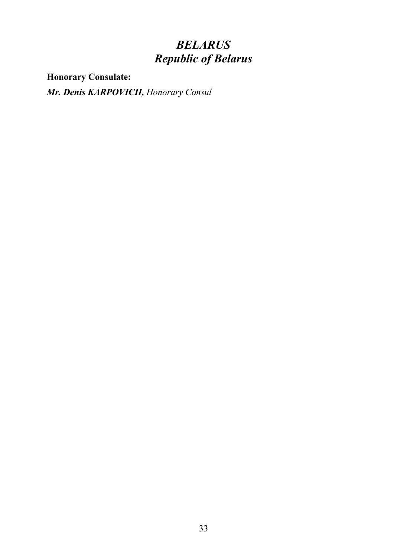# *BELARUS Republic of Belarus*

**Honorary Consulate:**

*Mr. Denis KARPOVICH, Honorary Consul*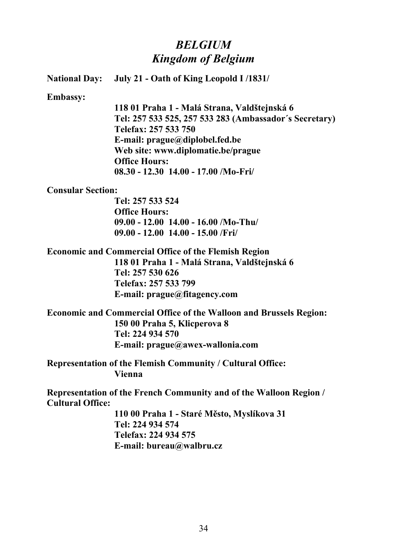## *BELGIUM Kingdom of Belgium*

**National Day: July 21 - Oath of King Leopold I /1831/**

**Embassy:**

**118 01 Praha 1 - Malá Strana, Valdštejnská 6 Tel: 257 533 525, 257 533 283 (Ambassador´s Secretary) Telefax: 257 533 750 E-mail: prague@diplobel.fed.be Web site: www.diplomatie.be/prague Office Hours: 08.30 - 12.30 14.00 - 17.00 /Mo-Fri/**

#### **Consular Section:**

**Tel: 257 533 524 Office Hours: 09.00 - 12.00 14.00 - 16.00 /Mo-Thu/ 09.00 - 12.00 14.00 - 15.00 /Fri/**

**Economic and Commercial Office of the Flemish Region** 

**118 01 Praha 1 - Malá Strana, Valdštejnská 6 Tel: 257 530 626 Telefax: 257 533 799 E-mail: prague@fitagency.com**

**Economic and Commercial Office of the Walloon and Brussels Region: 150 00 Praha 5, Klicperova 8 Tel: 224 934 570 E-mail: prague@awex-wallonia.com**

**Representation of the Flemish Community / Cultural Office: Vienna**

**Representation of the French Community and of the Walloon Region / Cultural Office:**

> **110 00 Praha 1 - Staré Město, Myslíkova 31 Tel: 224 934 574 Telefax: 224 934 575 E-mail: bureau@walbru.cz**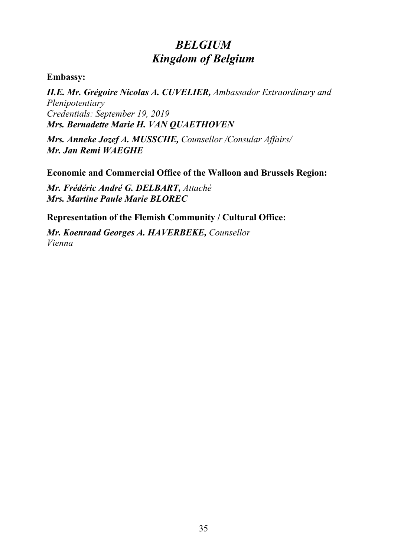# *BELGIUM Kingdom of Belgium*

**Embassy:**

*H.E. Mr. Grégoire Nicolas A. CUVELIER, Ambassador Extraordinary and Plenipotentiary Credentials: September 19, 2019 Mrs. Bernadette Marie H. VAN QUAETHOVEN*

*Mrs. Anneke Jozef A. MUSSCHE, Counsellor /Consular Affairs/ Mr. Jan Remi WAEGHE*

**Economic and Commercial Office of the Walloon and Brussels Region:**

*Mr. Frédéric André G. DELBART, Attaché Mrs. Martine Paule Marie BLOREC*

**Representation of the Flemish Community / Cultural Office:**

*Mr. Koenraad Georges A. HAVERBEKE, Counsellor Vienna*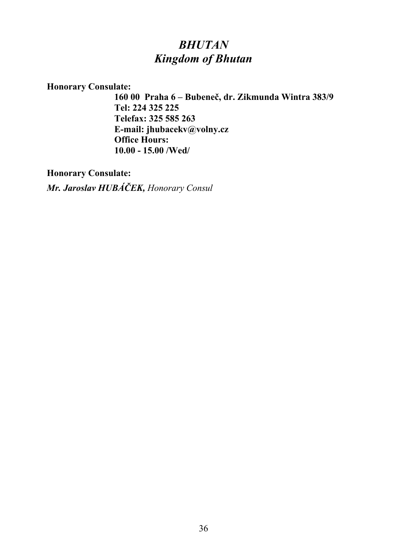## *BHUTAN Kingdom of Bhutan*

**Honorary Consulate:**

**160 00 Praha 6 – Bubeneč, dr. Zikmunda Wintra 383/9 Tel: 224 325 225 Telefax: 325 585 263 E-mail: jhubacekv@volny.cz Office Hours: 10.00 - 15.00 /Wed/**

**Honorary Consulate:**

*Mr. Jaroslav HUBÁČEK, Honorary Consul*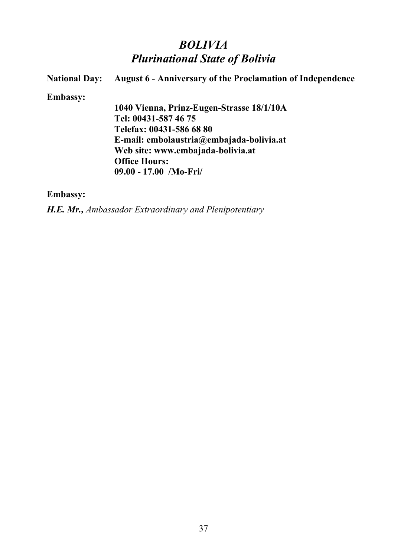## *BOLIVIA Plurinational State of Bolivia*

**National Day: August 6 - Anniversary of the Proclamation of Independence Embassy: 1040 Vienna, Prinz-Eugen-Strasse 18/1/10A Tel: 00431-587 46 75 Telefax: 00431-586 68 80 E-mail: embolaustria@embajada-bolivia.at Web site: www.embajada-bolivia.at Office Hours: 09.00 - 17.00 /Mo-Fri/**

**Embassy:**

*H.E. Mr., Ambassador Extraordinary and Plenipotentiary*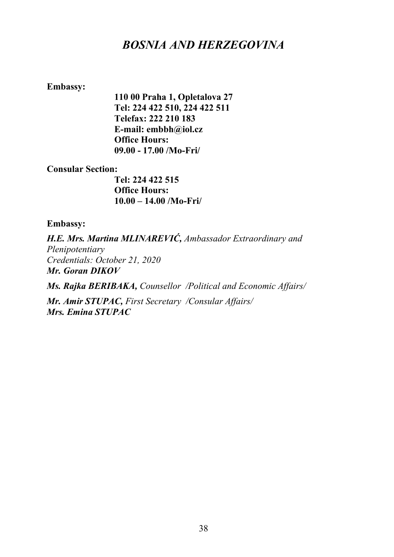## *BOSNIA AND HERZEGOVINA*

### **Embassy:**

**110 00 Praha 1, Opletalova 27 Tel: 224 422 510, 224 422 511 Telefax: 222 210 183 E-mail: embbh@iol.cz Office Hours: 09.00 - 17.00 /Mo-Fri/**

#### **Consular Section:**

**Tel: 224 422 515 Office Hours: 10.00 – 14.00 /Mo-Fri/** 

#### **Embassy:**

*H.E. Mrs. Martina MLINAREVIĆ, Ambassador Extraordinary and Plenipotentiary Credentials: October 21, 2020 Mr. Goran DIKOV*

*Ms. Rajka BERIBAKA, Counsellor /Political and Economic Affairs/*

*Mr. Amir STUPAC, First Secretary /Consular Affairs/ Mrs. Emina STUPAC*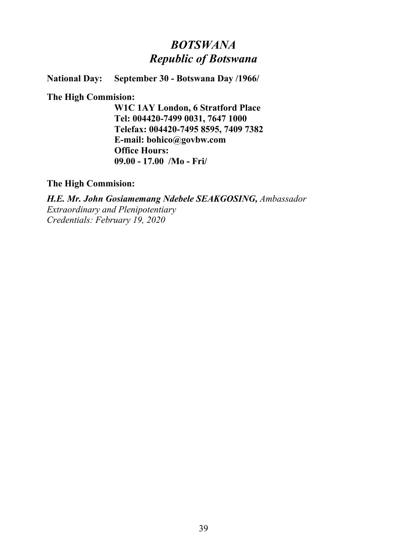## *BOTSWANA Republic of Botswana*

**National Day: September 30 - Botswana Day /1966/**

### **The High Commision:**

**W1C 1AY London, 6 Stratford Place Tel: 004420-7499 0031, 7647 1000 Telefax: 004420-7495 8595, 7409 7382 E-mail: bohico@govbw.com Office Hours: 09.00 - 17.00 /Mo - Fri/**

**The High Commision:**

*H.E. Mr. John Gosiamemang Ndebele SEAKGOSING, Ambassador Extraordinary and Plenipotentiary Credentials: February 19, 2020*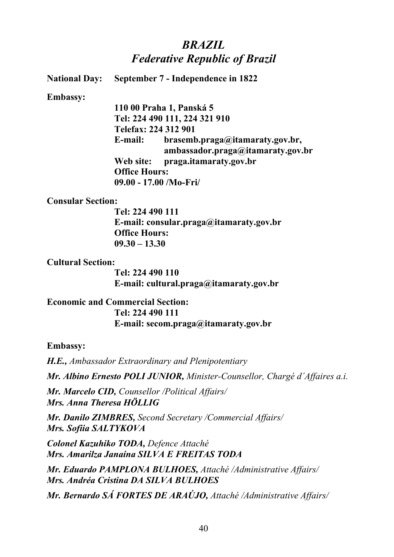## *BRAZIL Federative Republic of Brazil*

**National Day: September 7 - Independence in 1822**

**Embassy:**

**110 00 Praha 1, Panská 5 Tel: 224 490 111, 224 321 910 Telefax: 224 312 901 E-mail: brasemb.praga@itamaraty.gov.br, ambassador.praga@itamaraty.gov.br Web site: praga.itamaraty.gov.br Office Hours: 09.00 - 17.00 /Mo-Fri/**

**Consular Section:**

**Tel: 224 490 111 E-mail: consular.praga@itamaraty.gov.br Office Hours: 09.30 – 13.30** 

**Cultural Section:**

**Tel: 224 490 110 E-mail: cultural.praga@itamaraty.gov.br**

**Economic and Commercial Section: Tel: 224 490 111 E-mail: secom.praga@itamaraty.gov.br**

**Embassy:**

*H.E., Ambassador Extraordinary and Plenipotentiary*

*Mr. Albino Ernesto POLI JUNIOR, Minister-Counsellor, Chargé d´Affaires a.i.*

*Mr. Marcelo CID, Counsellor /Political Affairs/ Mrs. Anna Theresa HÖLLIG*

*Mr. Danilo ZIMBRES, Second Secretary /Commercial Affairs/ Mrs. Sofiia SALTYKOVA*

*Colonel Kazuhiko TODA, Defence Attaché Mrs. Amarilza Janaína SILVA E FREITAS TODA*

*Mr. Eduardo PAMPLONA BULHOES, Attaché /Administrative Affairs/ Mrs. Andréa Cristina DA SILVA BULHOES*

*Mr. Bernardo SÁ FORTES DE ARAÚJO, Attaché /Administrative Affairs/*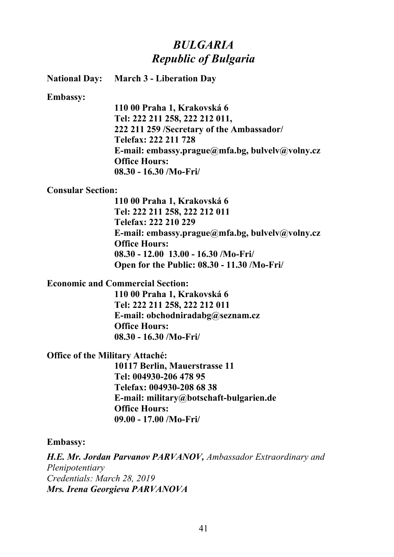## *BULGARIA Republic of Bulgaria*

**National Day: March 3 - Liberation Day**

**Embassy:**

**110 00 Praha 1, Krakovská 6 Tel: 222 211 258, 222 212 011, 222 211 259 /Secretary of the Ambassador/ Telefax: 222 211 728 E-mail: embassy.prague@mfa.bg, bulvelv@volny.cz Office Hours: 08.30 - 16.30 /Mo-Fri/**

#### **Consular Section:**

**110 00 Praha 1, Krakovská 6 Tel: 222 211 258, 222 212 011 Telefax: 222 210 229 E-mail: embassy.prague@mfa.bg, bulvelv@volny.cz Office Hours: 08.30 - 12.00 13.00 - 16.30 /Mo-Fri/ Open for the Public: 08.30 - 11.30 /Mo-Fri/**

**Economic and Commercial Section:**

**110 00 Praha 1, Krakovská 6 Tel: 222 211 258, 222 212 011 E-mail: obchodniradabg@seznam.cz Office Hours: 08.30 - 16.30 /Mo-Fri/**

**Office of the Military Attaché:**

**10117 Berlin, Mauerstrasse 11 Tel: 004930-206 478 95 Telefax: 004930-208 68 38 E-mail: military@botschaft-bulgarien.de Office Hours: 09.00 - 17.00 /Mo-Fri/**

**Embassy:**

*H.E. Mr. Jordan Parvanov PARVANOV, Ambassador Extraordinary and Plenipotentiary Credentials: March 28, 2019 Mrs. Irena Georgieva PARVANOVA*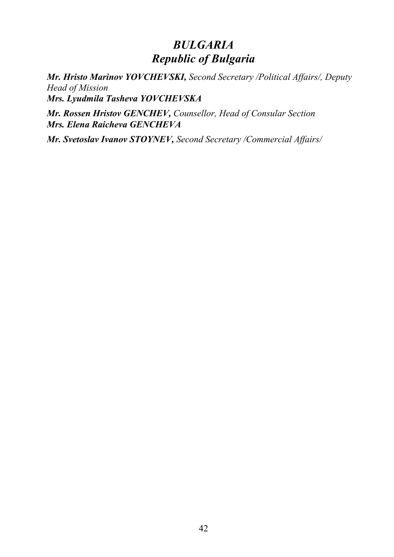## *BULGARIA Republic of Bulgaria*

*Mr. Hristo Marinov YOVCHEVSKI, Second Secretary /Political Affairs/, Deputy Head of Mission Mrs. Lyudmila Tasheva YOVCHEVSKA*

*Mr. Rossen Hristov GENCHEV, Counsellor, Head of Consular Section Mrs. Elena Raicheva GENCHEVA*

*Mr. Svetoslav Ivanov STOYNEV, Second Secretary /Commercial Affairs/*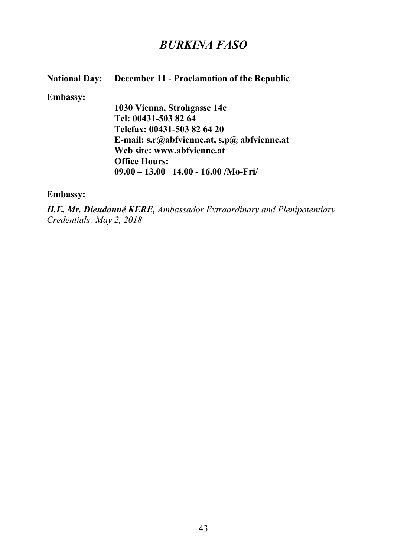## *BURKINA FASO*

### **National Day: December 11 - Proclamation of the Republic**

#### **Embassy:**

**1030 Vienna, Strohgasse 14c Tel: 00431-503 82 64 Telefax: 00431-503 82 64 20 E-mail: s.r@abfvienne.at, s.p@ abfvienne.at Web site: www.abfvienne.at Office Hours: 09.00 – 13.00 14.00 - 16.00 /Mo-Fri/**

### **Embassy:**

*H.E. Mr. Dieudonné KERE, Ambassador Extraordinary and Plenipotentiary Credentials: May 2, 2018*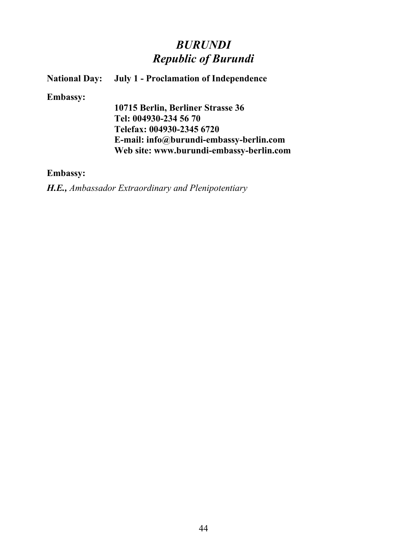## *BURUNDI Republic of Burundi*

### **National Day:** July 1 - Proclamation of Independence

#### **Embassy:**

**10715 Berlin, Berliner Strasse 36 Tel: 004930-234 56 70 Telefax: 004930-2345 6720 E-mail: info@burundi-embassy-berlin.com Web site: www.burundi-embassy-berlin.com**

### **Embassy:**

*H.E., Ambassador Extraordinary and Plenipotentiary*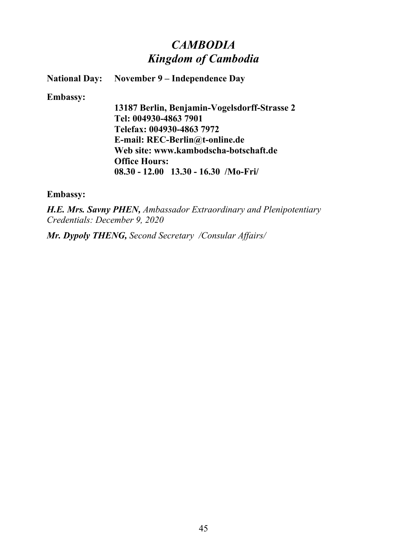## *CAMBODIA Kingdom of Cambodia*

**National Day: November 9 – Independence Day**

**Embassy:**

**13187 Berlin, Benjamin-Vogelsdorff-Strasse 2 Tel: 004930-4863 7901 Telefax: 004930-4863 7972 E-mail: REC-Berlin@t-online.de Web site: www.kambodscha-botschaft.de Office Hours: 08.30 - 12.00 13.30 - 16.30 /Mo-Fri/**

**Embassy:**

*H.E. Mrs. Savny PHEN, Ambassador Extraordinary and Plenipotentiary Credentials: December 9, 2020*

*Mr. Dypoly THENG, Second Secretary /Consular Affairs/*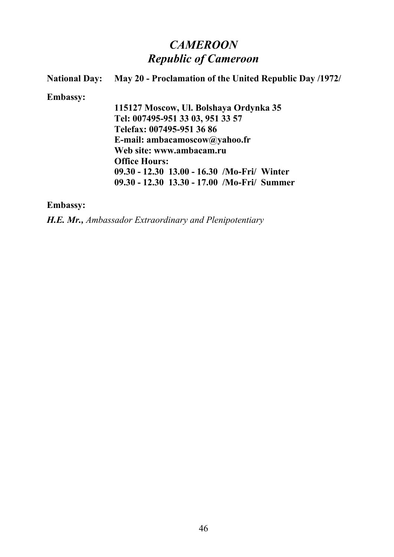# *CAMEROON Republic of Cameroon*

| <b>National Day:</b> | May 20 - Proclamation of the United Republic Day /1972/ |
|----------------------|---------------------------------------------------------|
| <b>Embassy:</b>      |                                                         |
|                      | 115127 Moscow, Ul. Bolshaya Ordynka 35                  |
|                      | Tel: 007495-951 33 03, 951 33 57                        |
|                      | Telefax: 007495-951 36 86                               |
|                      | E-mail: ambacamoscow@yahoo.fr                           |
|                      | Web site: www.ambacam.ru                                |
|                      | <b>Office Hours:</b>                                    |
|                      | 09.30 - 12.30 13.00 - 16.30 /Mo-Fri/ Winter             |
|                      | 09.30 - 12.30 13.30 - 17.00 /Mo-Fri/ Summer             |

**Embassy:**

*H.E. Mr., Ambassador Extraordinary and Plenipotentiary*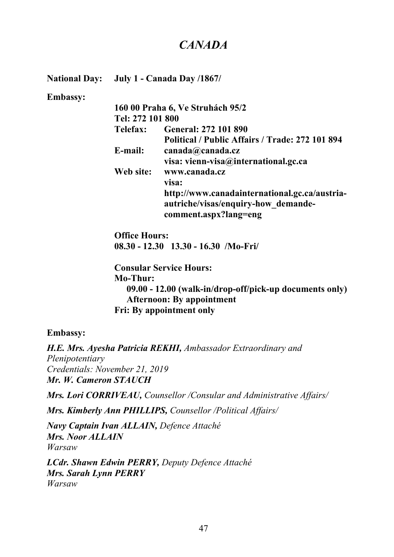## *CANADA*

**National Day: July 1 - Canada Day /1867/**

#### **Embassy:**

|                  | 160 00 Praha 6, Ve Struhách 95/2                |
|------------------|-------------------------------------------------|
| Tel: 272 101 800 |                                                 |
| <b>Telefax:</b>  | <b>General: 272 101 890</b>                     |
|                  | Political / Public Affairs / Trade: 272 101 894 |
| E-mail:          | canada@canada.cz                                |
|                  | visa: vienn-visa@international.gc.ca            |
| Web site:        | www.canada.cz                                   |
|                  | visa:                                           |
|                  | http://www.canadainternational.gc.ca/austria-   |
|                  | autriche/visas/enquiry-how demande-             |
|                  | comment.aspx?lang=eng                           |

**Office Hours: 08.30 - 12.30 13.30 - 16.30 /Mo-Fri/**

**Consular Service Hours: Mo-Thur: 09.00 - 12.00 (walk-in/drop-off/pick-up documents only) Afternoon: By appointment Fri: By appointment only**

#### **Embassy:**

*H.E. Mrs. Ayesha Patricia REKHI, Ambassador Extraordinary and Plenipotentiary Credentials: November 21, 2019 Mr. W. Cameron STAUCH*

*Mrs. Lori CORRIVEAU, Counsellor /Consular and Administrative Affairs/*

*Mrs. Kimberly Ann PHILLIPS, Counsellor /Political Affairs/*

*Navy Captain Ivan ALLAIN, Defence Attaché Mrs. Noor ALLAIN Warsaw* 

*LCdr. Shawn Edwin PERRY, Deputy Defence Attaché Mrs. Sarah Lynn PERRY Warsaw*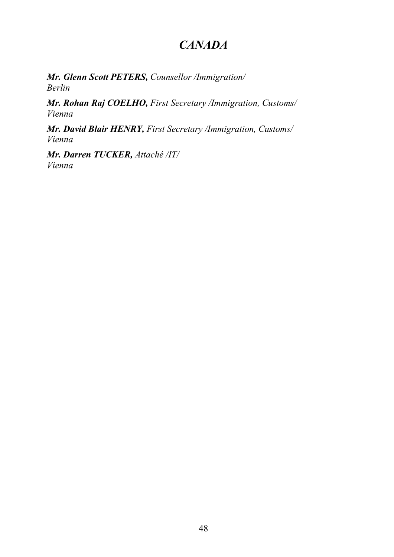# *CANADA*

*Mr. Glenn Scott PETERS, Counsellor /Immigration/ Berlin*

*Mr. Rohan Raj COELHO, First Secretary /Immigration, Customs/ Vienna* 

*Mr. David Blair HENRY, First Secretary /Immigration, Customs/ Vienna* 

*Mr. Darren TUCKER, Attaché /IT/ Vienna*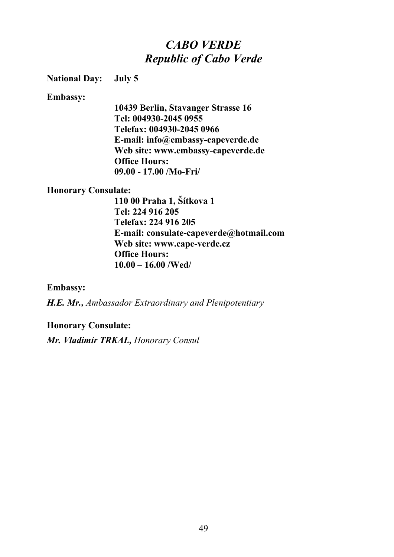## *CABO VERDE Republic of Cabo Verde*

### **National Day: July 5**

**Embassy:**

**10439 Berlin, Stavanger Strasse 16 Tel: 004930-2045 0955 Telefax: 004930-2045 0966 E-mail: info@embassy-capeverde.de Web site: www.embassy-capeverde.de Office Hours: 09.00 - 17.00 /Mo-Fri/**

#### **Honorary Consulate:**

**110 00 Praha 1, Šítkova 1 Tel: 224 916 205 Telefax: 224 916 205 E-mail: consulate-capeverde@hotmail.com Web site: www.cape-verde.cz Office Hours: 10.00 – 16.00 /Wed/**

**Embassy:**

*H.E. Mr., Ambassador Extraordinary and Plenipotentiary*

#### **Honorary Consulate:**

*Mr. Vladimír TRKAL, Honorary Consul*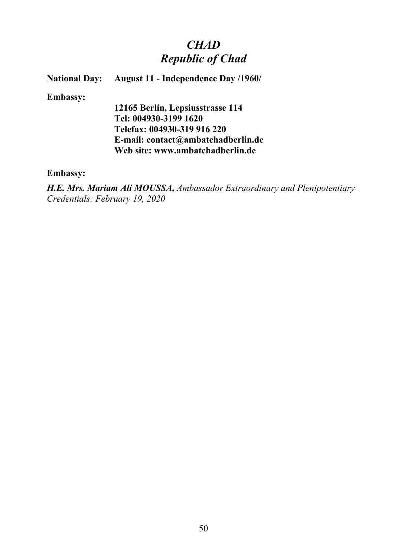# *CHAD Republic of Chad*

### **National Day: August 11 - Independence Day /1960/**

#### **Embassy:**

**12165 Berlin, Lepsiusstrasse 114 Tel: 004930-3199 1620 Telefax: 004930-319 916 220 E-mail: contact@ambatchadberlin.de Web site: www.ambatchadberlin.de**

### **Embassy:**

*H.E. Mrs. Mariam Ali MOUSSA, Ambassador Extraordinary and Plenipotentiary Credentials: February 19, 2020*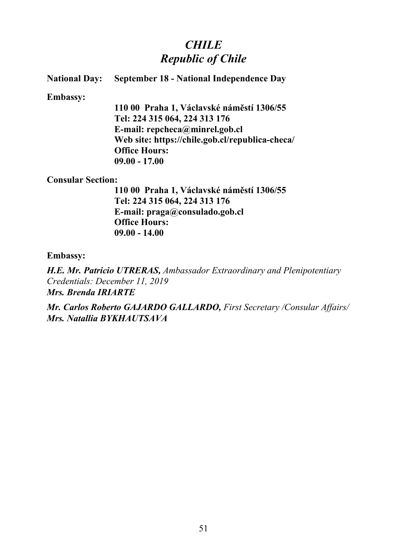## *CHILE Republic of Chile*

### **National Day: September 18 - National Independence Day**

#### **Embassy:**

**110 00 Praha 1, Václavské náměstí 1306/55 Tel: 224 315 064, 224 313 176 E-mail: repcheca@minrel.gob.cl Web site: https://chile.gob.cl/republica-checa/ Office Hours: 09.00 - 17.00**

#### **Consular Section:**

**110 00 Praha 1, Václavské náměstí 1306/55 Tel: 224 315 064, 224 313 176 E-mail: praga@consulado.gob.cl Office Hours: 09.00 - 14.00**

#### **Embassy:**

*H.E. Mr. Patricio UTRERAS, Ambassador Extraordinary and Plenipotentiary Credentials: December 11, 2019 Mrs. Brenda IRIARTE*

*Mr. Carlos Roberto GAJARDO GALLARDO, First Secretary /Consular Affairs/ Mrs. Natallia BYKHAUTSAVA*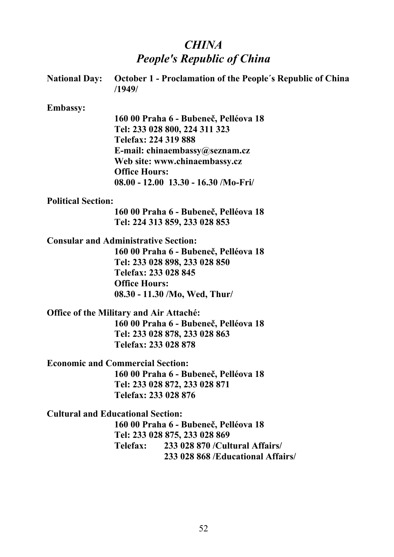# *CHINA People's Republic of China*

| <b>National Day:</b>      | <b>October 1 - Proclamation of the People's Republic of China</b><br>/1949/ |
|---------------------------|-----------------------------------------------------------------------------|
| <b>Embassy:</b>           |                                                                             |
|                           | 160 00 Praha 6 - Bubeneč, Pelléova 18                                       |
|                           | Tel: 233 028 800, 224 311 323                                               |
|                           | Telefax: 224 319 888                                                        |
|                           | E-mail: chinaembassy@seznam.cz                                              |
|                           | Web site: www.chinaembassy.cz                                               |
|                           | <b>Office Hours:</b>                                                        |
|                           | $08.00 - 12.00$ 13.30 - 16.30 /Mo-Fri/                                      |
| <b>Political Section:</b> |                                                                             |
|                           | 160 00 Praha 6 - Bubeneč, Pelléova 18                                       |
|                           | Tel: 224 313 859, 233 028 853                                               |
|                           | <b>Consular and Administrative Section:</b>                                 |
|                           | 160 00 Praha 6 - Bubeneč, Pelléova 18                                       |
|                           | Tel: 233 028 898, 233 028 850                                               |
|                           | Telefax: 233 028 845                                                        |
|                           | <b>Office Hours:</b>                                                        |
|                           | 08.30 - 11.30 /Mo, Wed, Thur/                                               |
|                           | <b>Office of the Military and Air Attaché:</b>                              |
|                           | 160 00 Praha 6 - Bubeneč, Pelléova 18                                       |
|                           | Tel: 233 028 878, 233 028 863                                               |
|                           | Telefax: 233 028 878                                                        |
|                           | <b>Economic and Commercial Section:</b>                                     |
|                           | 160 00 Praha 6 - Bubeneč, Pelléova 18                                       |
|                           | Tel: 233 028 872, 233 028 871                                               |
|                           | Telefax: 233 028 876                                                        |
|                           | <b>Cultural and Educational Section:</b>                                    |
|                           | 160 00 Praha 6 - Bubeneč, Pelléova 18                                       |
|                           | Tel: 233 028 875, 233 028 869                                               |
|                           | Telefax:<br>233 028 870 / Cultural Affairs                                  |
|                           | 233 028 868 / Educational Affairs                                           |
|                           |                                                                             |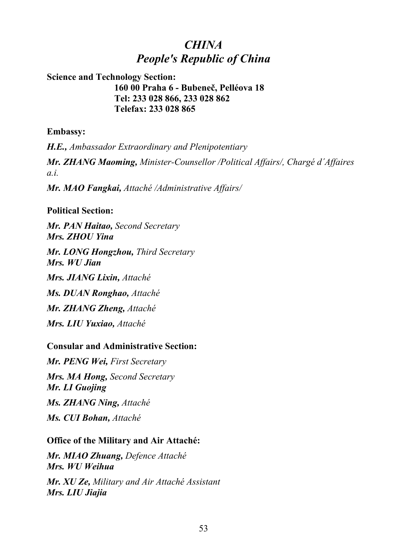## *CHINA People's Republic of China*

### **Science and Technology Section: 160 00 Praha 6 - Bubeneč, Pelléova 18 Tel: 233 028 866, 233 028 862 Telefax: 233 028 865**

### **Embassy:**

*H.E., Ambassador Extraordinary and Plenipotentiary Mr. ZHANG Maoming, Minister-Counsellor /Political Affairs/, Chargé d´Affaires a.i.*

*Mr. MAO Fangkai, Attaché /Administrative Affairs/*

### **Political Section:**

*Mr. PAN Haitao, Second Secretary Mrs. ZHOU Yina*

*Mr. LONG Hongzhou, Third Secretary Mrs. WU Jian*

*Mrs. JIANG Lixin, Attaché* 

*Ms. DUAN Ronghao, Attaché* 

*Mr. ZHANG Zheng, Attaché* 

*Mrs. LIU Yuxiao, Attaché* 

### **Consular and Administrative Section:**

*Mr. PENG Wei, First Secretary Mrs. MA Hong, Second Secretary Mr. LI Guojing Ms. ZHANG Ning, Attaché Ms. CUI Bohan, Attaché*

### **Office of the Military and Air Attaché:**

*Mr. MIAO Zhuang, Defence Attaché Mrs. WU Weihua Mr. XU Ze, Military and Air Attaché Assistant Mrs. LIU Jiajia*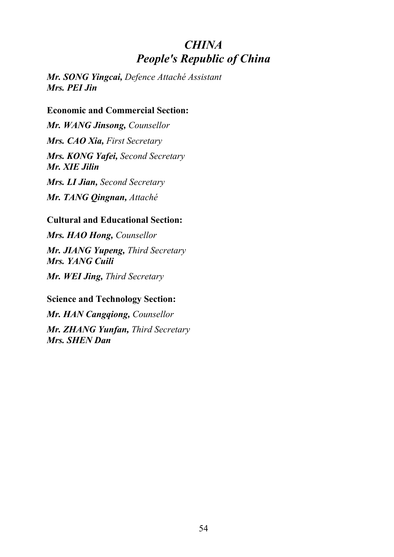## *CHINA People's Republic of China*

*Mr. SONG Yingcai, Defence Attaché Assistant Mrs. PEI Jin*

### **Economic and Commercial Section:**

*Mr. WANG Jinsong, Counsellor Mrs. CAO Xia, First Secretary Mrs. KONG Yafei, Second Secretary Mr. XIE Jilin Mrs. LI Jian, Second Secretary*

*Mr. TANG Qingnan, Attaché*

### **Cultural and Educational Section:**

*Mrs. HAO Hong, Counsellor Mr. JIANG Yupeng, Third Secretary Mrs. YANG Cuili Mr. WEI Jing, Third Secretary*

## **Science and Technology Section:**

*Mr. HAN Cangqiong, Counsellor Mr. ZHANG Yunfan, Third Secretary Mrs. SHEN Dan*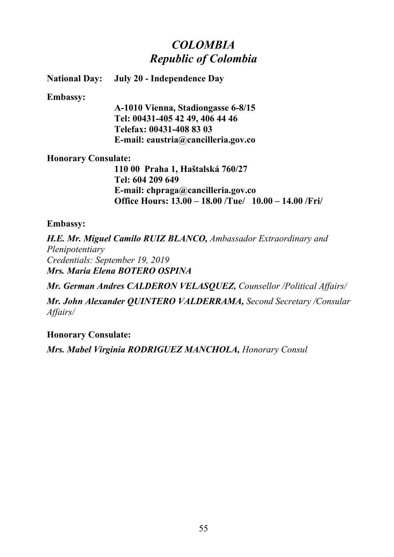## *COLOMBIA Republic of Colombia*

**National Day: July 20 - Independence Day**

### **Embassy:**

**A-1010 Vienna, Stadiongasse 6-8/15 Tel: 00431-405 42 49, 406 44 46 Telefax: 00431-408 83 03 E-mail: eaustria@cancilleria.gov.co**

### **Honorary Consulate:**

**110 00 Praha 1, Haštalská 760/27 Tel: 604 209 649 E-mail: chpraga@cancilleria.gov.co Office Hours: 13.00 – 18.00 /Tue/ 10.00 – 14.00 /Fri/**

### **Embassy:**

*H.E. Mr. Miguel Camilo RUIZ BLANCO, Ambassador Extraordinary and Plenipotentiary Credentials: September 19, 2019 Mrs. Maria Elena BOTERO OSPINA*

*Mr. German Andres CALDERON VELASQUEZ, Counsellor /Political Affairs/*

*Mr. John Alexander QUINTERO VALDERRAMA, Second Secretary /Consular Affairs/*

### **Honorary Consulate:**

*Mrs. Mabel Virginia RODRIGUEZ MANCHOLA, Honorary Consul*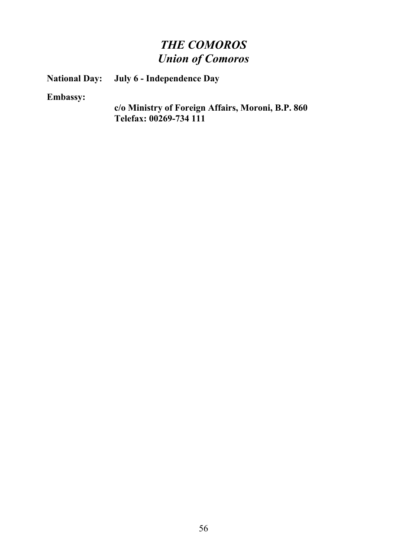# *THE COMOROS Union of Comoros*

**Union of Comoros National Day: July 6 - Independence Day**

**Embassy:**

**c/o Ministry of Foreign Affairs, Moroni, B.P. 860 Telefax: 00269-734 111**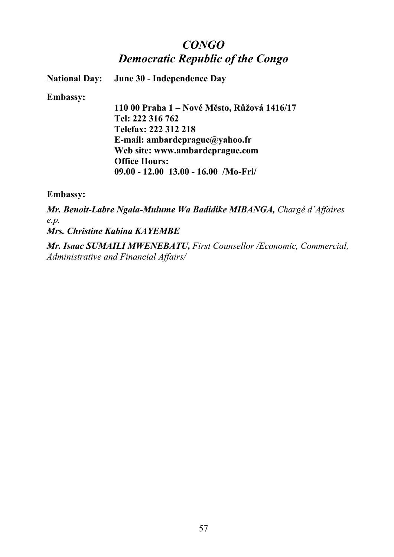## *CONGO Democratic Republic of the Congo*

**National Day: June 30 - Independence Day**

**Embassy:**

**110 00 Praha 1 – Nové Město, Růžová 1416/17 Tel: 222 316 762 Telefax: 222 312 218 E-mail: ambardcprague@yahoo.fr Web site: www.ambardcprague.com Office Hours: 09.00 - 12.00 13.00 - 16.00 /Mo-Fri/**

**Embassy:**

*Mr. Benoit-Labre Ngala-Mulume Wa Badidike MIBANGA, Chargé d´Affaires e.p. Mrs. Christine Kabina KAYEMBE*

*Mr. Isaac SUMAILI MWENEBATU, First Counsellor /Economic, Commercial, Administrative and Financial Affairs/*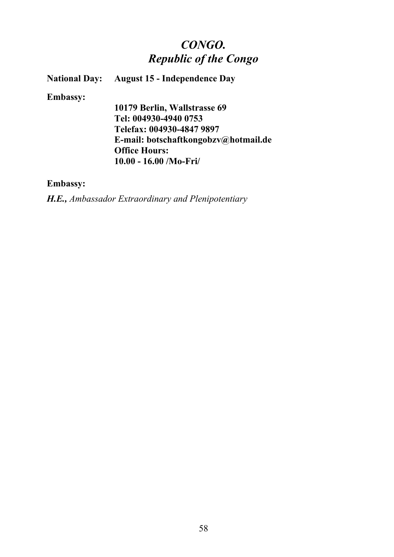# *CONGO. Republic of the Congo*

### **National Day: August 15 - Independence Day**

#### **Embassy:**

**10179 Berlin, Wallstrasse 69 Tel: 004930-4940 0753 Telefax: 004930-4847 9897 E-mail: botschaftkongobzv@hotmail.de Office Hours: 10.00 - 16.00 /Mo-Fri/**

### **Embassy:**

*H.E., Ambassador Extraordinary and Plenipotentiary*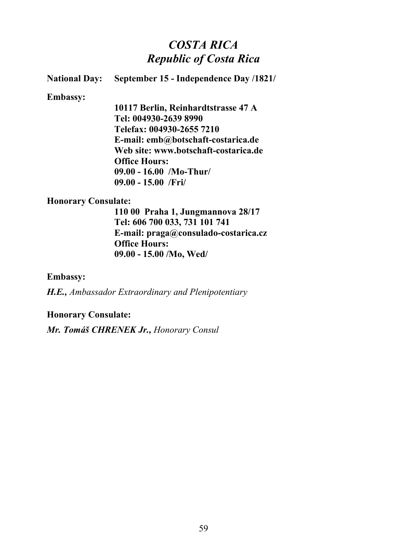## *COSTA RICA Republic of Costa Rica*

### **National Day: September 15 - Independence Day /1821/**

#### **Embassy:**

**10117 Berlin, Reinhardtstrasse 47 A Tel: 004930-2639 8990 Telefax: 004930-2655 7210 E-mail: emb@botschaft-costarica.de Web site: www.botschaft-costarica.de Office Hours: 09.00 - 16.00 /Mo-Thur/ 09.00 - 15.00 /Fri/**

#### **Honorary Consulate:**

**110 00 Praha 1, Jungmannova 28/17 Tel: 606 700 033, 731 101 741 E-mail: praga@consulado-costarica.cz Office Hours: 09.00 - 15.00 /Mo, Wed/**

#### **Embassy:**

*H.E., Ambassador Extraordinary and Plenipotentiary*

#### **Honorary Consulate:**

*Mr. Tomáš CHRENEK Jr., Honorary Consul*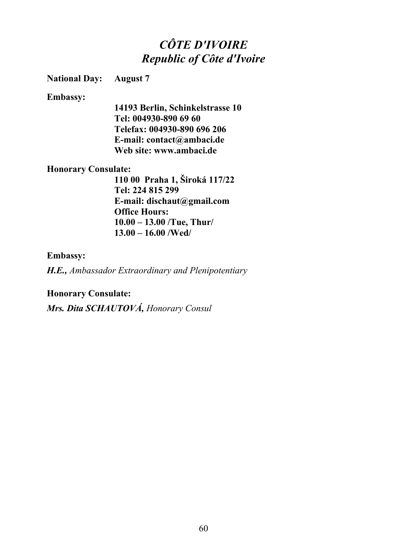# *CÔTE D'IVOIRE Republic of Côte d'Ivoire*

### **National Day: August 7**

#### **Embassy:**

**14193 Berlin, Schinkelstrasse 10 Tel: 004930-890 69 60 Telefax: 004930-890 696 206 E-mail: contact@ambaci.de Web site: www.ambaci.de**

### **Honorary Consulate:**

**110 00 Praha 1, Široká 117/22 Tel: 224 815 299 E-mail: dischaut@gmail.com Office Hours: 10.00 – 13.00 /Tue, Thur/ 13.00 – 16.00 /Wed/**

### **Embassy:**

*H.E., Ambassador Extraordinary and Plenipotentiary*

### **Honorary Consulate:**

*Mrs. Dita SCHAUTOVÁ, Honorary Consul*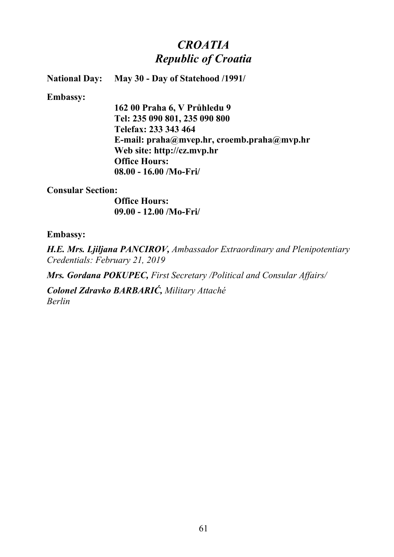## *CROATIA Republic of Croatia*

**National Day: May 30 - Day of Statehood /1991/**

**Embassy:**

**162 00 Praha 6, V Průhledu 9 Tel: 235 090 801, 235 090 800 Telefax: 233 343 464 E-mail: praha@mvep.hr, croemb.praha@mvp.hr Web site: http://cz.mvp.hr Office Hours: 08.00 - 16.00 /Mo-Fri/**

**Consular Section:**

**Office Hours: 09.00 - 12.00 /Mo-Fri/**

**Embassy:**

*H.E. Mrs. Ljiljana PANCIROV, Ambassador Extraordinary and Plenipotentiary Credentials: February 21, 2019*

*Mrs. Gordana POKUPEC, First Secretary /Political and Consular Affairs/*

*Colonel Zdravko BARBARIĆ, Military Attaché Berlin*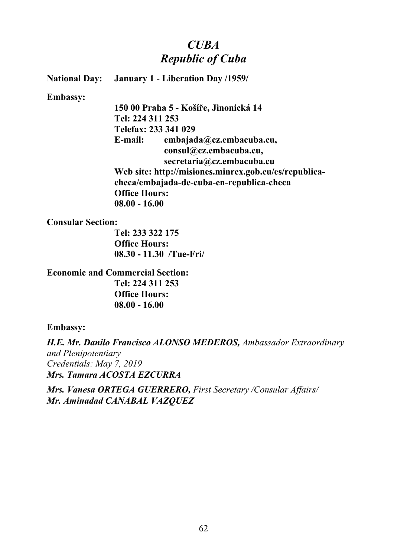## *CUBA Republic of Cuba*

**National Day: January 1 - Liberation Day /1959/**

**Embassy:**

**150 00 Praha 5 - Košíře, Jinonická 14 Tel: 224 311 253 Telefax: 233 341 029 E-mail: embajada@cz.embacuba.cu, consul@cz.embacuba.cu, secretaria@cz.embacuba.cu Web site: http://misiones.minrex.gob.cu/es/republicacheca/embajada-de-cuba-en-republica-checa Office Hours: 08.00 - 16.00**

**Consular Section:**

**Tel: 233 322 175 Office Hours: 08.30 - 11.30 /Tue-Fri/**

**Economic and Commercial Section: Tel: 224 311 253 Office Hours: 08.00 - 16.00**

### **Embassy:**

*H.E. Mr. Danilo Francisco ALONSO MEDEROS, Ambassador Extraordinary and Plenipotentiary Credentials: May 7, 2019 Mrs. Tamara ACOSTA EZCURRA*

*Mrs. Vanesa ORTEGA GUERRERO, First Secretary /Consular Affairs/ Mr. Aminadad CANABAL VAZQUEZ*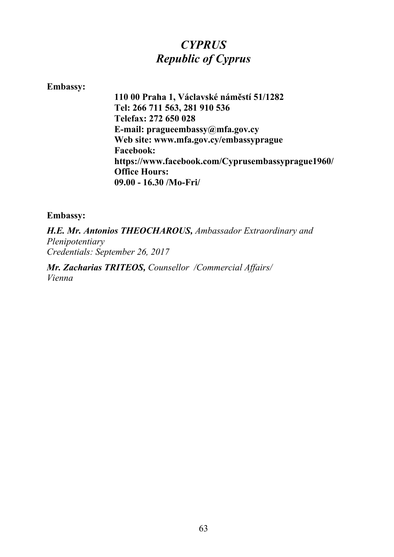# *CYPRUS Republic of Cyprus*

### **Embassy:**

**110 00 Praha 1, Václavské náměstí 51/1282 Tel: 266 711 563, 281 910 536 Telefax: 272 650 028 E-mail: pragueembassy@mfa.gov.cy Web site: www.mfa.gov.cy/embassyprague Facebook: https://www.facebook.com/Cyprusembassyprague1960/ Office Hours: 09.00 - 16.30 /Mo-Fri/** 

### **Embassy:**

*H.E. Mr. Antonios THEOCHAROUS, Ambassador Extraordinary and Plenipotentiary Credentials: September 26, 2017*

*Mr. Zacharias TRITEOS, Counsellor /Commercial Affairs/ Vienna*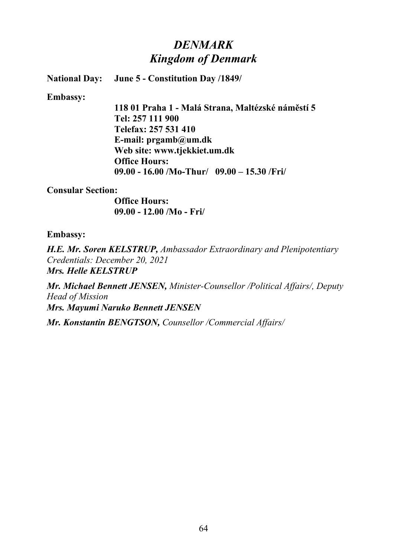## *DENMARK Kingdom of Denmark*

**National Day: June 5 - Constitution Day /1849/**

**Embassy:**

**118 01 Praha 1 - Malá Strana, Maltézské náměstí 5 Tel: 257 111 900 Telefax: 257 531 410 E-mail: prgamb@um.dk Web site: www.tjekkiet.um.dk Office Hours: 09.00 - 16.00 /Mo-Thur/ 09.00 – 15.30 /Fri/**

### **Consular Section:**

**Office Hours: 09.00 - 12.00 /Mo - Fri/**

### **Embassy:**

*H.E. Mr. Soren KELSTRUP, Ambassador Extraordinary and Plenipotentiary Credentials: December 20, 2021 Mrs. Helle KELSTRUP*

*Mr. Michael Bennett JENSEN, Minister-Counsellor /Political Affairs/, Deputy Head of Mission Mrs. Mayumi Naruko Bennett JENSEN*

*Mr. Konstantin BENGTSON, Counsellor /Commercial Affairs/*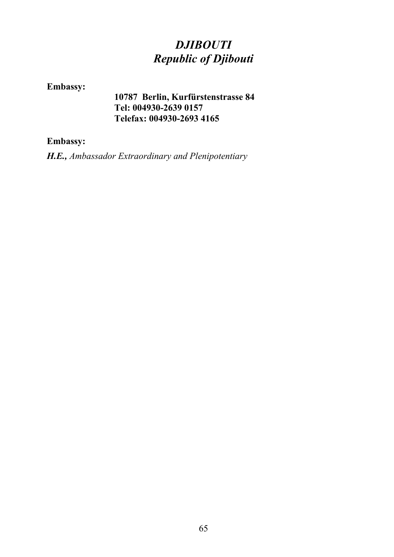# *DJIBOUTI Republic of Djibouti*

## **Embassy:**

**10787 Berlin, Kurfürstenstrasse 84 Tel: 004930-2639 0157 Telefax: 004930-2693 4165**

### **Embassy:**

*H.E., Ambassador Extraordinary and Plenipotentiary*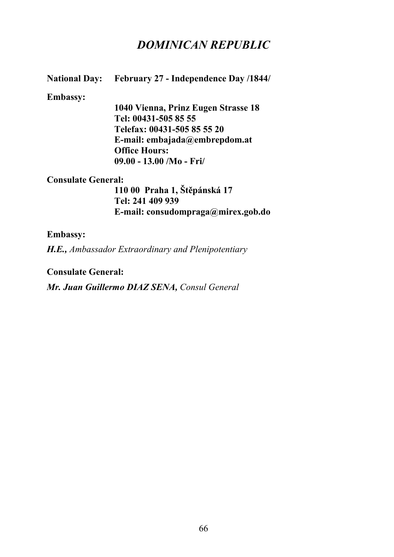## *DOMINICAN REPUBLIC*

### **National Day:** February 27 - Independence Day /1844/

#### **Embassy:**

**1040 Vienna, Prinz Eugen Strasse 18 Tel: 00431-505 85 55 Telefax: 00431-505 85 55 20 E-mail: embajada@embrepdom.at Office Hours: 09.00 - 13.00 /Mo - Fri/**

#### **Consulate General:**

**110 00 Praha 1, Štěpánská 17 Tel: 241 409 939 E-mail: consudompraga@mirex.gob.do**

#### **Embassy:**

*H.E., Ambassador Extraordinary and Plenipotentiary*

**Consulate General:**

*Mr. Juan Guillermo DIAZ SENA, Consul General*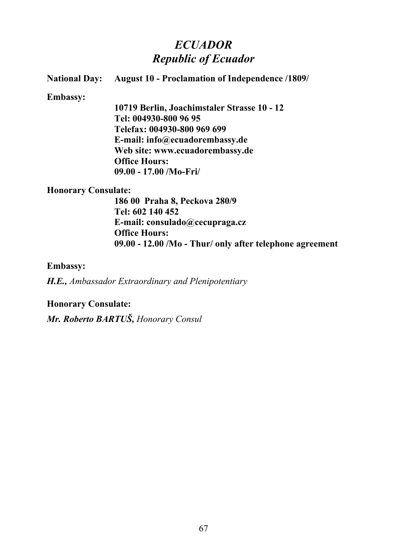## *ECUADOR Republic of Ecuador*

## **National Day: August 10 - Proclamation of Independence /1809/ Embassy: 10719 Berlin, Joachimstaler Strasse 10 - 12 Tel: 004930-800 96 95 Telefax: 004930-800 969 699 E-mail: info@ecuadorembassy.de Web site: www.ecuadorembassy.de Office Hours: 09.00 - 17.00 /Mo-Fri/ Honorary Consulate: 186 00 Praha 8, Peckova 280/9**

**Tel: 602 140 452 E-mail: consulado@cecupraga.cz Office Hours: 09.00 - 12.00 /Mo - Thur/ only after telephone agreement**

### **Embassy:**

*H.E., Ambassador Extraordinary and Plenipotentiary*

**Honorary Consulate:**

*Mr. Roberto BARTUŠ, Honorary Consul*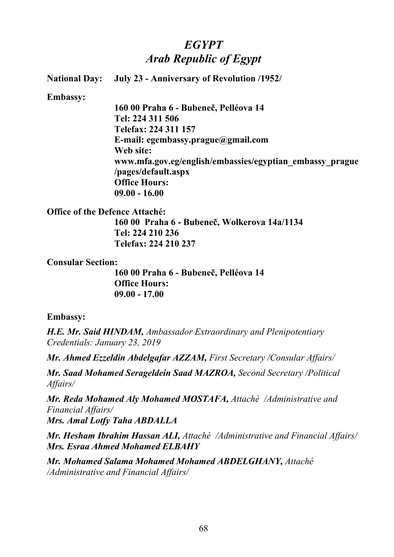# *EGYPT Arab Republic of Egypt*

**National Day: July 23 - Anniversary of Revolution /1952/**

**Embassy:**

**160 00 Praha 6 - Bubeneč, Pelléova 14 Tel: 224 311 506 Telefax: 224 311 157 E-mail: egembassy.prague@gmail.com Web site: www.mfa.gov.eg/english/embassies/egyptian\_embassy\_prague /pages/default.aspx Office Hours: 09.00 - 16.00**

**Office of the Defence Attaché:**

**160 00 Praha 6 - Bubeneč, Wolkerova 14a/1134 Tel: 224 210 236 Telefax: 224 210 237**

**Consular Section:**

**160 00 Praha 6 - Bubeneč, Pelléova 14 Office Hours: 09.00 - 17.00**

### **Embassy:**

*H.E. Mr. Said HINDAM, Ambassador Extraordinary and Plenipotentiary Credentials: January 23, 2019*

*Mr. Ahmed Ezzeldin Abdelgafar AZZAM, First Secretary /Consular Affairs/* 

*Mr. Saad Mohamed Serageldein Saad MAZROA, Second Secretary /Political Affairs/* 

*Mr. Reda Mohamed Aly Mohamed MOSTAFA, Attaché /Administrative and Financial Affairs/ Mrs. Amal Lotfy Taha ABDALLA*

*Mr. Hesham Ibrahim Hassan ALI, Attaché /Administrative and Financial Affairs/ Mrs. Esraa Ahmed Mohamed ELBAHY*

*Mr. Mohamed Salama Mohamed Mohamed ABDELGHANY, Attaché /Administrative and Financial Affairs/*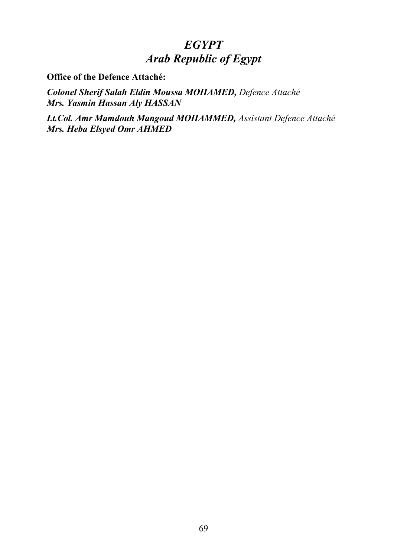## *EGYPT Arab Republic of Egypt*

**Office of the Defence Attaché:**

*Colonel Sherif Salah Eldin Moussa MOHAMED, Defence Attaché Mrs. Yasmin Hassan Aly HASSAN*

*Lt.Col. Amr Mamdouh Mangoud MOHAMMED, Assistant Defence Attaché Mrs. Heba Elsyed Omr AHMED*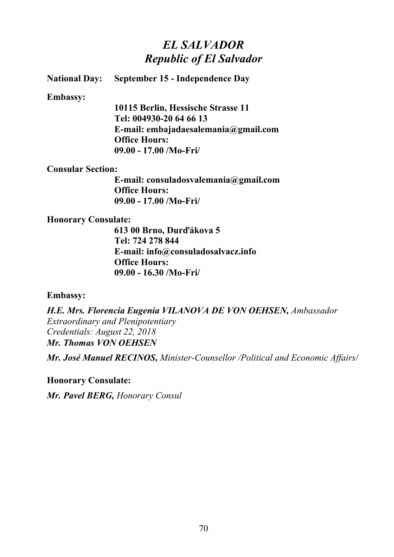## *EL SALVADOR Republic of El Salvador*

**National Day: September 15 - Independence Day**

**Embassy:**

**10115 Berlin, Hessische Strasse 11 Tel: 004930-20 64 66 13 E-mail: embajadaesalemania@gmail.com Office Hours: 09.00 - 17.00 /Mo-Fri/**

**Consular Section:**

**E-mail: consuladosvalemania@gmail.com Office Hours: 09.00 - 17.00 /Mo-Fri/**

### **Honorary Consulate:**

**613 00 Brno, Durďákova 5 Tel: 724 278 844 E-mail: info@consuladosalvacz.info Office Hours: 09.00 - 16.30 /Mo-Fri/**

### **Embassy:**

*H.E. Mrs. Florencia Eugenia VILANOVA DE VON OEHSEN, Ambassador Extraordinary and Plenipotentiary Credentials: August 22, 2018 Mr. Thomas VON OEHSEN*

*Mr. José Manuel RECINOS, Minister-Counsellor /Political and Economic Affairs/*

**Honorary Consulate:**

*Mr. Pavel BERG, Honorary Consul*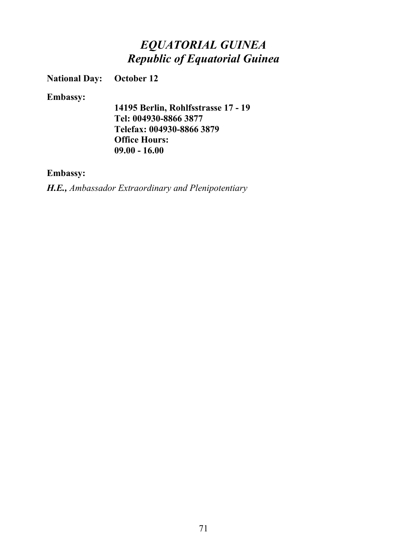# *EQUATORIAL GUINEA Republic of Equatorial Guinea*

**National Day: October 12**

**Embassy:**

**14195 Berlin, Rohlfsstrasse 17 - 19 Tel: 004930-8866 3877 Telefax: 004930-8866 3879 Office Hours: 09.00 - 16.00** 

### **Embassy:**

*H.E., Ambassador Extraordinary and Plenipotentiary*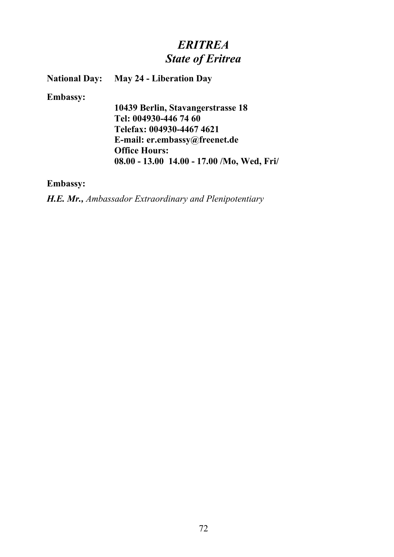# *ERITREA State of Eritrea*

**National Day: May 24 - Liberation Day**

**Embassy:**

**10439 Berlin, Stavangerstrasse 18 Tel: 004930-446 74 60 Telefax: 004930-4467 4621 E-mail: er.embassy@freenet.de Office Hours: 08.00 - 13.00 14.00 - 17.00 /Mo, Wed, Fri/**

**Embassy:**

*H.E. Mr., Ambassador Extraordinary and Plenipotentiary*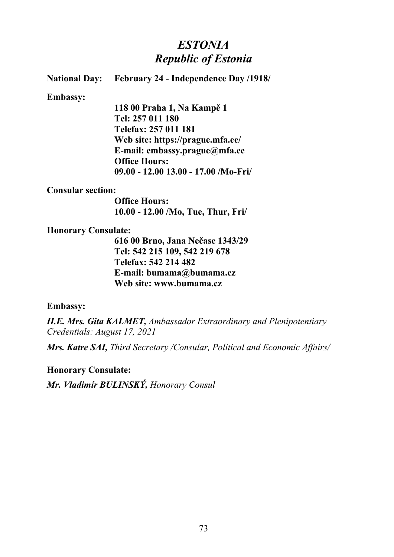# *ESTONIA Republic of Estonia*

### **National Day: February 24 - Independence Day /1918/**

**Embassy:**

**118 00 Praha 1, Na Kampě 1 Tel: 257 011 180 Telefax: 257 011 181 Web site: https://prague.mfa.ee/ E-mail: embassy.prague@mfa.ee Office Hours: 09.00 - 12.00 13.00 - 17.00 /Mo-Fri/**

#### **Consular section:**

**Office Hours: 10.00 - 12.00 /Mo, Tue, Thur, Fri/**

#### **Honorary Consulate:**

**616 00 Brno, Jana Nečase 1343/29 Tel: 542 215 109, 542 219 678 Telefax: 542 214 482 E-mail: bumama@bumama.cz Web site: www.bumama.cz**

### **Embassy:**

*H.E. Mrs. Gita KALMET, Ambassador Extraordinary and Plenipotentiary Credentials: August 17, 2021*

*Mrs. Katre SAI, Third Secretary /Consular, Political and Economic Affairs/*

**Honorary Consulate:**

*Mr. Vladimír BULINSKÝ, Honorary Consul*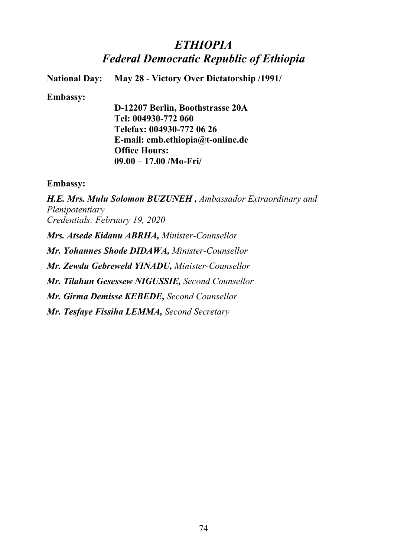# *ETHIOPIA Federal Democratic Republic of Ethiopia*

**National Day: May 28 - Victory Over Dictatorship /1991/**

### **Embassy:**

**D-12207 Berlin, Boothstrasse 20A Tel: 004930-772 060 Telefax: 004930-772 06 26 E-mail: emb.ethiopia@t-online.de Office Hours: 09.00 – 17.00 /Mo-Fri/**

### **Embassy:**

*H.E. Mrs. Mulu Solomon BUZUNEH , Ambassador Extraordinary and Plenipotentiary Credentials: February 19, 2020 Mrs. Atsede Kidanu ABRHA, Minister-Counsellor Mr. Yohannes Shode DIDAWA, Minister-Counsellor Mr. Zewdu Gebreweld YINADU, Minister-Counsellor Mr. Tilahun Gesessew NIGUSSIE, Second Counsellor Mr. Girma Demisse KEBEDE, Second Counsellor*

*Mr. Tesfaye Fissiha LEMMA, Second Secretary*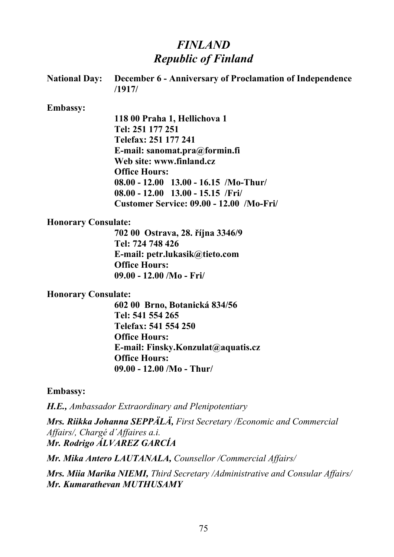# *FINLAND Republic of Finland*

|                            | National Day: December 6 - Anniversary of Proclamation of Independence<br>/1917/ |
|----------------------------|----------------------------------------------------------------------------------|
| <b>Embassy:</b>            |                                                                                  |
|                            | 118 00 Praha 1, Hellichova 1                                                     |
|                            | Tel: 251 177 251                                                                 |
|                            | Telefax: 251 177 241                                                             |
|                            | E-mail: sanomat.pra@formin.fi                                                    |
|                            | Web site: www.finland.cz                                                         |
|                            | <b>Office Hours:</b>                                                             |
|                            | $08.00 - 12.00$ 13.00 - 16.15 /Mo-Thur/                                          |
|                            | $08.00 - 12.00$ 13.00 - 15.15 /Fri/                                              |
|                            | Customer Service: 09.00 - 12.00 /Mo-Fri/                                         |
| <b>Honorary Consulate:</b> |                                                                                  |
|                            | 702 00 Ostrava, 28. října 3346/9                                                 |
|                            | Tel: 724 748 426                                                                 |
|                            | E-mail: petr.lukasik@tieto.com                                                   |
|                            | <b>Office Hours:</b>                                                             |
|                            | 09.00 - 12.00 /Mo - Fri/                                                         |

### **Honorary Consulate:**

**602 00 Brno, Botanická 834/56 Tel: 541 554 265 Telefax: 541 554 250 Office Hours: E-mail: Finsky.Konzulat@aquatis.cz Office Hours: 09.00 - 12.00 /Mo - Thur/** 

**Embassy:**

*H.E., Ambassador Extraordinary and Plenipotentiary*

*Mrs. Riikka Johanna SEPPÄLÄ, First Secretary /Economic and Commercial Affairs/, Chargé d´Affaires a.i. Mr. Rodrigo ÁLVAREZ GARCÍA*

*Mr. Mika Antero LAUTANALA, Counsellor /Commercial Affairs/*

*Mrs. Miia Marika NIEMI, Third Secretary /Administrative and Consular Affairs/ Mr. Kumarathevan MUTHUSAMY*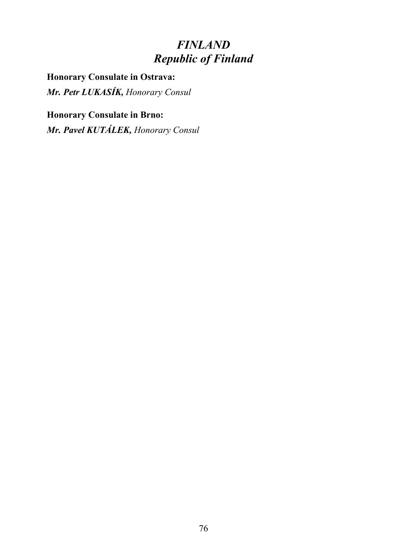# *FINLAND Republic of Finland*

**Honorary Consulate in Ostrava:** *Mr. Petr LUKASÍK, Honorary Consul*

**Honorary Consulate in Brno:** *Mr. Pavel KUTÁLEK, Honorary Consul*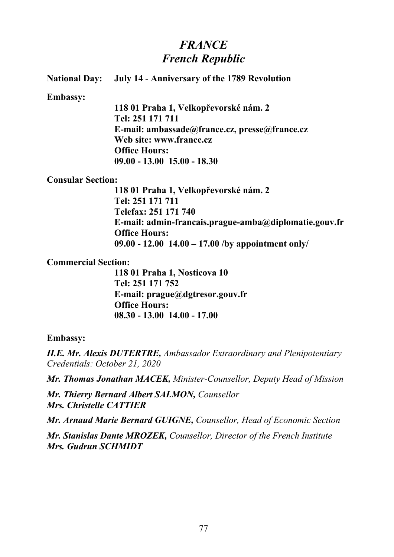# *FRANCE French Republic*

|                          | <b>National Day:</b> July 14 - Anniversary of the 1789 Revolution |
|--------------------------|-------------------------------------------------------------------|
| <b>Embassy:</b>          |                                                                   |
|                          | 11801 Praha 1, Velkopřevorské nám. 2                              |
|                          | Tel: 251 171 711                                                  |
|                          | E-mail: ambassade@france.cz, presse@france.cz                     |
|                          | Web site: www.france.cz                                           |
|                          | <b>Office Hours:</b>                                              |
|                          | $09.00 - 13.00$ 15.00 - 18.30                                     |
| <b>Consular Section:</b> |                                                                   |
|                          | 118 01 Praha 1, Velkopřevorské nám. 2                             |
|                          | Tel: 251 171 711                                                  |
|                          | Telefax: 251 171 740                                              |
|                          | E-mail: admin-francais.prague-amba@diplomatie.gouv.fr             |
|                          | <b>Office Hours:</b>                                              |
|                          | 09.00 - 12.00 $14.00 - 17.00$ /by appointment only/               |

### **Commercial Section:**

**118 01 Praha 1, Nosticova 10 Tel: 251 171 752 E-mail: prague@dgtresor.gouv.fr Office Hours: 08.30 - 13.00 14.00 - 17.00**

### **Embassy:**

*H.E. Mr. Alexis DUTERTRE, Ambassador Extraordinary and Plenipotentiary Credentials: October 21, 2020*

*Mr. Thomas Jonathan MACEK, Minister-Counsellor, Deputy Head of Mission*

*Mr. Thierry Bernard Albert SALMON, Counsellor Mrs. Christelle CATTIER*

*Mr. Arnaud Marie Bernard GUIGNE, Counsellor, Head of Economic Section*

*Mr. Stanislas Dante MROZEK, Counsellor, Director of the French Institute Mrs. Gudrun SCHMIDT*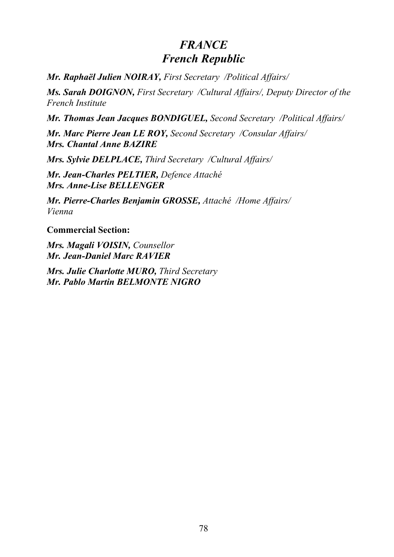# *FRANCE French Republic*

*Mr. Raphaël Julien NOIRAY, First Secretary /Political Affairs/*

*Ms. Sarah DOIGNON, First Secretary /Cultural Affairs/, Deputy Director of the French Institute*

*Mr. Thomas Jean Jacques BONDIGUEL, Second Secretary /Political Affairs/*

*Mr. Marc Pierre Jean LE ROY, Second Secretary /Consular Affairs/ Mrs. Chantal Anne BAZIRE*

*Mrs. Sylvie DELPLACE, Third Secretary /Cultural Affairs/*

*Mr. Jean-Charles PELTIER, Defence Attaché Mrs. Anne-Lise BELLENGER*

*Mr. Pierre-Charles Benjamin GROSSE, Attaché /Home Affairs/ Vienna*

**Commercial Section:**

*Mrs. Magali VOISIN, Counsellor Mr. Jean-Daniel Marc RAVIER*

*Mrs. Julie Charlotte MURO, Third Secretary Mr. Pablo Martin BELMONTE NIGRO*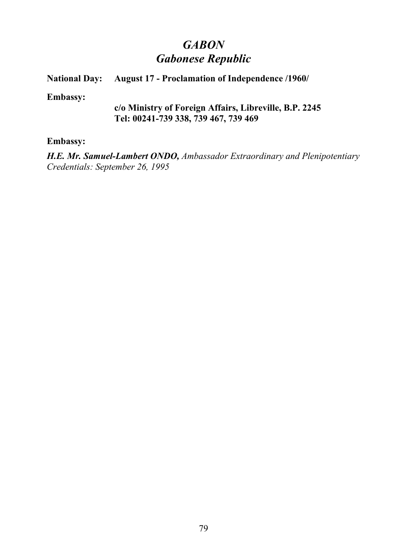# *GABON Gabonese Republic*

## **National Day:** August 17 - Proclamation of Independence /1960/

**Embassy:**

### **c/o Ministry of Foreign Affairs, Libreville, B.P. 2245 Tel: 00241-739 338, 739 467, 739 469**

### **Embassy:**

*H.E. Mr. Samuel-Lambert ONDO, Ambassador Extraordinary and Plenipotentiary Credentials: September 26, 1995*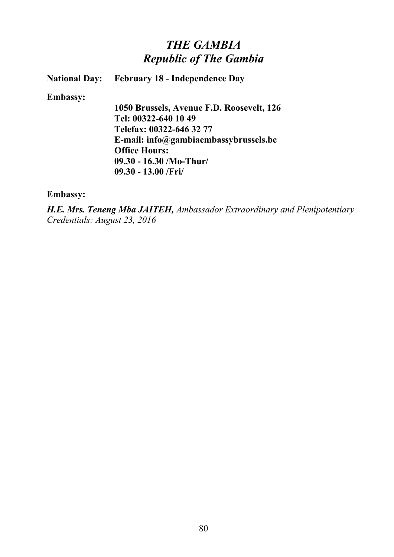# *THE GAMBIA Republic of The Gambia*

**National Day: February 18 - Independence Day**

**Embassy:**

**1050 Brussels, Avenue F.D. Roosevelt, 126 Tel: 00322-640 10 49 Telefax: 00322-646 32 77 E-mail: info@gambiaembassybrussels.be Office Hours: 09.30 - 16.30 /Mo-Thur/ 09.30 - 13.00 /Fri/** 

**Embassy:**

*H.E. Mrs. Teneng Mba JAITEH, Ambassador Extraordinary and Plenipotentiary Credentials: August 23, 2016*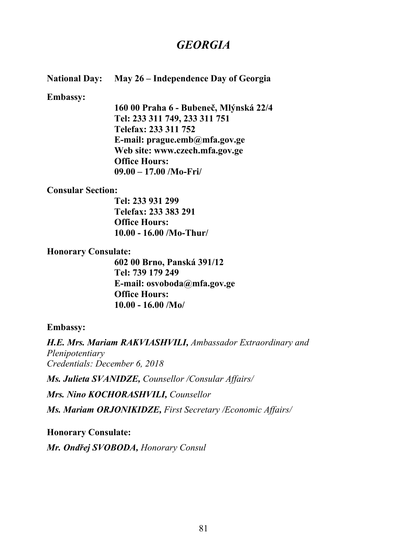# *GEORGIA*

### **National Day: May 26 – Independence Day of Georgia**

#### **Embassy:**

**160 00 Praha 6 - Bubeneč, Mlýnská 22/4 Tel: 233 311 749, 233 311 751 Telefax: 233 311 752 E-mail: prague.emb@mfa.gov.ge Web site: www.czech.mfa.gov.ge Office Hours: 09.00 – 17.00 /Mo-Fri/**

### **Consular Section:**

**Tel: 233 931 299 Telefax: 233 383 291 Office Hours: 10.00 - 16.00 /Mo-Thur/**

### **Honorary Consulate:**

**602 00 Brno, Panská 391/12 Tel: 739 179 249 E-mail: osvoboda@mfa.gov.ge Office Hours: 10.00 - 16.00 /Mo/**

### **Embassy:**

*H.E. Mrs. Mariam RAKVIASHVILI, Ambassador Extraordinary and Plenipotentiary Credentials: December 6, 2018 Ms. Julieta SVANIDZE, Counsellor /Consular Affairs/*

*Mrs. Nino KOCHORASHVILI, Counsellor*

*Ms. Mariam ORJONIKIDZE, First Secretary /Economic Affairs/*

**Honorary Consulate:** *Mr. Ondřej SVOBODA, Honorary Consul*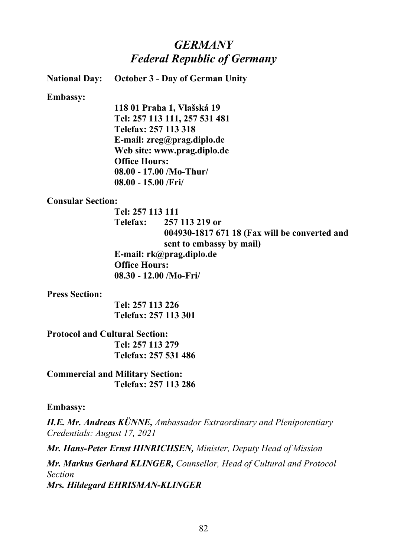# *GERMANY Federal Republic of Germany*

**National Day: October 3 - Day of German Unity**

**Embassy:**

**118 01 Praha 1, Vlašská 19 Tel: 257 113 111, 257 531 481 Telefax: 257 113 318 E-mail: zreg@prag.diplo.de Web site: www.prag.diplo.de Office Hours: 08.00 - 17.00 /Mo-Thur/ 08.00 - 15.00 /Fri/**

### **Consular Section:**

**Tel: 257 113 111 Telefax: 257 113 219 or 004930-1817 671 18 (Fax will be converted and sent to embassy by mail) E-mail: rk@prag.diplo.de Office Hours: 08.30 - 12.00 /Mo-Fri/** 

**Press Section:**

**Tel: 257 113 226 Telefax: 257 113 301**

**Protocol and Cultural Section: Tel: 257 113 279 Telefax: 257 531 486**

**Commercial and Military Section: Telefax: 257 113 286**

### **Embassy:**

*H.E. Mr. Andreas KÜNNE, Ambassador Extraordinary and Plenipotentiary Credentials: August 17, 2021*

*Mr. Hans-Peter Ernst HINRICHSEN, Minister, Deputy Head of Mission*

*Mr. Markus Gerhard KLINGER, Counsellor, Head of Cultural and Protocol Section Mrs. Hildegard EHRISMAN-KLINGER*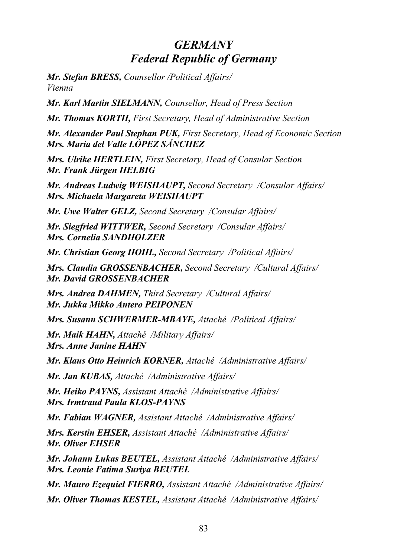# *GERMANY Federal Republic of Germany*

*Mr. Stefan BRESS, Counsellor /Political Affairs/ Vienna* 

*Mr. Karl Martin SIELMANN, Counsellor, Head of Press Section*

*Mr. Thomas KORTH, First Secretary, Head of Administrative Section*

*Mr. Alexander Paul Stephan PUK, First Secretary, Head of Economic Section Mrs. María del Valle LÓPEZ SÁNCHEZ*

*Mrs. Ulrike HERTLEIN, First Secretary, Head of Consular Section Mr. Frank Jürgen HELBIG*

*Mr. Andreas Ludwig WEISHAUPT, Second Secretary /Consular Affairs/ Mrs. Michaela Margareta WEISHAUPT*

*Mr. Uwe Walter GELZ, Second Secretary /Consular Affairs/*

*Mr. Siegfried WITTWER, Second Secretary /Consular Affairs/ Mrs. Cornelia SANDHOLZER*

*Mr. Christian Georg HOHL, Second Secretary /Political Affairs/*

*Mrs. Claudia GROSSENBACHER, Second Secretary /Cultural Affairs/ Mr. David GROSSENBACHER*

*Mrs. Andrea DAHMEN, Third Secretary /Cultural Affairs/ Mr. Jukka Mikko Antero PEIPONEN*

*Mrs. Susann SCHWERMER-MBAYE, Attaché /Political Affairs/*

*Mr. Maik HAHN, Attaché /Military Affairs/ Mrs. Anne Janine HAHN*

*Mr. Klaus Otto Heinrich KORNER, Attaché /Administrative Affairs/*

*Mr. Jan KUBAS, Attaché /Administrative Affairs/*

*Mr. Heiko PAYNS, Assistant Attaché /Administrative Affairs/ Mrs. Irmtraud Paula KLOS-PAYNS*

*Mr. Fabian WAGNER, Assistant Attaché /Administrative Affairs/*

*Mrs. Kerstin EHSER, Assistant Attaché /Administrative Affairs/ Mr. Oliver EHSER*

*Mr. Johann Lukas BEUTEL, Assistant Attaché /Administrative Affairs/ Mrs. Leonie Fatima Suriya BEUTEL*

*Mr. Mauro Ezequiel FIERRO, Assistant Attaché /Administrative Affairs/*

*Mr. Oliver Thomas KESTEL, Assistant Attaché /Administrative Affairs/*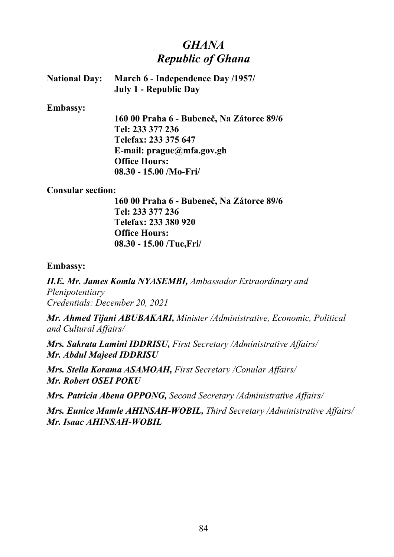# *GHANA Republic of Ghana*

| <b>National Day:</b> | March 6 - Independence Day /1957/ |
|----------------------|-----------------------------------|
|                      | July 1 - Republic Day             |

#### **Embassy:**

**160 00 Praha 6 - Bubeneč, Na Zátorce 89/6 Tel: 233 377 236 Telefax: 233 375 647 E-mail: prague@mfa.gov.gh Office Hours: 08.30 - 15.00 /Mo-Fri/**

### **Consular section:**

**160 00 Praha 6 - Bubeneč, Na Zátorce 89/6 Tel: 233 377 236 Telefax: 233 380 920 Office Hours: 08.30 - 15.00 /Tue,Fri/**

### **Embassy:**

*H.E. Mr. James Komla NYASEMBI, Ambassador Extraordinary and Plenipotentiary Credentials: December 20, 2021*

*Mr. Ahmed Tijani ABUBAKARI, Minister /Administrative, Economic, Political and Cultural Affairs/*

*Mrs. Sakrata Lamini IDDRISU, First Secretary /Administrative Affairs/ Mr. Abdul Majeed IDDRISU*

*Mrs. Stella Korama ASAMOAH, First Secretary /Conular Affairs/ Mr. Robert OSEI POKU*

*Mrs. Patricia Abena OPPONG, Second Secretary /Administrative Affairs/*

*Mrs. Eunice Mamle AHINSAH-WOBIL, Third Secretary /Administrative Affairs/ Mr. Isaac AHINSAH-WOBIL*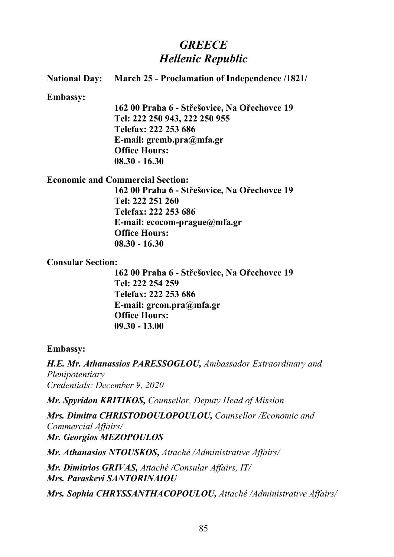# *GREECE Hellenic Republic*

| <b>National Day:</b> | <b>March 25 - Proclamation of Independence /1821/</b> |
|----------------------|-------------------------------------------------------|
| <b>Embassy:</b>      |                                                       |
|                      | 162 00 Praha 6 - Střešovice, Na Ořechovce 19          |
|                      | Tel: 222 250 943, 222 250 955                         |
|                      | Telefax: 222 253 686                                  |
|                      | E-mail: gremb.pra $@$ mfa.gr                          |
|                      | <b>Office Hours:</b>                                  |
|                      | $08.30 - 16.30$                                       |
|                      | <b>Economic and Commercial Section:</b>               |
|                      | 162 00 Praha 6 - Střešovice, Na Ořechovce 19          |
|                      | Tel: 222 251 260                                      |
|                      | Telefax: 222 253 686                                  |
|                      | E-mail: $ecocom\text{-}prague@mfa.gr$                 |
|                      | <b>Office Hours:</b>                                  |

# **Consular Section:**

**08.30 - 16.30**

**162 00 Praha 6 - Střešovice, Na Ořechovce 19 Tel: 222 254 259 Telefax: 222 253 686 E-mail: grcon.pra@mfa.gr Office Hours: 09.30 - 13.00**

### **Embassy:**

*H.E. Mr. Athanassios PARESSOGLOU, Ambassador Extraordinary and Plenipotentiary Credentials: December 9, 2020*

*Mr. Spyridon KRITIKOS, Counsellor, Deputy Head of Mission*

*Mrs. Dimitra CHRISTODOULOPOULOU, Counsellor /Economic and Commercial Affairs/ Mr. Georgios MEZOPOULOS*

*Mr. Athanasios NTOUSKOS, Attaché /Administrative Affairs/*

*Mr. Dimitrios GRIVAS, Attaché /Consular Affairs, IT/ Mrs. Paraskevi SANTORINAIOU*

*Mrs. Sophia CHRYSSANTHACOPOULOU, Attaché /Administrative Affairs/*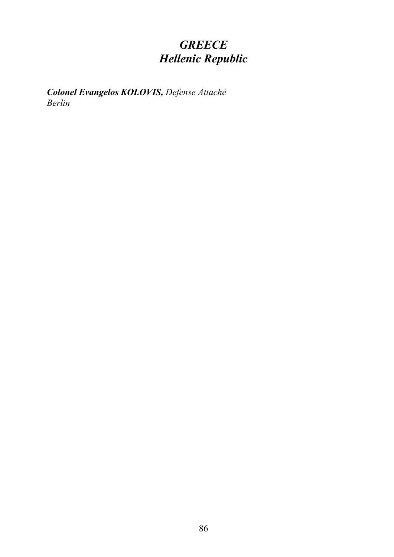# *GREECE Hellenic Republic*

*Colonel Evangelos KOLOVIS, Defense Attaché Berlin*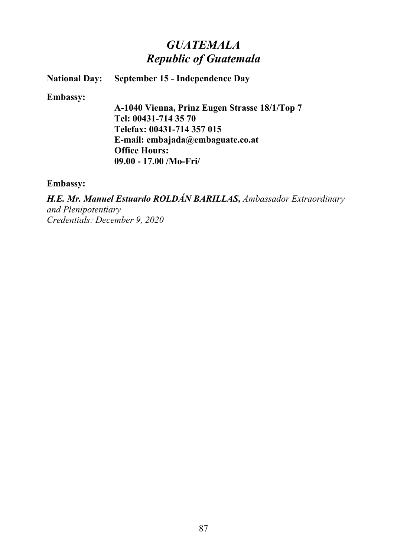# *GUATEMALA Republic of Guatemala*

**National Day: September 15 - Independence Day**

**Embassy:**

**A-1040 Vienna, Prinz Eugen Strasse 18/1/Top 7 Tel: 00431-714 35 70 Telefax: 00431-714 357 015 E-mail: embajada@embaguate.co.at Office Hours: 09.00 - 17.00 /Mo-Fri/**

**Embassy:**

*H.E. Mr. Manuel Estuardo ROLDÁN BARILLAS, Ambassador Extraordinary and Plenipotentiary Credentials: December 9, 2020*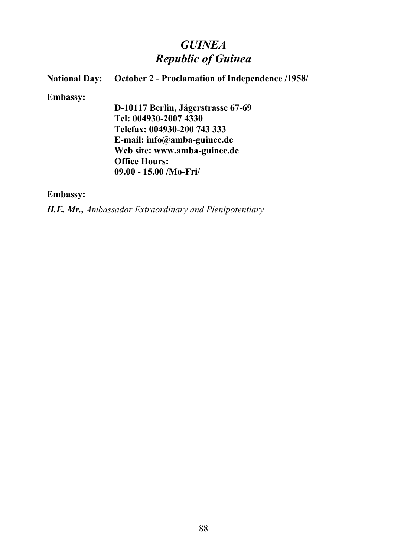# *GUINEA Republic of Guinea*

# **National Day:** October 2 - Proclamation of Independence /1958/

#### **Embassy:**

**D-10117 Berlin, Jägerstrasse 67-69 Tel: 004930-2007 4330 Telefax: 004930-200 743 333 E-mail: info@amba-guinee.de Web site: www.amba-guinee.de Office Hours: 09.00 - 15.00 /Mo-Fri/**

### **Embassy:**

*H.E. Mr., Ambassador Extraordinary and Plenipotentiary*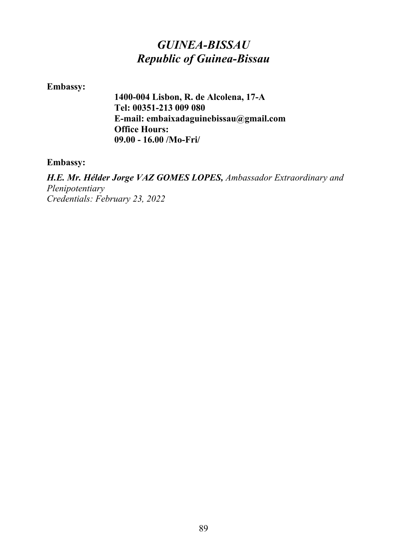# *GUINEA-BISSAU Republic of Guinea-Bissau*

### **Embassy:**

**1400-004 Lisbon, R. de Alcolena, 17-A Tel: 00351-213 009 080 E-mail: embaixadaguinebissau@gmail.com Office Hours: 09.00 - 16.00 /Mo-Fri/**

### **Embassy:**

*H.E. Mr. Hélder Jorge VAZ GOMES LOPES, Ambassador Extraordinary and Plenipotentiary Credentials: February 23, 2022*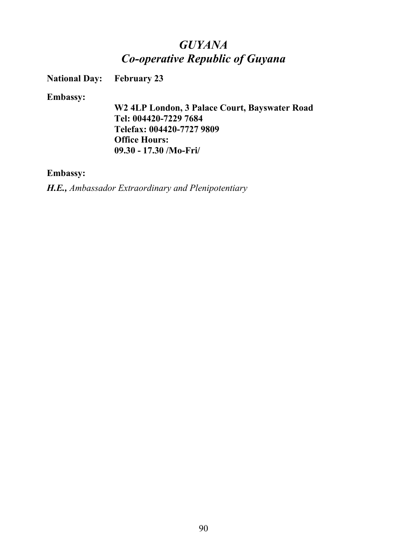# *GUYANA Co-operative Republic of Guyana*

**National Day: February 23**

### **Embassy:**

**W2 4LP London, 3 Palace Court, Bayswater Road Tel: 004420-7229 7684 Telefax: 004420-7727 9809 Office Hours: 09.30 - 17.30 /Mo-Fri/**

### **Embassy:**

*H.E., Ambassador Extraordinary and Plenipotentiary*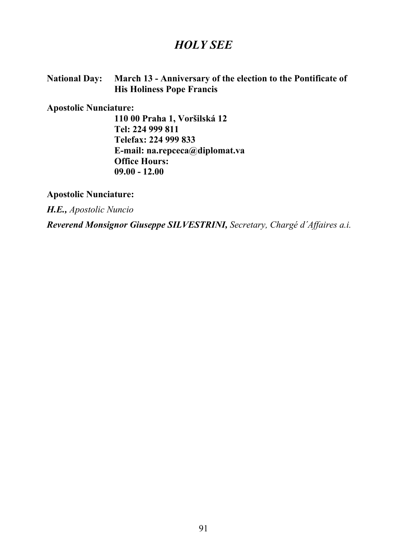## *HOLY SEE*

### **National Day: March 13 - Anniversary of the election to the Pontificate of His Holiness Pope Francis**

### **Apostolic Nunciature:**

**110 00 Praha 1, Voršilská 12 Tel: 224 999 811 Telefax: 224 999 833 E-mail: na.repceca@diplomat.va Office Hours: 09.00 - 12.00** 

**Apostolic Nunciature:**

*H.E., Apostolic Nuncio*

*Reverend Monsignor Giuseppe SILVESTRINI, Secretary, Chargé d´Affaires a.i.*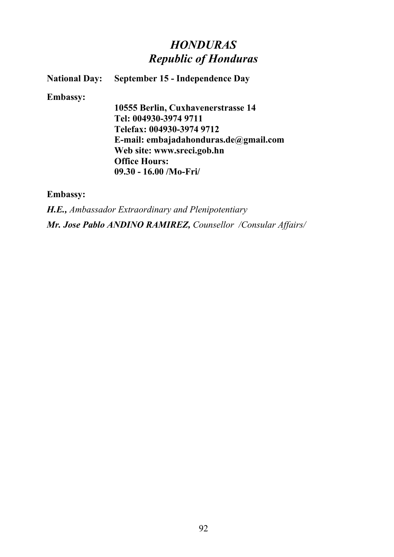# *HONDURAS Republic of Honduras*

**National Day: September 15 - Independence Day**

**Embassy:**

**10555 Berlin, Cuxhavenerstrasse 14 Tel: 004930-3974 9711 Telefax: 004930-3974 9712 E-mail: embajadahonduras.de@gmail.com Web site: www.sreci.gob.hn Office Hours: 09.30 - 16.00 /Mo-Fri/**

**Embassy:**

*H.E., Ambassador Extraordinary and Plenipotentiary Mr. Jose Pablo ANDINO RAMIREZ, Counsellor /Consular Affairs/*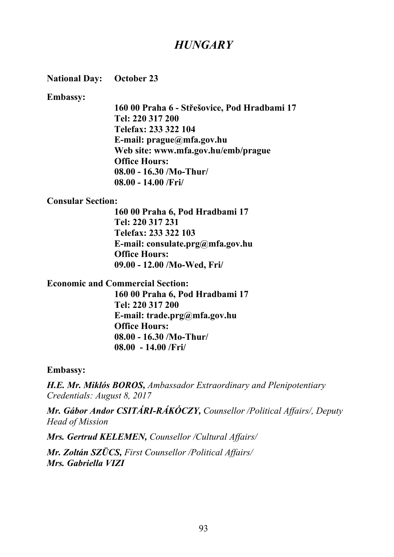# *HUNGARY*

**National Day: October 23**

**Embassy:**

**160 00 Praha 6 - Střešovice, Pod Hradbami 17 Tel: 220 317 200 Telefax: 233 322 104 E-mail: prague@mfa.gov.hu Web site: www.mfa.gov.hu/emb/prague Office Hours: 08.00 - 16.30 /Mo-Thur/ 08.00 - 14.00 /Fri/**

### **Consular Section:**

**160 00 Praha 6, Pod Hradbami 17 Tel: 220 317 231 Telefax: 233 322 103 E-mail: consulate.prg@mfa.gov.hu Office Hours: 09.00 - 12.00 /Mo-Wed, Fri/**

### **Economic and Commercial Section:**

**160 00 Praha 6, Pod Hradbami 17 Tel: 220 317 200 E-mail: trade.prg@mfa.gov.hu Office Hours: 08.00 - 16.30 /Mo-Thur/ 08.00 - 14.00 /Fri/**

**Embassy:**

*H.E. Mr. Miklós BOROS, Ambassador Extraordinary and Plenipotentiary Credentials: August 8, 2017*

*Mr. Gábor Andor CSITÁRI-RÁKÓCZY, Counsellor /Political Affairs/, Deputy Head of Mission* 

*Mrs. Gertrud KELEMEN, Counsellor /Cultural Affairs/*

*Mr. Zoltán SZÜCS, First Counsellor /Political Affairs/ Mrs. Gabriella VIZI*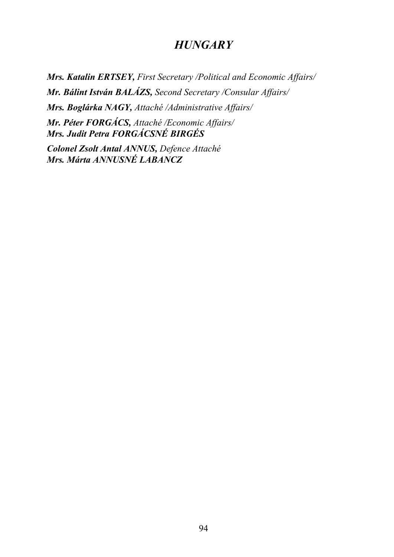## *HUNGARY*

*Mrs. Katalin ERTSEY, First Secretary /Political and Economic Affairs/ Mr. Bálint István BALÁZS, Second Secretary /Consular Affairs/ Mrs. Boglárka NAGY, Attaché /Administrative Affairs/ Mr. Péter FORGÁCS, Attaché /Economic Affairs/ Mrs. Judit Petra FORGÁCSNÉ BIRGÉS*

*Colonel Zsolt Antal ANNUS, Defence Attaché Mrs. Márta ANNUSNÉ LABANCZ*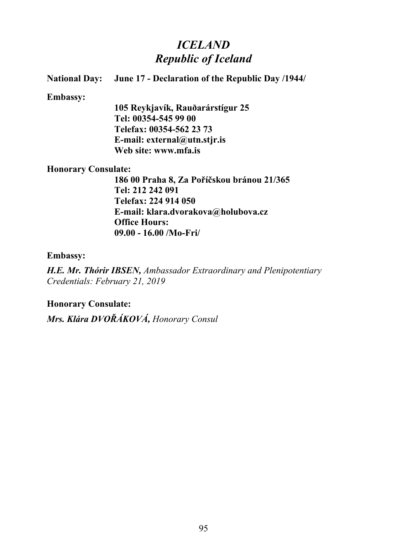# *ICELAND Republic of Iceland*

## **National Day: June 17 - Declaration of the Republic Day /1944/ Embassy: 105 Reykjavík, Rauðarárstígur 25 Tel: 00354-545 99 00 Telefax: 00354-562 23 73 E-mail: external@utn.stjr.is Web site: www.mfa.is Honorary Consulate: 186 00 Praha 8, Za Poříčskou bránou 21/365 Tel: 212 242 091 Telefax: 224 914 050 E-mail: klara.dvorakova@holubova.cz**

## **Embassy:**

*H.E. Mr. Thórir IBSEN, Ambassador Extraordinary and Plenipotentiary Credentials: February 21, 2019*

**Honorary Consulate:**

*Mrs. Klára DVOŘÁKOVÁ, Honorary Consul* 

**Office Hours:**

**09.00 - 16.00 /Mo-Fri/**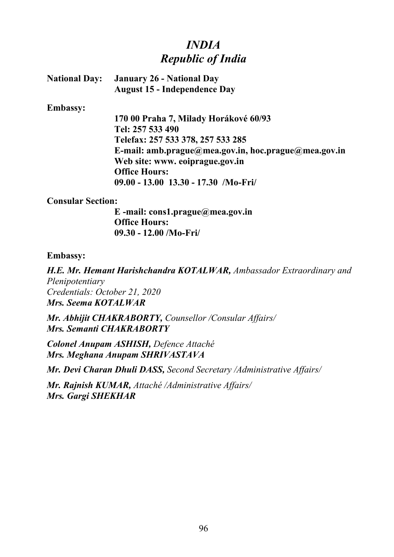# *INDIA Republic of India*

| <b>National Day:</b> January 26 - National Day |
|------------------------------------------------|
| <b>August 15 - Independence Day</b>            |

#### **Embassy:**

**170 00 Praha 7, Milady Horákové 60/93 Tel: 257 533 490 Telefax: 257 533 378, 257 533 285 E-mail: amb.prague@mea.gov.in, hoc.prague@mea.gov.in Web site: www. eoiprague.gov.in Office Hours: 09.00 - 13.00 13.30 - 17.30 /Mo-Fri/**

### **Consular Section:**

**E -mail: cons1.prague@mea.gov.in Office Hours: 09.30 - 12.00 /Mo-Fri/**

### **Embassy:**

*H.E. Mr. Hemant Harishchandra KOTALWAR, Ambassador Extraordinary and Plenipotentiary Credentials: October 21, 2020 Mrs. Seema KOTALWAR*

*Mr. Abhijit CHAKRABORTY, Counsellor /Consular Affairs/ Mrs. Semanti CHAKRABORTY* 

*Colonel Anupam ASHISH, Defence Attaché Mrs. Meghana Anupam SHRIVASTAVA*

*Mr. Devi Charan Dhuli DASS, Second Secretary /Administrative Affairs/*

*Mr. Rajnish KUMAR, Attaché /Administrative Affairs/ Mrs. Gargi SHEKHAR*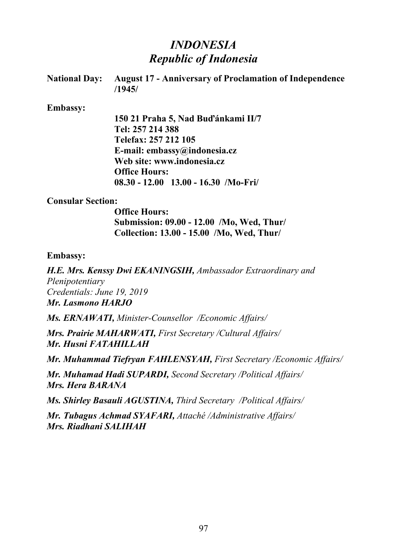# *INDONESIA Republic of Indonesia*

| National Day: August 17 - Anniversary of Proclamation of Independence |
|-----------------------------------------------------------------------|
| /1945/                                                                |

#### **Embassy:**

**150 21 Praha 5, Nad Buďánkami II/7 Tel: 257 214 388 Telefax: 257 212 105 E-mail: embassy@indonesia.cz Web site: www.indonesia.cz Office Hours: 08.30 - 12.00 13.00 - 16.30 /Mo-Fri/**

### **Consular Section:**

**Office Hours: Submission: 09.00 - 12.00 /Mo, Wed, Thur/ Collection: 13.00 - 15.00 /Mo, Wed, Thur/**

### **Embassy:**

*H.E. Mrs. Kenssy Dwi EKANINGSIH, Ambassador Extraordinary and Plenipotentiary Credentials: June 19, 2019 Mr. Lasmono HARJO*

*Ms. ERNAWATI, Minister-Counsellor /Economic Affairs/*

*Mrs. Prairie MAHARWATI, First Secretary /Cultural Affairs/ Mr. Husni FATAHILLAH*

*Mr. Muhammad Tiefryan FAHLENSYAH, First Secretary /Economic Affairs/* 

*Mr. Muhamad Hadi SUPARDI, Second Secretary /Political Affairs/ Mrs. Hera BARANA*

*Ms. Shirley Basauli AGUSTINA, Third Secretary /Political Affairs/*

*Mr. Tubagus Achmad SYAFARI, Attaché /Administrative Affairs/ Mrs. Riadhani SALIHAH*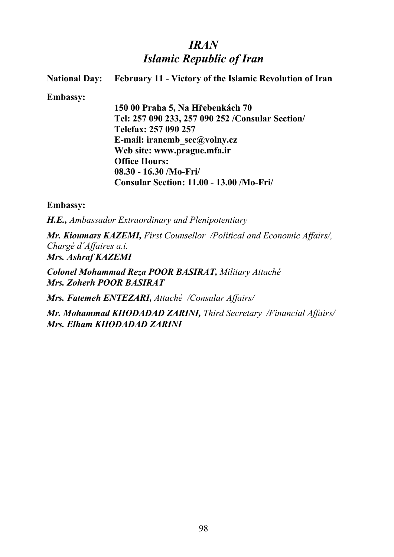# *IRAN Islamic Republic of Iran*

| <b>National Day:</b> | <b>February 11 - Victory of the Islamic Revolution of Iran</b> |
|----------------------|----------------------------------------------------------------|
| <b>Embassy:</b>      |                                                                |
|                      | 150 00 Praha 5, Na Hřebenkách 70                               |
|                      | Tel: 257 090 233, 257 090 252 / Consular Section/              |
|                      | Telefax: 257 090 257                                           |
|                      | E-mail: iranemb $sec(\vec{a})$ volny.cz                        |
|                      | Web site: www.prague.mfa.ir                                    |
|                      | <b>Office Hours:</b>                                           |
|                      | $08.30 - 16.30$ /Mo-Fri/                                       |
|                      | Consular Section: 11.00 - 13.00 /Mo-Fri/                       |
|                      |                                                                |
|                      |                                                                |

**Embassy:**

*H.E., Ambassador Extraordinary and Plenipotentiary* 

*Mr. Kioumars KAZEMI, First Counsellor /Political and Economic Affairs/, Chargé d´Affaires a.i. Mrs. Ashraf KAZEMI*

*Colonel Mohammad Reza POOR BASIRAT, Military Attaché Mrs. Zoherh POOR BASIRAT*

*Mrs. Fatemeh ENTEZARI, Attaché /Consular Affairs/*

*Mr. Mohammad KHODADAD ZARINI, Third Secretary /Financial Affairs/ Mrs. Elham KHODADAD ZARINI*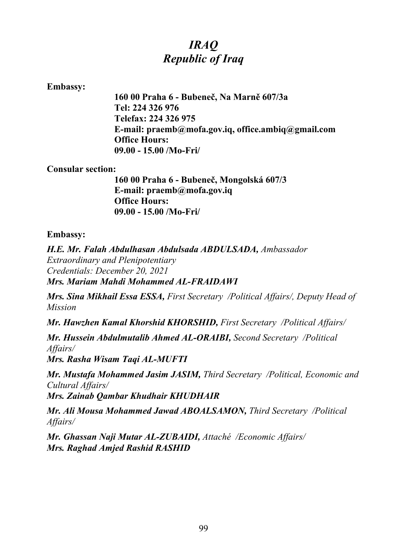# *IRAQ Republic of Iraq*

### **Embassy:**

**160 00 Praha 6 - Bubeneč, Na Marně 607/3a Tel: 224 326 976 Telefax: 224 326 975 E-mail: praemb@mofa.gov.iq, office.ambiq@gmail.com Office Hours: 09.00 - 15.00 /Mo-Fri/**

### **Consular section:**

**160 00 Praha 6 - Bubeneč, Mongolská 607/3 E-mail: praemb@mofa.gov.iq Office Hours: 09.00 - 15.00 /Mo-Fri/**

### **Embassy:**

*H.E. Mr. Falah Abdulhasan Abdulsada ABDULSADA, Ambassador Extraordinary and Plenipotentiary Credentials: December 20, 2021 Mrs. Mariam Mahdi Mohammed AL-FRAIDAWI*

*Mrs. Sina Mikhail Essa ESSA, First Secretary /Political Affairs/, Deputy Head of Mission*

*Mr. Hawzhen Kamal Khorshid KHORSHID, First Secretary /Political Affairs/*

*Mr. Hussein Abdulmutalib Ahmed AL-ORAIBI, Second Secretary /Political Affairs/*

*Mrs. Rasha Wisam Taqi AL-MUFTI*

*Mr. Mustafa Mohammed Jasim JASIM, Third Secretary /Political, Economic and Cultural Affairs/*

*Mrs. Zainab Qambar Khudhair KHUDHAIR*

*Mr. Ali Mousa Mohammed Jawad ABOALSAMON, Third Secretary /Political Affairs/*

*Mr. Ghassan Naji Mutar AL-ZUBAIDI, Attaché /Economic Affairs/ Mrs. Raghad Amjed Rashid RASHID*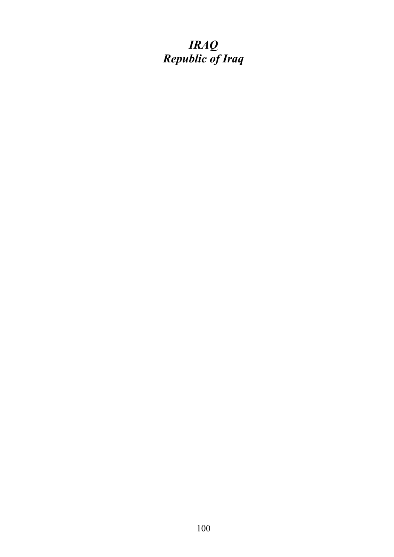# *IRAQ Republic of Iraq*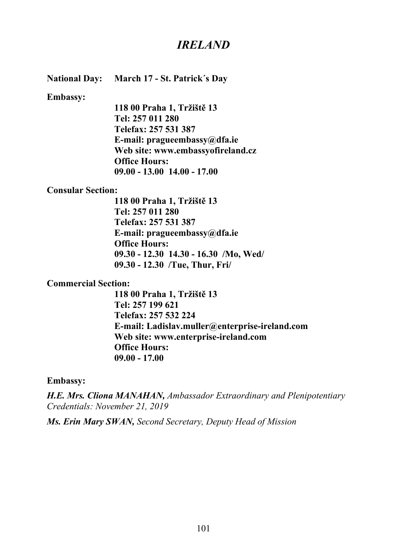## *IRELAND*

**National Day: March 17 - St. Patrick´s Day**

**Embassy:**

**118 00 Praha 1, Tržiště 13 Tel: 257 011 280 Telefax: 257 531 387 E-mail: pragueembassy@dfa.ie Web site: www.embassyofireland.cz Office Hours: 09.00 - 13.00 14.00 - 17.00**

#### **Consular Section:**

**118 00 Praha 1, Tržiště 13 Tel: 257 011 280 Telefax: 257 531 387 E-mail: pragueembassy@dfa.ie Office Hours: 09.30 - 12.30 14.30 - 16.30 /Mo, Wed/ 09.30 - 12.30 /Tue, Thur, Fri/**

#### **Commercial Section:**

**118 00 Praha 1, Tržiště 13 Tel: 257 199 621 Telefax: 257 532 224 E-mail: Ladislav.muller@enterprise-ireland.com Web site: www.enterprise-ireland.com Office Hours: 09.00 - 17.00**

#### **Embassy:**

*H.E. Mrs. Cliona MANAHAN, Ambassador Extraordinary and Plenipotentiary Credentials: November 21, 2019*

*Ms. Erin Mary SWAN, Second Secretary, Deputy Head of Mission*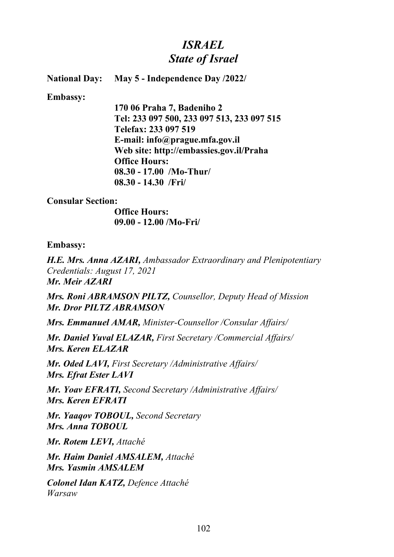# *ISRAEL State of Israel*

**National Day: May 5 - Independence Day /2022/**

#### **Embassy:**

**170 06 Praha 7, Badeniho 2 Tel: 233 097 500, 233 097 513, 233 097 515 Telefax: 233 097 519 E-mail: info@prague.mfa.gov.il Web site: http://embassies.gov.il/Praha Office Hours: 08.30 - 17.00 /Mo-Thur/ 08.30 - 14.30 /Fri/**

### **Consular Section:**

**Office Hours: 09.00 - 12.00 /Mo-Fri/**

### **Embassy:**

*H.E. Mrs. Anna AZARI, Ambassador Extraordinary and Plenipotentiary Credentials: August 17, 2021 Mr. Meir AZARI*

*Mrs. Roni ABRAMSON PILTZ, Counsellor, Deputy Head of Mission Mr. Dror PILTZ ABRAMSON*

*Mrs. Emmanuel AMAR, Minister-Counsellor /Consular Affairs/*

*Mr. Daniel Yuval ELAZAR, First Secretary /Commercial Affairs/ Mrs. Keren ELAZAR*

*Mr. Oded LAVI, First Secretary /Administrative Affairs/ Mrs. Efrat Ester LAVI*

*Mr. Yoav EFRATI, Second Secretary /Administrative Affairs/ Mrs. Keren EFRATI*

*Mr. Yaaqov TOBOUL, Second Secretary Mrs. Anna TOBOUL*

*Mr. Rotem LEVI, Attaché* 

*Mr. Haim Daniel AMSALEM, Attaché Mrs. Yasmin AMSALEM*

*Colonel Idan KATZ, Defence Attaché Warsaw*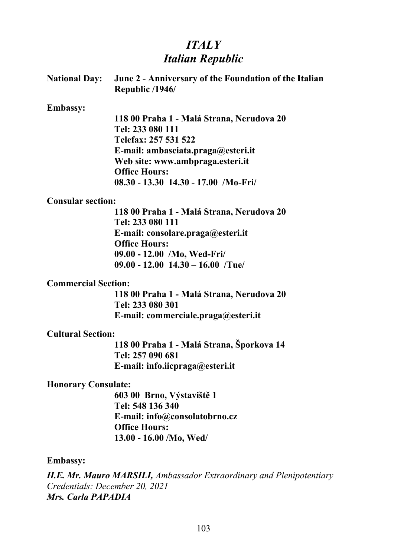# *ITALY Italian Republic*

| <b>National Day:</b>       | June 2 - Anniversary of the Foundation of the Italian<br>Republic /1946/    |
|----------------------------|-----------------------------------------------------------------------------|
| <b>Embassy:</b>            |                                                                             |
|                            | 118 00 Praha 1 - Malá Strana, Nerudova 20                                   |
|                            | Tel: 233 080 111                                                            |
|                            | Telefax: 257 531 522                                                        |
|                            | E-mail: ambasciata.praga@esteri.it                                          |
|                            | Web site: www.ambpraga.esteri.it                                            |
|                            | <b>Office Hours:</b>                                                        |
|                            | $08.30 - 13.30$ 14.30 - 17.00 /Mo-Fri/                                      |
| <b>Consular section:</b>   |                                                                             |
|                            | 118 00 Praha 1 - Malá Strana, Nerudova 20                                   |
|                            | Tel: 233 080 111                                                            |
|                            | E-mail: consolare.praga@esteri.it                                           |
|                            | <b>Office Hours:</b>                                                        |
|                            | 09.00 - 12.00 /Mo, Wed-Fri/                                                 |
|                            | $09.00 - 12.00$ 14.30 - 16.00 Tue                                           |
| <b>Commercial Section:</b> |                                                                             |
|                            | 118 00 Praha 1 - Malá Strana, Nerudova 20                                   |
|                            | Tel: 233 080 301                                                            |
|                            | E-mail: commerciale.praga@esteri.it                                         |
| <b>Cultural Section:</b>   |                                                                             |
|                            | 118 00 Praha 1 - Malá Strana, Šporkova 14                                   |
|                            | Tel: 257 090 681                                                            |
|                            | E-mail: info.iicpraga@esteri.it                                             |
| <b>Honorary Consulate:</b> |                                                                             |
|                            | 603 00 Brno, Výstaviště 1                                                   |
|                            | Tel: 548 136 340                                                            |
|                            | E-mail: info@consolatobrno.cz                                               |
|                            | <b>Office Hours:</b>                                                        |
|                            | $13.00 - 16.00$ /Mo, Wed/                                                   |
| <b>Embassy:</b>            |                                                                             |
|                            | <b>H.E. Mr. Mauro MARSILI, Ambassador Extraordinary and Plenipotentiary</b> |

*Credentials: December 20, 2021 Mrs. Carla PAPADIA*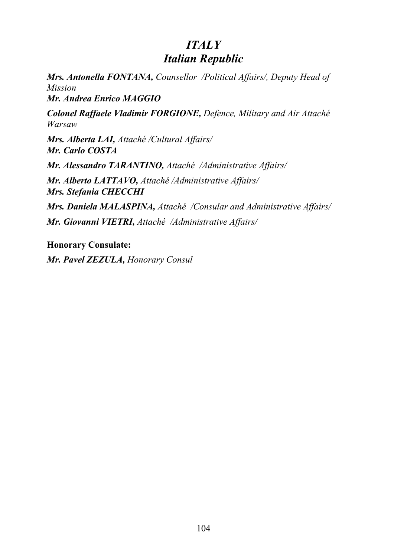# *ITALY Italian Republic*

*Mrs. Antonella FONTANA, Counsellor /Political Affairs/, Deputy Head of Mission*

*Mr. Andrea Enrico MAGGIO*

*Colonel Raffaele Vladimir FORGIONE, Defence, Military and Air Attaché Warsaw* 

*Mrs. Alberta LAI, Attaché /Cultural Affairs/ Mr. Carlo COSTA*

*Mr. Alessandro TARANTINO, Attaché /Administrative Affairs/*

*Mr. Alberto LATTAVO, Attaché /Administrative Affairs/ Mrs. Stefania CHECCHI*

*Mrs. Daniela MALASPINA, Attaché /Consular and Administrative Affairs/ Mr. Giovanni VIETRI, Attaché /Administrative Affairs/*

**Honorary Consulate:**

*Mr. Pavel ZEZULA, Honorary Consul*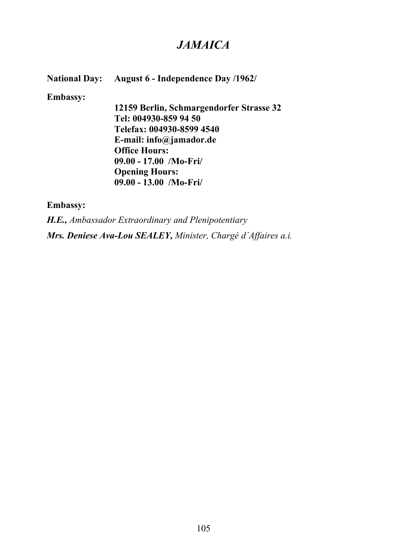## *JAMAICA*

**National Day: August 6 - Independence Day /1962/**

**Embassy:**

**12159 Berlin, Schmargendorfer Strasse 32 Tel: 004930-859 94 50 Telefax: 004930-8599 4540 E-mail: info@jamador.de Office Hours: 09.00 - 17.00 /Mo-Fri/ Opening Hours: 09.00 - 13.00 /Mo-Fri/**

**Embassy:**

*H.E., Ambassador Extraordinary and Plenipotentiary Mrs. Deniese Ava-Lou SEALEY, Minister, Chargé d´Affaires a.i.*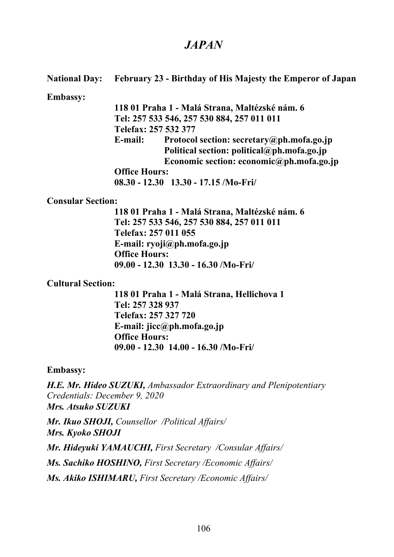## *JAPAN*

### **National Day: February 23 - Birthday of His Majesty the Emperor of Japan**

#### **Embassy:**

**118 01 Praha 1 - Malá Strana, Maltézské nám. 6 Tel: 257 533 546, 257 530 884, 257 011 011 Telefax: 257 532 377 E-mail: Protocol section: secretary@ph.mofa.go.jp Political section: political@ph.mofa.go.jp Economic section: economic@ph.mofa.go.jp Office Hours:**

**08.30 - 12.30 13.30 - 17.15 /Mo-Fri/**

#### **Consular Section:**

**118 01 Praha 1 - Malá Strana, Maltézské nám. 6 Tel: 257 533 546, 257 530 884, 257 011 011 Telefax: 257 011 055 E-mail: ryoji@ph.mofa.go.jp Office Hours: 09.00 - 12.30 13.30 - 16.30 /Mo-Fri/**

### **Cultural Section:**

**118 01 Praha 1 - Malá Strana, Hellichova 1 Tel: 257 328 937 Telefax: 257 327 720 E-mail: jicc@ph.mofa.go.jp Office Hours: 09.00 - 12.30 14.00 - 16.30 /Mo-Fri/**

### **Embassy:**

*H.E. Mr. Hideo SUZUKI, Ambassador Extraordinary and Plenipotentiary Credentials: December 9, 2020 Mrs. Atsuko SUZUKI*

*Mr. Ikuo SHOJI, Counsellor /Political Affairs/ Mrs. Kyoko SHOJI*

*Mr. Hideyuki YAMAUCHI, First Secretary /Consular Affairs/*

*Ms. Sachiko HOSHINO, First Secretary /Economic Affairs/*

*Ms. Akiko ISHIMARU, First Secretary /Economic Affairs/*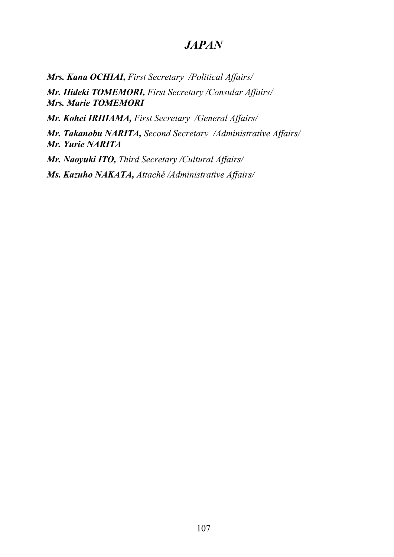## *JAPAN*

*Mrs. Kana OCHIAI, First Secretary /Political Affairs/*

*Mr. Hideki TOMEMORI, First Secretary /Consular Affairs/ Mrs. Marie TOMEMORI*

*Mr. Kohei IRIHAMA, First Secretary /General Affairs/*

*Mr. Takanobu NARITA, Second Secretary /Administrative Affairs/ Mr. Yurie NARITA*

*Mr. Naoyuki ITO, Third Secretary /Cultural Affairs/ Ms. Kazuho NAKATA, Attaché /Administrative Affairs/*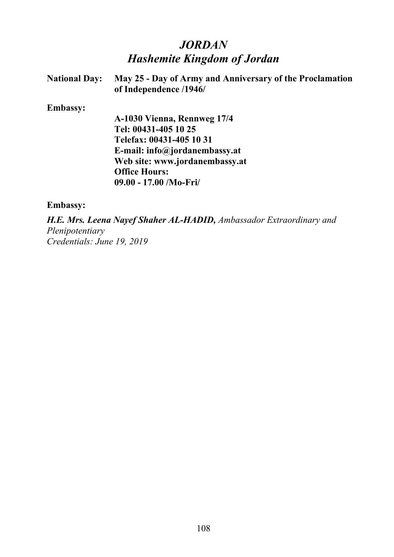# *JORDAN Hashemite Kingdom of Jordan*

| <b>National Day:</b> | May 25 - Day of Army and Anniversary of the Proclamation<br>of Independence /1946/ |
|----------------------|------------------------------------------------------------------------------------|
| <b>Embassy:</b>      |                                                                                    |
|                      | A-1030 Vienna, Rennweg 17/4                                                        |
|                      | Tel: 00431-405 10 25                                                               |
|                      | Telefax: 00431-405 10 31                                                           |
|                      | E-mail: $info@jordanembassy.at$                                                    |
|                      | Web site: www.jordanembassy.at                                                     |
|                      | <b>Office Hours:</b>                                                               |
|                      | $09.00 - 17.00$ /Mo-Fri/                                                           |

#### **Embassy:**

*H.E. Mrs. Leena Nayef Shaher AL-HADID, Ambassador Extraordinary and Plenipotentiary Credentials: June 19, 2019*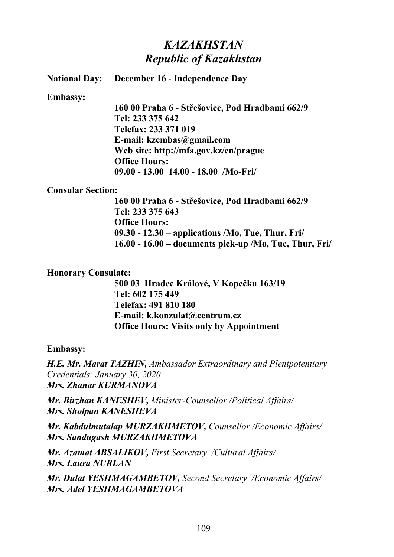# *KAZAKHSTAN Republic of Kazakhstan*

#### **National Day: December 16 - Independence Day**

#### **Embassy:**

**160 00 Praha 6 - Střešovice, Pod Hradbami 662/9 Tel: 233 375 642 Telefax: 233 371 019 E-mail: kzembas@gmail.com Web site: http://mfa.gov.kz/en/prague Office Hours: 09.00 - 13.00 14.00 - 18.00 /Mo-Fri/**

#### **Consular Section:**

**160 00 Praha 6 - Střešovice, Pod Hradbami 662/9 Tel: 233 375 643 Office Hours: 09.30 - 12.30 – applications /Mo, Tue, Thur, Fri/ 16.00 - 16.00 – documents pick-up /Mo, Tue, Thur, Fri/**

#### **Honorary Consulate:**

**500 03 Hradec Králové, V Kopečku 163/19 Tel: 602 175 449 Telefax: 491 810 180 E-mail: k.konzulat@centrum.cz Office Hours: Visits only by Appointment**

#### **Embassy:**

*H.E. Mr. Marat TAZHIN, Ambassador Extraordinary and Plenipotentiary Credentials: January 30, 2020 Mrs. Zhanar KURMANOVA*

*Mr. Birzhan KANESHEV, Minister-Counsellor /Political Affairs/ Mrs. Sholpan KANESHEVA*

*Mr. Kabdulmutalap MURZAKHMETOV, Counsellor /Economic Affairs/ Mrs. Sandugash MURZAKHMETOVA*

*Mr. Azamat ABSALIKOV, First Secretary /Cultural Affairs/ Mrs. Laura NURLAN*

*Mr. Dulat YESHMAGAMBETOV, Second Secretary /Economic Affairs/ Mrs. Adel YESHMAGAMBETOVA*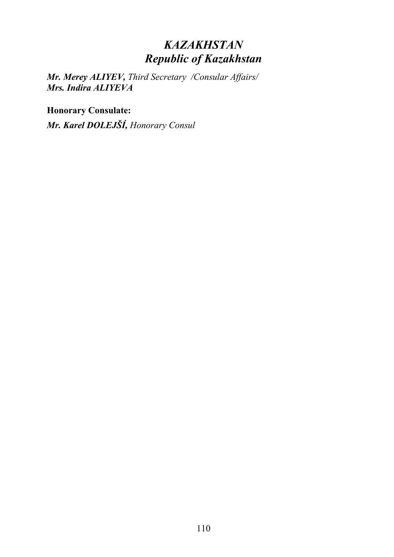# *KAZAKHSTAN Republic of Kazakhstan*

*Mr. Merey ALIYEV, Third Secretary /Consular Affairs/ Mrs. Indira ALIYEVA*

**Honorary Consulate:**

*Mr. Karel DOLEJŠÍ, Honorary Consul*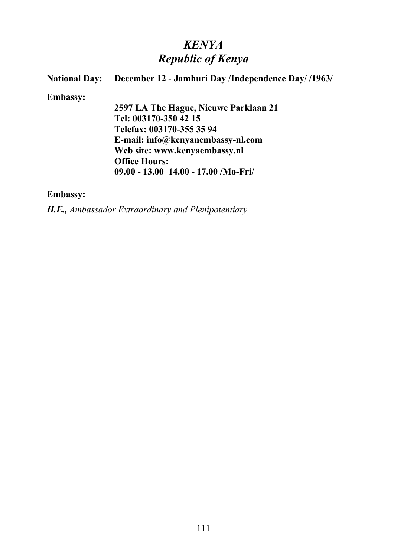# *KENYA Republic of Kenya*

# **National Day:** December 12 - Jamhuri Day /Independence Day/ /1963/ **Embassy: 2597 LA The Hague, Nieuwe Parklaan 21 Tel: 003170-350 42 15 Telefax: 003170-355 35 94 E-mail: info@kenyanembassy-nl.com Web site: www.kenyaembassy.nl Office Hours: 09.00 - 13.00 14.00 - 17.00 /Mo-Fri/**

### **Embassy:**

*H.E., Ambassador Extraordinary and Plenipotentiary*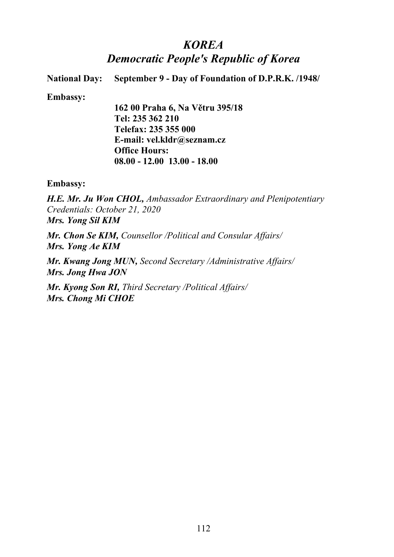## *KOREA Democratic People's Republic of Korea*

**National Day: September 9 - Day of Foundation of D.P.R.K. /1948/**

**Embassy:**

**162 00 Praha 6, Na Větru 395/18 Tel: 235 362 210 Telefax: 235 355 000 E-mail: vel.kldr@seznam.cz Office Hours: 08.00 - 12.00 13.00 - 18.00**

**Embassy:**

*H.E. Mr. Ju Won CHOL, Ambassador Extraordinary and Plenipotentiary Credentials: October 21, 2020 Mrs. Yong Sil KIM*

*Mr. Chon Se KIM, Counsellor /Political and Consular Affairs/ Mrs. Yong Ae KIM*

*Mr. Kwang Jong MUN, Second Secretary /Administrative Affairs/ Mrs. Jong Hwa JON*

*Mr. Kyong Son RI, Third Secretary /Political Affairs/ Mrs. Chong Mi CHOE*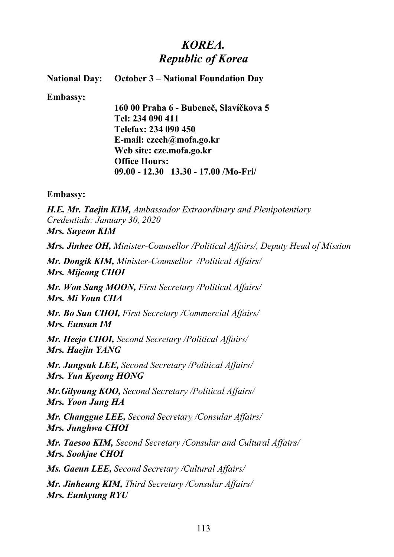# *KOREA. Republic of Korea*

#### **National Day: October 3 – National Foundation Day**

**Embassy:**

**160 00 Praha 6 - Bubeneč, Slavíčkova 5 Tel: 234 090 411 Telefax: 234 090 450 E-mail: czech@mofa.go.kr Web site: cze.mofa.go.kr Office Hours: 09.00 - 12.30 13.30 - 17.00 /Mo-Fri/**

**Embassy:**

*H.E. Mr. Taejin KIM, Ambassador Extraordinary and Plenipotentiary Credentials: January 30, 2020 Mrs. Suyeon KIM*

*Mrs. Jinhee OH, Minister-Counsellor /Political Affairs/, Deputy Head of Mission*

*Mr. Dongik KIM, Minister-Counsellor /Political Affairs/ Mrs. Mijeong CHOI*

*Mr. Won Sang MOON, First Secretary /Political Affairs/ Mrs. Mi Youn CHA*

*Mr. Bo Sun CHOI, First Secretary /Commercial Affairs/ Mrs. Eunsun IM*

*Mr. Heejo CHOI, Second Secretary /Political Affairs/ Mrs. Haejin YANG*

*Mr. Jungsuk LEE, Second Secretary /Political Affairs/ Mrs. Yun Kyeong HONG*

*Mr.Gilyoung KOO, Second Secretary /Political Affairs/ Mrs. Yoon Jung HA*

*Mr. Changgue LEE, Second Secretary /Consular Affairs/ Mrs. Junghwa CHOI*

*Mr. Taesoo KIM, Second Secretary /Consular and Cultural Affairs/ Mrs. Sookjae CHOI*

*Ms. Gaeun LEE, Second Secretary /Cultural Affairs/*

*Mr. Jinheung KIM, Third Secretary /Consular Affairs/ Mrs. Eunkyung RYU*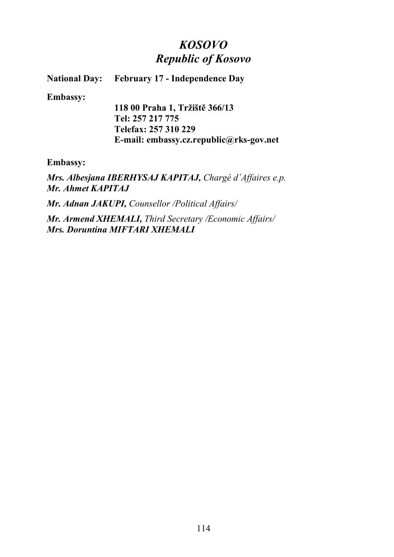# *KOSOVO Republic of Kosovo*

**National Day: February 17 - Independence Day**

**Embassy:**

**118 00 Praha 1, Tržiště 366/13 Tel: 257 217 775 Telefax: 257 310 229 E-mail: embassy.cz.republic@rks-gov.net**

**Embassy:**

*Mrs. Albesjana IBERHYSAJ KAPITAJ, Chargé d´Affaires e.p. Mr. Ahmet KAPITAJ*

*Mr. Adnan JAKUPI, Counsellor /Political Affairs/*

*Mr. Armend XHEMALI, Third Secretary /Economic Affairs/ Mrs. Doruntina MIFTARI XHEMALI*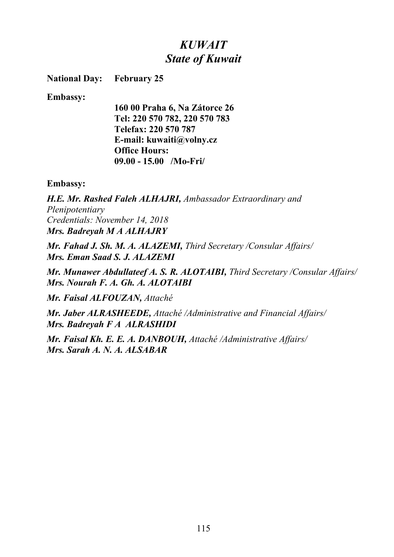# *KUWAIT State of Kuwait*

**National Day: February 25**

**Embassy:**

**160 00 Praha 6, Na Zátorce 26 Tel: 220 570 782, 220 570 783 Telefax: 220 570 787 E-mail: kuwaiti@volny.cz Office Hours: 09.00 - 15.00 /Mo-Fri/**

#### **Embassy:**

*H.E. Mr. Rashed Faleh ALHAJRI, Ambassador Extraordinary and Plenipotentiary Credentials: November 14, 2018 Mrs. Badreyah M A ALHAJRY*

*Mr. Fahad J. Sh. M. A. ALAZEMI, Third Secretary /Consular Affairs/ Mrs. Eman Saad S. J. ALAZEMI*

*Mr. Munawer Abdullateef A. S. R. ALOTAIBI, Third Secretary /Consular Affairs/ Mrs. Nourah F. A. Gh. A. ALOTAIBI*

*Mr. Faisal ALFOUZAN, Attaché* 

*Mr. Jaber ALRASHEEDE, Attaché /Administrative and Financial Affairs/ Mrs. Badreyah F A ALRASHIDI*

*Mr. Faisal Kh. E. E. A. DANBOUH, Attaché /Administrative Affairs/ Mrs. Sarah A. N. A. ALSABAR*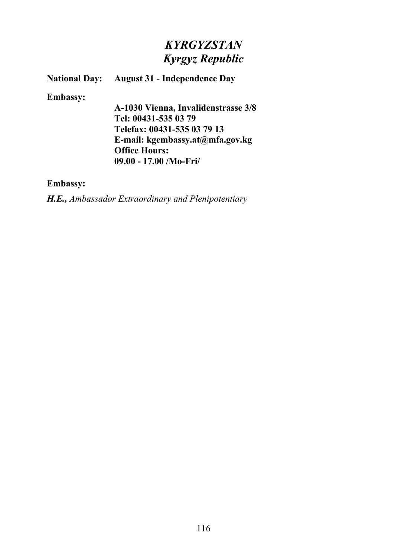# *KYRGYZSTAN Kyrgyz Republic*

### **National Day: August 31 - Independence Day**

#### **Embassy:**

**A-1030 Vienna, Invalidenstrasse 3/8 Tel: 00431-535 03 79 Telefax: 00431-535 03 79 13 E-mail: kgembassy.at@mfa.gov.kg Office Hours: 09.00 - 17.00 /Mo-Fri/**

#### **Embassy:**

*H.E., Ambassador Extraordinary and Plenipotentiary*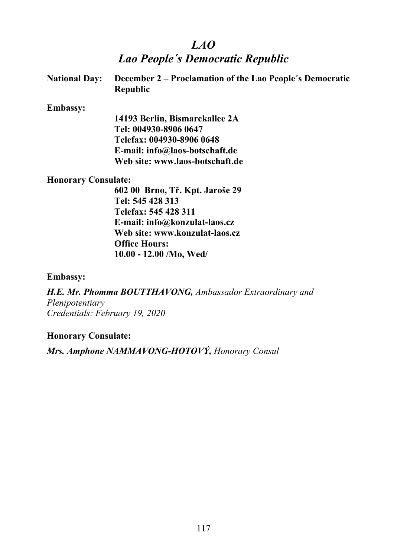## *LAO*

## *Lao People´s Democratic Republic*

| National Day: December 2 – Proclamation of the Lao People's Democratic |
|------------------------------------------------------------------------|
| <b>Republic</b>                                                        |

#### **Embassy:**

**14193 Berlin, Bismarckallee 2A Tel: 004930-8906 0647 Telefax: 004930-8906 0648 E-mail: info@laos-botschaft.de Web site: www.laos-botschaft.de**

#### **Honorary Consulate:**

**602 00 Brno, Tř. Kpt. Jaroše 29 Tel: 545 428 313 Telefax: 545 428 311 E-mail: info@konzulat-laos.cz Web site: www.konzulat-laos.cz Office Hours: 10.00 - 12.00 /Mo, Wed/**

#### **Embassy:**

*H.E. Mr. Phomma BOUTTHAVONG, Ambassador Extraordinary and Plenipotentiary Credentials: February 19, 2020*

#### **Honorary Consulate:**

*Mrs. Amphone NAMMAVONG-HOTOVÝ, Honorary Consul*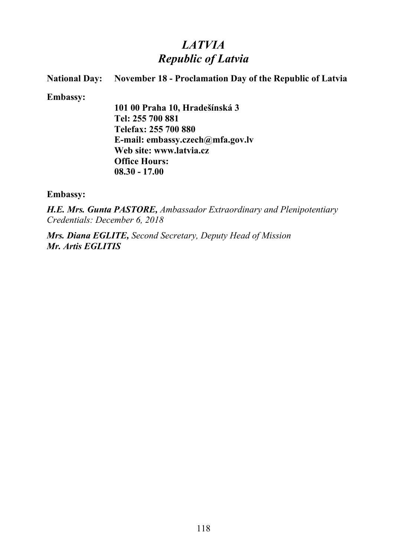# *LATVIA Republic of Latvia*

### **National Day: November 18 - Proclamation Day of the Republic of Latvia**

**Embassy:**

**101 00 Praha 10, Hradešínská 3 Tel: 255 700 881 Telefax: 255 700 880 E-mail: embassy.czech@mfa.gov.lv Web site: www.latvia.cz Office Hours: 08.30 - 17.00**

**Embassy:**

*H.E. Mrs. Gunta PASTORE, Ambassador Extraordinary and Plenipotentiary Credentials: December 6, 2018*

*Mrs. Diana EGLITE, Second Secretary, Deputy Head of Mission Mr. Artis EGLITIS*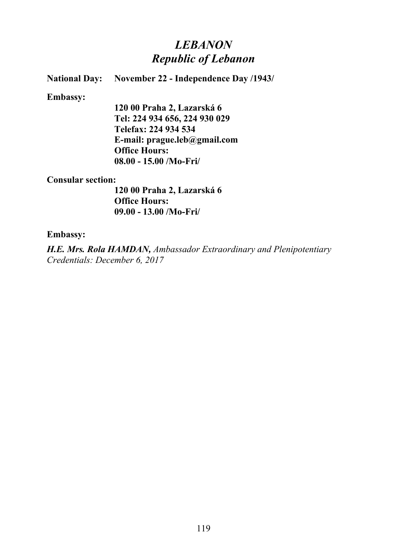# *LEBANON Republic of Lebanon*

### **National Day: November 22 - Independence Day /1943/**

#### **Embassy:**

**120 00 Praha 2, Lazarská 6 Tel: 224 934 656, 224 930 029 Telefax: 224 934 534 E-mail: prague.leb@gmail.com Office Hours: 08.00 - 15.00 /Mo-Fri/**

#### **Consular section:**

**120 00 Praha 2, Lazarská 6 Office Hours: 09.00 - 13.00 /Mo-Fri/**

#### **Embassy:**

*H.E. Mrs. Rola HAMDAN, Ambassador Extraordinary and Plenipotentiary Credentials: December 6, 2017*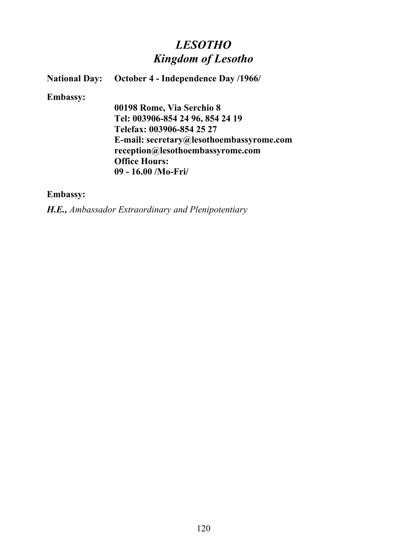# *LESOTHO Kingdom of Lesotho*

### **National Day:** October 4 - Independence Day /1966/

#### **Embassy:**

**00198 Rome, Via Serchio 8 Tel: 003906-854 24 96, 854 24 19 Telefax: 003906-854 25 27 E-mail: secretary@lesothoembassyrome.com reception@lesothoembassyrome.com Office Hours: 09 - 16.00 /Mo-Fri/**

### **Embassy:**

*H.E., Ambassador Extraordinary and Plenipotentiary*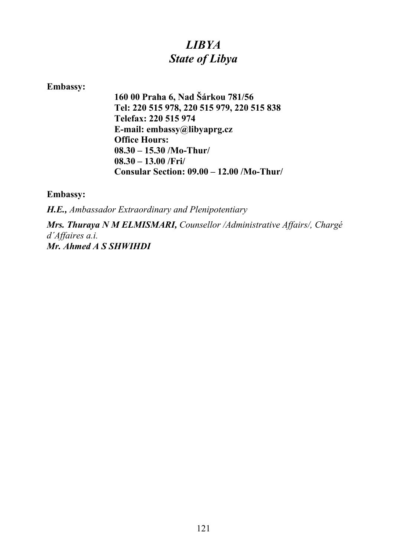# *LIBYA State of Libya*

### **Embassy:**

**160 00 Praha 6, Nad Šárkou 781/56 Tel: 220 515 978, 220 515 979, 220 515 838 Telefax: 220 515 974 E-mail: embassy@libyaprg.cz Office Hours: 08.30 – 15.30 /Mo-Thur/ 08.30 – 13.00 /Fri/ Consular Section: 09.00 – 12.00 /Mo-Thur/**

**Embassy:**

*H.E., Ambassador Extraordinary and Plenipotentiary*

*Mrs. Thuraya N M ELMISMARI, Counsellor /Administrative Affairs/, Chargé d´Affaires a.i. Mr. Ahmed A S SHWIHDI*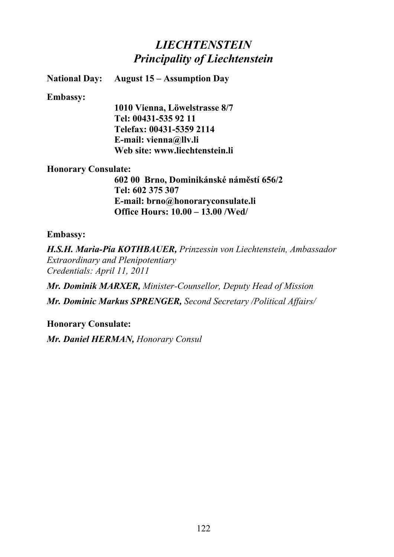# *LIECHTENSTEIN Principality of Liechtenstein*

**National Day: August 15 – Assumption Day**

#### **Embassy:**

**1010 Vienna, Löwelstrasse 8/7 Tel: 00431-535 92 11 Telefax: 00431-5359 2114 E-mail: vienna@llv.li Web site: www.liechtenstein.li**

#### **Honorary Consulate:**

**602 00 Brno, Dominikánské náměstí 656/2 Tel: 602 375 307 E-mail: brno@honoraryconsulate.li Office Hours: 10.00 – 13.00 /Wed/**

#### **Embassy:**

*H.S.H. Maria-Pia KOTHBAUER, Prinzessin von Liechtenstein, Ambassador Extraordinary and Plenipotentiary Credentials: April 11, 2011*

*Mr. Dominik MARXER, Minister-Counsellor, Deputy Head of Mission Mr. Dominic Markus SPRENGER, Second Secretary /Political Affairs/*

**Honorary Consulate:**

*Mr. Daniel HERMAN, Honorary Consul*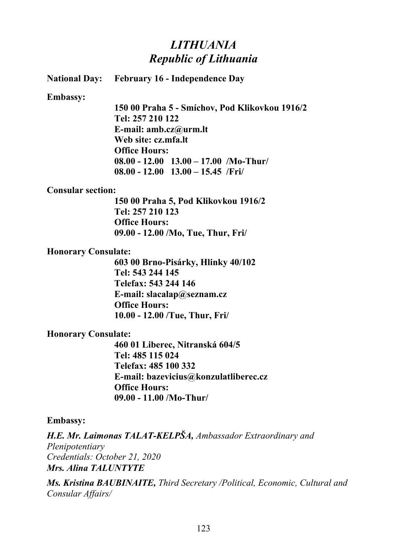## *LITHUANIA Republic of Lithuania*

**National Day: February 16 - Independence Day**

**Embassy:**

**150 00 Praha 5 - Smíchov, Pod Klikovkou 1916/2 Tel: 257 210 122 E-mail: amb.cz@urm.lt Web site: cz.mfa.lt Office Hours: 08.00 - 12.00 13.00 – 17.00 /Mo-Thur/ 08.00 - 12.00 13.00 – 15.45 /Fri/**

#### **Consular section:**

**150 00 Praha 5, Pod Klikovkou 1916/2 Tel: 257 210 123 Office Hours: 09.00 - 12.00 /Mo, Tue, Thur, Fri/**

#### **Honorary Consulate:**

**603 00 Brno-Pisárky, Hlinky 40/102 Tel: 543 244 145 Telefax: 543 244 146 E-mail: slacalap@seznam.cz Office Hours: 10.00 - 12.00 /Tue, Thur, Fri/**

### **Honorary Consulate:**

**460 01 Liberec, Nitranská 604/5 Tel: 485 115 024 Telefax: 485 100 332 E-mail: bazevicius@konzulatliberec.cz Office Hours: 09.00 - 11.00 /Mo-Thur/**

#### **Embassy:**

*H.E. Mr. Laimonas TALAT-KELPŠA, Ambassador Extraordinary and Plenipotentiary Credentials: October 21, 2020 Mrs. Alina TALUNTYTE*

*Ms. Kristina BAUBINAITE, Third Secretary /Political, Economic, Cultural and Consular Affairs/*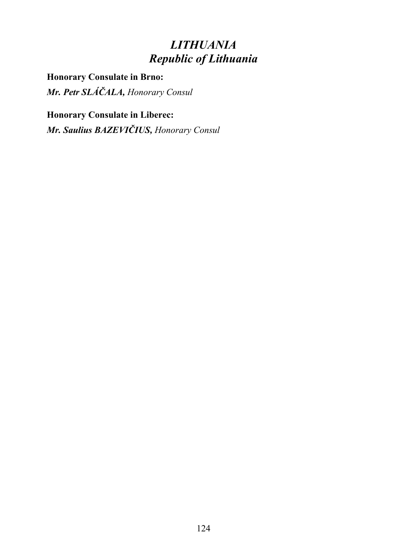# *LITHUANIA Republic of Lithuania*

**Honorary Consulate in Brno:** *Mr. Petr SLÁČALA, Honorary Consul*

**Honorary Consulate in Liberec:** *Mr. Saulius BAZEVIČIUS, Honorary Consul*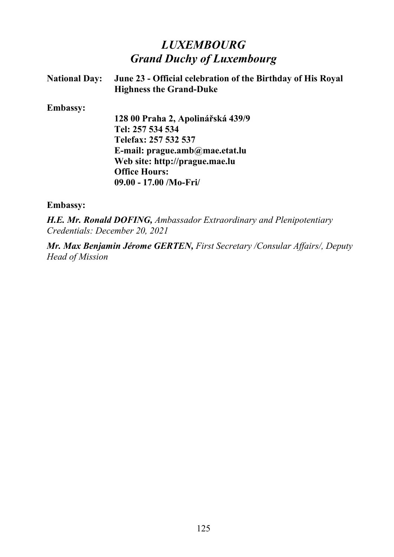# *LUXEMBOURG Grand Duchy of Luxembourg*

| <b>National Day:</b> | June 23 - Official celebration of the Birthday of His Royal<br><b>Highness the Grand-Duke</b> |
|----------------------|-----------------------------------------------------------------------------------------------|
| <b>Embassy:</b>      |                                                                                               |
|                      | 128 00 Praha 2, Apolinářská 439/9                                                             |
|                      | Tel: 257 534 534                                                                              |
|                      | Telefax: 257 532 537                                                                          |
|                      | E-mail: $prague.amb@mae. etat. lu$                                                            |
|                      | Web site: http://prague.mae.lu                                                                |
|                      | <b>Office Hours:</b>                                                                          |
|                      | $09.00 - 17.00$ /Mo-Fri/                                                                      |
| <b>Embassy:</b>      |                                                                                               |

*H.E. Mr. Ronald DOFING, Ambassador Extraordinary and Plenipotentiary Credentials: December 20, 2021*

*Mr. Max Benjamin Jérome GERTEN, First Secretary /Consular Affairs/, Deputy Head of Mission*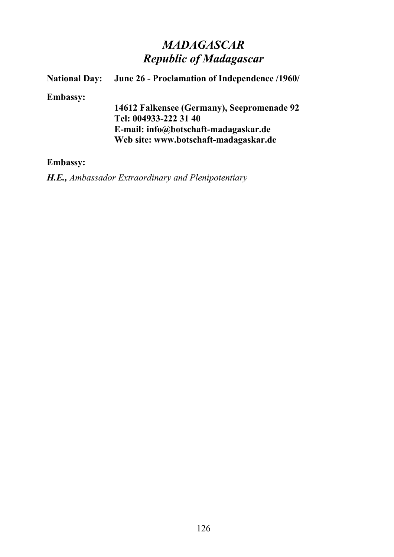# *MADAGASCAR Republic of Madagascar*

# **National Day:** June 26 - Proclamation of Independence /1960/ **Embassy: 14612 Falkensee (Germany), Seepromenade 92 Tel: 004933-222 31 40 E-mail: info@botschaft-madagaskar.de Web site: www.botschaft-madagaskar.de**

#### **Embassy:**

*H.E., Ambassador Extraordinary and Plenipotentiary*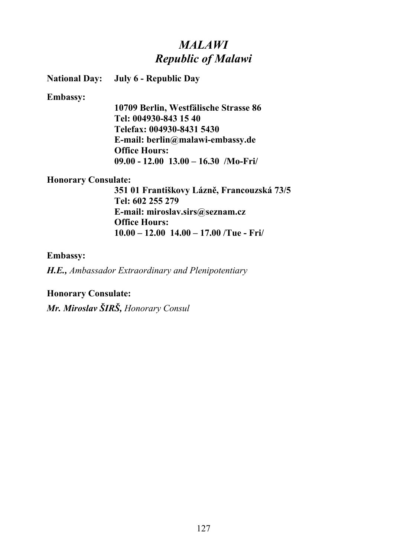# *MALAWI Republic of Malawi*

**National Day: July 6 - Republic Day**

#### **Embassy:**

**10709 Berlin, Westfälische Strasse 86 Tel: 004930-843 15 40 Telefax: 004930-8431 5430 E-mail: berlin@malawi-embassy.de Office Hours: 09.00 - 12.00 13.00 – 16.30 /Mo-Fri/**

#### **Honorary Consulate:**

**351 01 Františkovy Lázně, Francouzská 73/5 Tel: 602 255 279 E-mail: miroslav.sirs@seznam.cz Office Hours: 10.00 – 12.00 14.00 – 17.00 /Tue - Fri/**

#### **Embassy:**

*H.E., Ambassador Extraordinary and Plenipotentiary*

#### **Honorary Consulate:**

*Mr. Miroslav ŠIRŠ, Honorary Consul*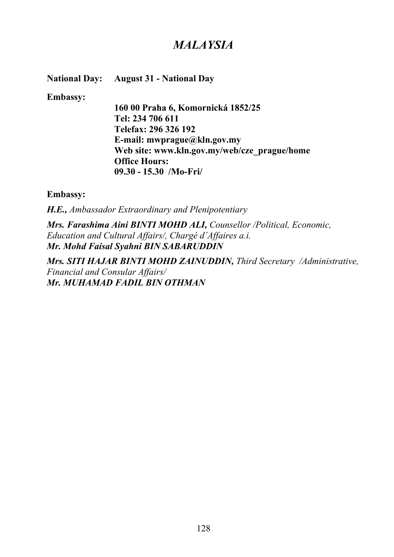## *MALAYSIA*

**National Day: August 31 - National Day**

**Embassy:**

**160 00 Praha 6, Komornická 1852/25 Tel: 234 706 611 Telefax: 296 326 192 E-mail: mwprague@kln.gov.my Web site: www.kln.gov.my/web/cze\_prague/home Office Hours: 09.30 - 15.30 /Mo-Fri/**

**Embassy:**

*H.E., Ambassador Extraordinary and Plenipotentiary*

*Mrs. Farashima Aini BINTI MOHD ALI, Counsellor /Political, Economic, Education and Cultural Affairs/, Chargé d´Affaires a.i. Mr. Mohd Faisal Syahni BIN SABARUDDIN*

*Mrs. SITI HAJAR BINTI MOHD ZAINUDDIN, Third Secretary /Administrative, Financial and Consular Affairs/ Mr. MUHAMAD FADIL BIN OTHMAN*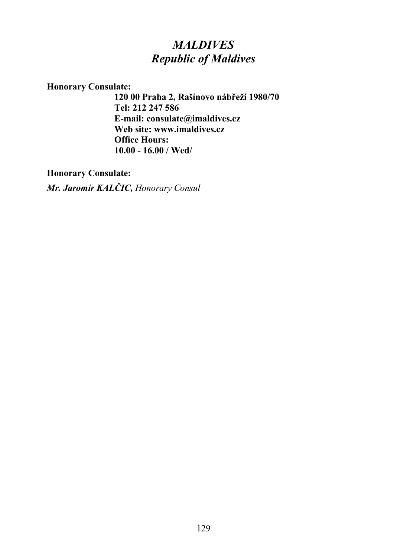# *MALDIVES Republic of Maldives*

### **Honorary Consulate:**

**120 00 Praha 2, Rašínovo nábřeží 1980/70 Tel: 212 247 586 E-mail: consulate@imaldives.cz Web site: www.imaldives.cz Office Hours: 10.00 - 16.00 / Wed/**

### **Honorary Consulate:**

*Mr. Jaromír KALČIC, Honorary Consul*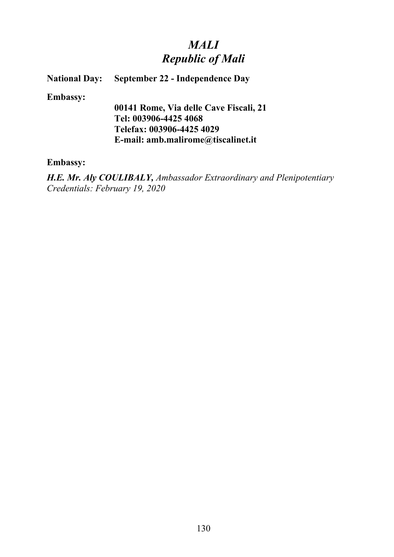# *MALI Republic of Mali*

#### **National Day: September 22 - Independence Day**

**Embassy:**

**00141 Rome, Via delle Cave Fiscali, 21 Tel: 003906-4425 4068 Telefax: 003906-4425 4029 E-mail: amb.malirome@tiscalinet.it**

#### **Embassy:**

*H.E. Mr. Aly COULIBALY, Ambassador Extraordinary and Plenipotentiary Credentials: February 19, 2020*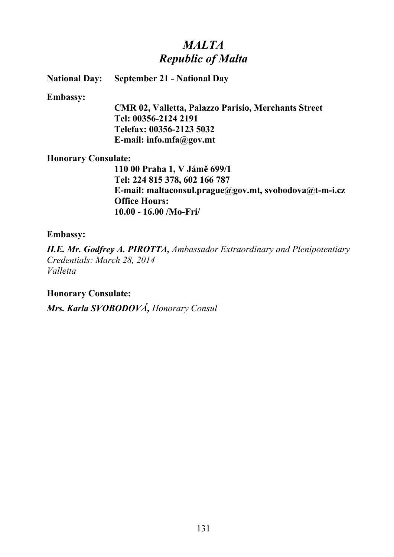# *MALTA Republic of Malta*

**National Day: September 21 - National Day**

#### **Embassy:**

**CMR 02, Valletta, Palazzo Parisio, Merchants Street Tel: 00356-2124 2191 Telefax: 00356-2123 5032 E-mail: info.mfa@gov.mt**

### **Honorary Consulate:**

**110 00 Praha 1, V Jámě 699/1 Tel: 224 815 378, 602 166 787 E-mail: maltaconsul.prague@gov.mt, svobodova@t-m-i.cz Office Hours: 10.00 - 16.00 /Mo-Fri/**

### **Embassy:**

*H.E. Mr. Godfrey A. PIROTTA, Ambassador Extraordinary and Plenipotentiary Credentials: March 28, 2014 Valletta*

### **Honorary Consulate:**

*Mrs. Karla SVOBODOVÁ, Honorary Consul*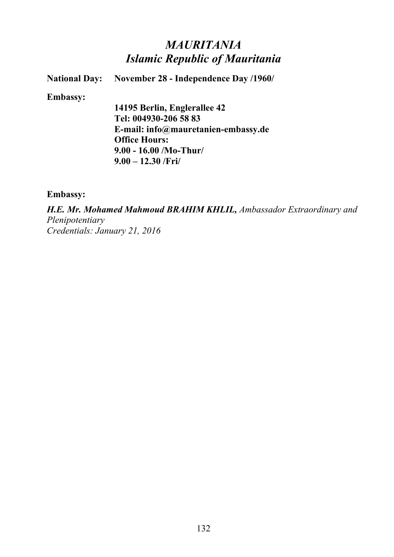## *MAURITANIA Islamic Republic of Mauritania*

**National Day: November 28 - Independence Day /1960/**

**Embassy:**

**14195 Berlin, Englerallee 42 Tel: 004930-206 58 83 E-mail: info@mauretanien-embassy.de Office Hours: 9.00 - 16.00 /Mo-Thur/ 9.00 – 12.30 /Fri/**

**Embassy:**

*H.E. Mr. Mohamed Mahmoud BRAHIM KHLIL, Ambassador Extraordinary and Plenipotentiary Credentials: January 21, 2016*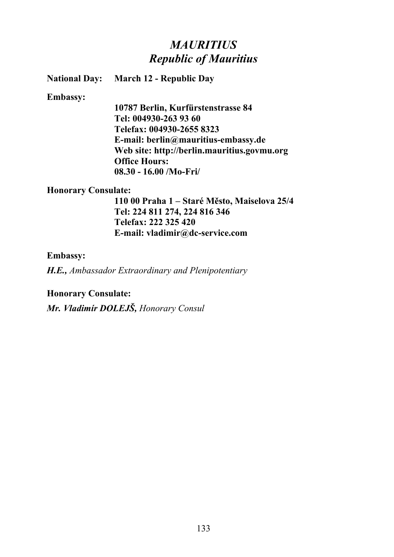## *MAURITIUS Republic of Mauritius*

**National Day: March 12 - Republic Day**

#### **Embassy:**

**10787 Berlin, Kurfürstenstrasse 84 Tel: 004930-263 93 60 Telefax: 004930-2655 8323 E-mail: berlin@mauritius-embassy.de Web site: http://berlin.mauritius.govmu.org Office Hours: 08.30 - 16.00 /Mo-Fri/**

#### **Honorary Consulate:**

**110 00 Praha 1 – Staré Město, Maiselova 25/4 Tel: 224 811 274, 224 816 346 Telefax: 222 325 420 E-mail: vladimir@dc-service.com**

#### **Embassy:**

*H.E., Ambassador Extraordinary and Plenipotentiary*

#### **Honorary Consulate:**

*Mr. Vladimír DOLEJŠ, Honorary Consul*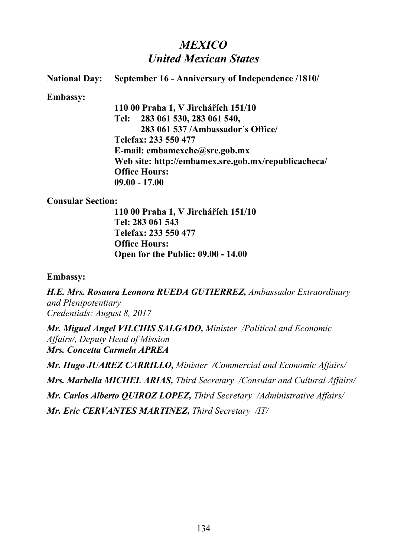# *MEXICO United Mexican States*

#### **National Day: September 16 - Anniversary of Independence /1810/**

**Embassy:**

**110 00 Praha 1, V Jirchářích 151/10 Tel: 283 061 530, 283 061 540, 283 061 537 /Ambassador´s Office/ Telefax: 233 550 477 E-mail: embamexche@sre.gob.mx Web site: http://embamex.sre.gob.mx/republicacheca/ Office Hours: 09.00 - 17.00**

#### **Consular Section:**

**110 00 Praha 1, V Jirchářích 151/10 Tel: 283 061 543 Telefax: 233 550 477 Office Hours: Open for the Public: 09.00 - 14.00**

#### **Embassy:**

*H.E. Mrs. Rosaura Leonora RUEDA GUTIERREZ, Ambassador Extraordinary and Plenipotentiary Credentials: August 8, 2017*

*Mr. Miguel Angel VILCHIS SALGADO, Minister /Political and Economic Affairs/, Deputy Head of Mission Mrs. Concetta Carmela APREA*

*Mr. Hugo JUAREZ CARRILLO, Minister /Commercial and Economic Affairs/ Mrs. Marbella MICHEL ARIAS, Third Secretary /Consular and Cultural Affairs/ Mr. Carlos Alberto QUIROZ LOPEZ, Third Secretary /Administrative Affairs/ Mr. Eric CERVANTES MARTINEZ, Third Secretary /IT/*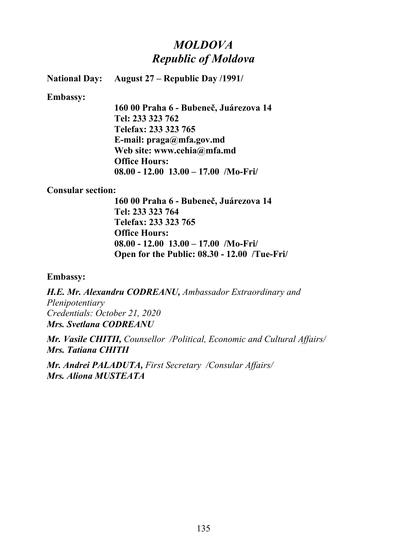# *MOLDOVA Republic of Moldova*

**National Day: August 27 – Republic Day /1991/**

**Embassy:**

**160 00 Praha 6 - Bubeneč, Juárezova 14 Tel: 233 323 762 Telefax: 233 323 765 E-mail: praga@mfa.gov.md Web site: www.cehia@mfa.md Office Hours: 08.00 - 12.00 13.00 – 17.00 /Mo-Fri/**

#### **Consular section:**

**160 00 Praha 6 - Bubeneč, Juárezova 14 Tel: 233 323 764 Telefax: 233 323 765 Office Hours: 08.00 - 12.00 13.00 – 17.00 /Mo-Fri/ Open for the Public: 08.30 - 12.00 /Tue-Fri/**

**Embassy:**

*H.E. Mr. Alexandru CODREANU, Ambassador Extraordinary and Plenipotentiary Credentials: October 21, 2020 Mrs. Svetlana CODREANU*

*Mr. Vasile CHITII, Counsellor /Political, Economic and Cultural Affairs/ Mrs. Tatiana CHITII*

*Mr. Andrei PALADUTA, First Secretary /Consular Affairs/ Mrs. Aliona MUSTEATA*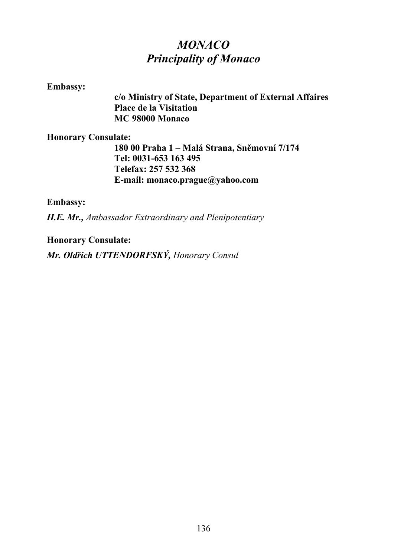# *MONACO Principality of Monaco*

#### **Embassy:**

**c/o Ministry of State, Department of External Affaires Place de la Visitation MC 98000 Monaco**

### **Honorary Consulate:**

**180 00 Praha 1 – Malá Strana, Sněmovní 7/174 Tel: 0031-653 163 495 Telefax: 257 532 368 E-mail: monaco.prague@yahoo.com**

**Embassy:**

*H.E. Mr., Ambassador Extraordinary and Plenipotentiary*

**Honorary Consulate:**

*Mr. Oldřich UTTENDORFSKÝ, Honorary Consul*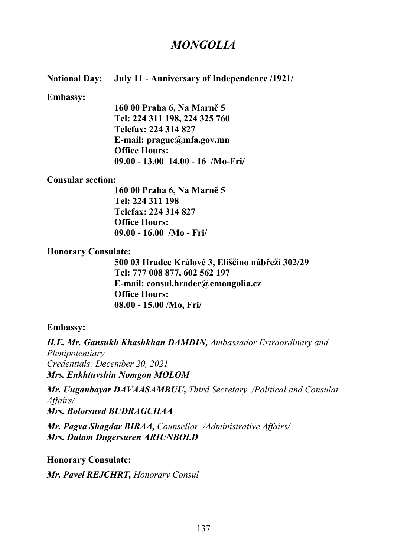## *MONGOLIA*

#### **National Day: July 11 - Anniversary of Independence /1921/**

#### **Embassy:**

**160 00 Praha 6, Na Marně 5 Tel: 224 311 198, 224 325 760 Telefax: 224 314 827 E-mail: prague@mfa.gov.mn Office Hours: 09.00 - 13.00 14.00 - 16 /Mo-Fri/**

#### **Consular section:**

**160 00 Praha 6, Na Marně 5 Tel: 224 311 198 Telefax: 224 314 827 Office Hours: 09.00 - 16.00 /Mo - Fri/**

#### **Honorary Consulate:**

**500 03 Hradec Králové 3, Eliščino nábřeží 302/29 Tel: 777 008 877, 602 562 197 E-mail: consul.hradec@emongolia.cz Office Hours: 08.00 - 15.00 /Mo, Fri/**

#### **Embassy:**

*H.E. Mr. Gansukh Khashkhan DAMDIN, Ambassador Extraordinary and Plenipotentiary Credentials: December 20, 2021 Mrs. Enkhtuvshin Nomgon MOLOM*

*Mr. Uuganbayar DAVAASAMBUU, Third Secretary /Political and Consular Affairs/ Mrs. Bolorsuvd BUDRAGCHAA*

*Mr. Pagva Shagdar BIRAA, Counsellor /Administrative Affairs/ Mrs. Dulam Dugersuren ARIUNBOLD*

**Honorary Consulate:** *Mr. Pavel REJCHRT, Honorary Consul*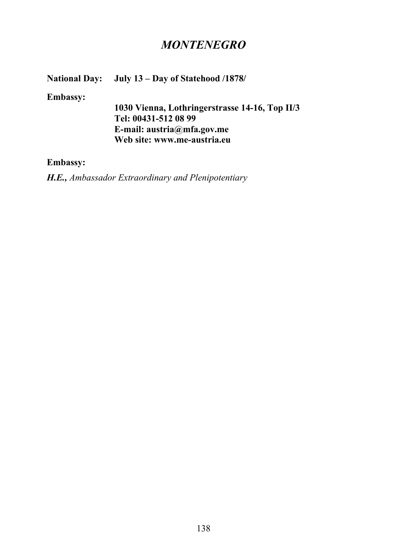## *MONTENEGRO*

## **National Day: July 13 – Day of Statehood /1878/**

**Embassy:**

**1030 Vienna, Lothringerstrasse 14-16, Top II/3 Tel: 00431-512 08 99 E-mail: austria@mfa.gov.me Web site: www.me-austria.eu**

#### **Embassy:**

*H.E., Ambassador Extraordinary and Plenipotentiary*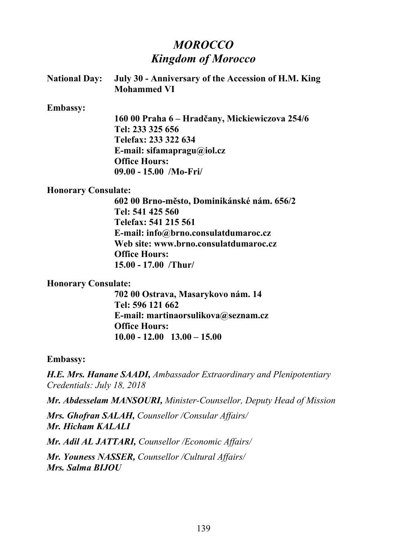# *MOROCCO Kingdom of Morocco*

| <b>National Day:</b>       | July 30 - Anniversary of the Accession of H.M. King<br><b>Mohammed VI</b> |
|----------------------------|---------------------------------------------------------------------------|
| <b>Embassy:</b>            |                                                                           |
|                            | 160 00 Praha 6 – Hradčany, Mickiewiczova 254/6                            |
|                            | Tel: 233 325 656                                                          |
|                            | Telefax: 233 322 634                                                      |
|                            | E-mail: sifamapragu@iol.cz                                                |
|                            | <b>Office Hours:</b>                                                      |
|                            | $09.00 - 15.00$ /Mo-Fri                                                   |
| <b>Honorary Consulate:</b> |                                                                           |
|                            | 602 00 Brno-město, Dominikánské nám. 656/2                                |
|                            | Tel: 541 425 560                                                          |
|                            |                                                                           |

**Telefax: 541 215 561 E-mail: info@brno.consulatdumaroc.cz Web site: www.brno.consulatdumaroc.cz Office Hours: 15.00 - 17.00 /Thur/**

#### **Honorary Consulate:**

**702 00 Ostrava, Masarykovo nám. 14 Tel: 596 121 662 E-mail: martinaorsulikova@seznam.cz Office Hours: 10.00 - 12.00 13.00 – 15.00**

#### **Embassy:**

*H.E. Mrs. Hanane SAADI, Ambassador Extraordinary and Plenipotentiary Credentials: July 18, 2018*

*Mr. Abdesselam MANSOURI, Minister-Counsellor, Deputy Head of Mission*

*Mrs. Ghofran SALAH, Counsellor /Consular Affairs/ Mr. Hicham KALALI*

*Mr. Adil AL JATTARI, Counsellor /Economic Affairs/*

*Mr. Youness NASSER, Counsellor /Cultural Affairs/ Mrs. Salma BIJOU*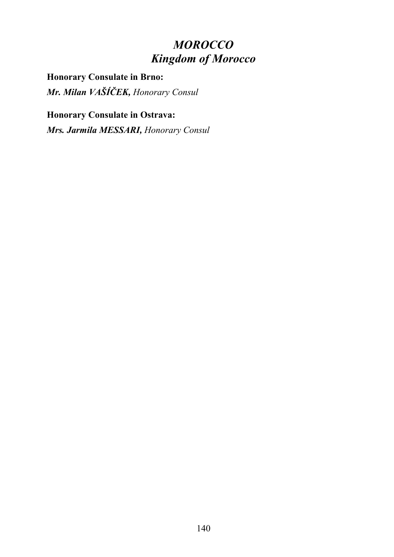# *MOROCCO Kingdom of Morocco*

**Honorary Consulate in Brno:** *Mr. Milan VAŠÍČEK, Honorary Consul*

# **Honorary Consulate in Ostrava:**

*Mrs. Jarmila MESSARI, Honorary Consul*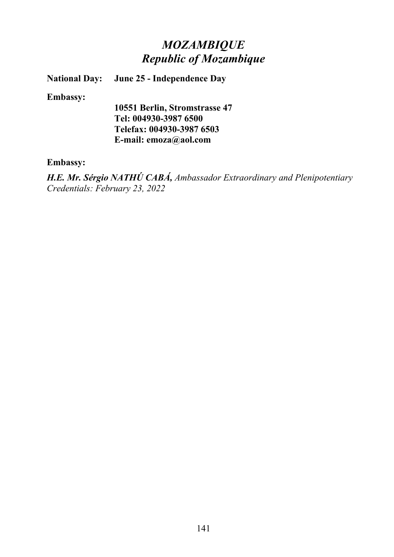# *MOZAMBIQUE Republic of Mozambique*

**National Day: June 25 - Independence Day**

**Embassy:**

**10551 Berlin, Stromstrasse 47 Tel: 004930-3987 6500 Telefax: 004930-3987 6503 E-mail: emoza@aol.com**

#### **Embassy:**

*H.E. Mr. Sérgio NATHÚ CABÁ, Ambassador Extraordinary and Plenipotentiary Credentials: February 23, 2022*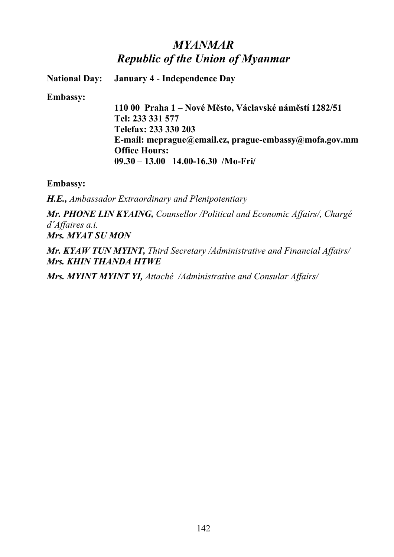# *MYANMAR Republic of the Union of Myanmar*

**National Day: January 4 - Independence Day**

**Embassy:**

**110 00 Praha 1 – Nové Město, Václavské náměstí 1282/51 Tel: 233 331 577 Telefax: 233 330 203 E-mail: meprague@email.cz, prague-embassy@mofa.gov.mm Office Hours: 09.30 – 13.00 14.00-16.30 /Mo-Fri/**

**Embassy:**

*H.E., Ambassador Extraordinary and Plenipotentiary*

*Mr. PHONE LIN KYAING, Counsellor /Political and Economic Affairs/, Chargé d´Affaires a.i. Mrs. MYAT SU MON*

*Mr. KYAW TUN MYINT, Third Secretary /Administrative and Financial Affairs/ Mrs. KHIN THANDA HTWE*

*Mrs. MYINT MYINT YI, Attaché /Administrative and Consular Affairs/*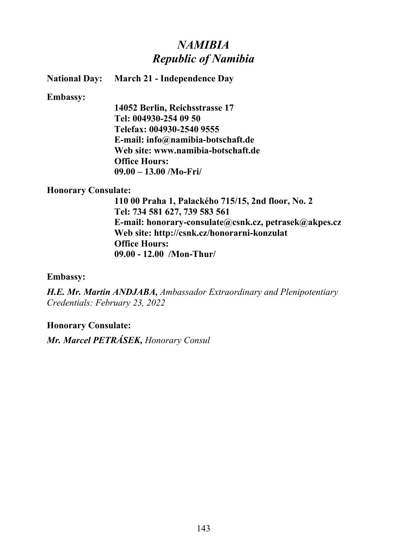## *NAMIBIA Republic of Namibia*

**National Day: March 21 - Independence Day**

**Embassy:**

**14052 Berlin, Reichsstrasse 17 Tel: 004930-254 09 50 Telefax: 004930-2540 9555 E-mail: info@namibia-botschaft.de Web site: www.namibia-botschaft.de Office Hours: 09.00 – 13.00 /Mo-Fri/**

### **Honorary Consulate:**

**110 00 Praha 1, Palackého 715/15, 2nd floor, No. 2 Tel: 734 581 627, 739 583 561 E-mail: honorary-consulate@csnk.cz, petrasek@akpes.cz Web site: http://csnk.cz/honorarni-konzulat Office Hours: 09.00 - 12.00 /Mon-Thur/**

**Embassy:**

*H.E. Mr. Martin ANDJABA, Ambassador Extraordinary and Plenipotentiary Credentials: February 23, 2022*

### **Honorary Consulate:**

*Mr. Marcel PETRÁSEK, Honorary Consul*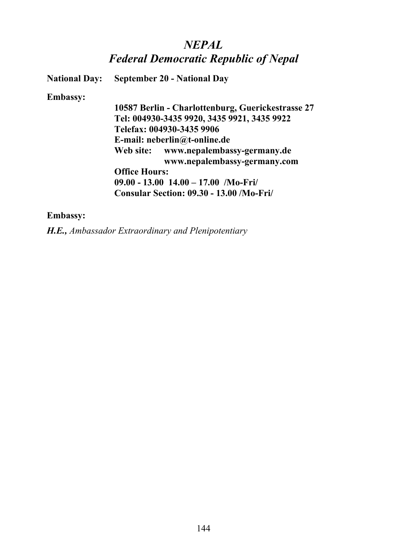## *NEPAL Federal Democratic Republic of Nepal*

**National Day: September 20 - National Day**

#### **Embassy:**

**10587 Berlin - Charlottenburg, Guerickestrasse 27 Tel: 004930-3435 9920, 3435 9921, 3435 9922 Telefax: 004930-3435 9906 E-mail: neberlin@t-online.de Web site: www.nepalembassy-germany.de www.nepalembassy-germany.com Office Hours: 09.00 - 13.00 14.00 – 17.00 /Mo-Fri/ Consular Section: 09.30 - 13.00 /Mo-Fri/** 

### **Embassy:**

*H.E., Ambassador Extraordinary and Plenipotentiary*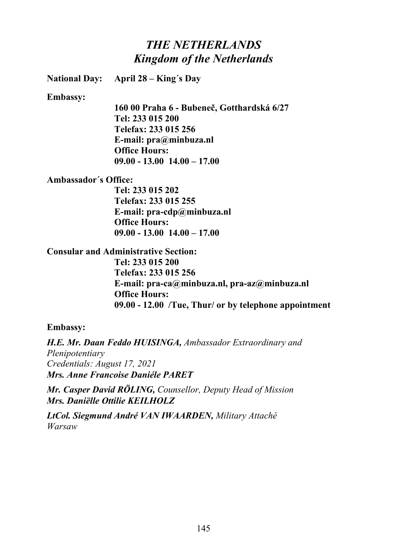## *THE NETHERLANDS Kingdom of the Netherlands*

**National Day: April 28 – King´s Day**

**Embassy:**

**160 00 Praha 6 - Bubeneč, Gotthardská 6/27 Tel: 233 015 200 Telefax: 233 015 256 E-mail: pra@minbuza.nl Office Hours: 09.00 - 13.00 14.00 – 17.00**

**Ambassador´s Office:**

**Tel: 233 015 202 Telefax: 233 015 255 E-mail: pra-cdp@minbuza.nl Office Hours: 09.00 - 13.00 14.00 – 17.00**

**Consular and Administrative Section:**

**Tel: 233 015 200 Telefax: 233 015 256 E-mail: pra-ca@minbuza.nl, pra-az@minbuza.nl Office Hours: 09.00 - 12.00 /Tue, Thur/ or by telephone appointment**

### **Embassy:**

*H.E. Mr. Daan Feddo HUISINGA, Ambassador Extraordinary and Plenipotentiary Credentials: August 17, 2021 Mrs. Anne Francoise Daniéle PARET*

*Mr. Casper David RÖLING, Counsellor, Deputy Head of Mission Mrs. Daniëlle Ottilie KEILHOLZ*

*LtCol. Siegmund André VAN IWAARDEN, Military Attaché Warsaw*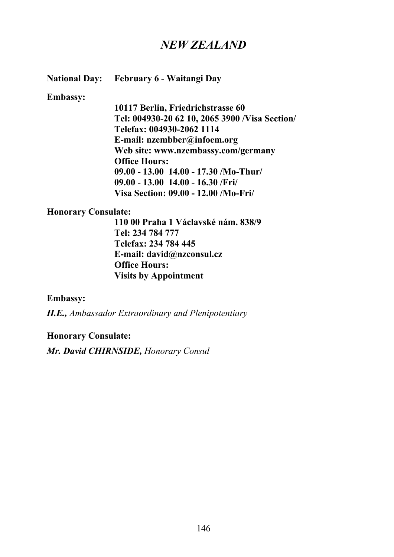## *NEW ZEALAND*

**National Day: February 6 - Waitangi Day**

#### **Embassy:**

**10117 Berlin, Friedrichstrasse 60 Tel: 004930-20 62 10, 2065 3900 /Visa Section/ Telefax: 004930-2062 1114 E-mail: nzembber@infoem.org Web site: www.nzembassy.com/germany Office Hours: 09.00 - 13.00 14.00 - 17.30 /Mo-Thur/ 09.00 - 13.00 14.00 - 16.30 /Fri/ Visa Section: 09.00 - 12.00 /Mo-Fri/** 

#### **Honorary Consulate:**

**110 00 Praha 1 Václavské nám. 838/9 Tel: 234 784 777 Telefax: 234 784 445 E-mail: david@nzconsul.cz Office Hours: Visits by Appointment**

#### **Embassy:**

*H.E., Ambassador Extraordinary and Plenipotentiary*

#### **Honorary Consulate:**

*Mr. David CHIRNSIDE, Honorary Consul*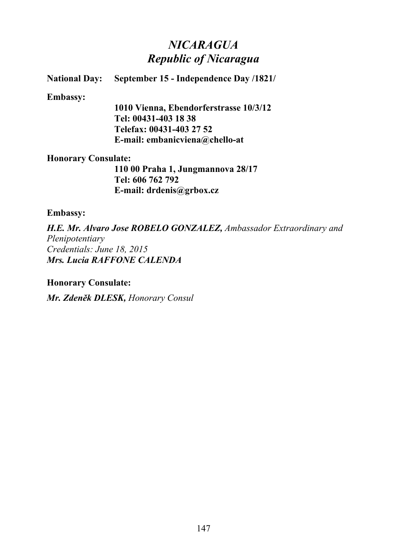## *NICARAGUA Republic of Nicaragua*

### **National Day: September 15 - Independence Day /1821/**

#### **Embassy:**

**1010 Vienna, Ebendorferstrasse 10/3/12 Tel: 00431-403 18 38 Telefax: 00431-403 27 52 E-mail: embanicviena@chello-at**

#### **Honorary Consulate:**

**110 00 Praha 1, Jungmannova 28/17 Tel: 606 762 792 E-mail: drdenis@grbox.cz**

### **Embassy:**

*H.E. Mr. Alvaro Jose ROBELO GONZALEZ, Ambassador Extraordinary and Plenipotentiary Credentials: June 18, 2015 Mrs. Lucia RAFFONE CALENDA*

### **Honorary Consulate:**

*Mr. Zdeněk DLESK, Honorary Consul*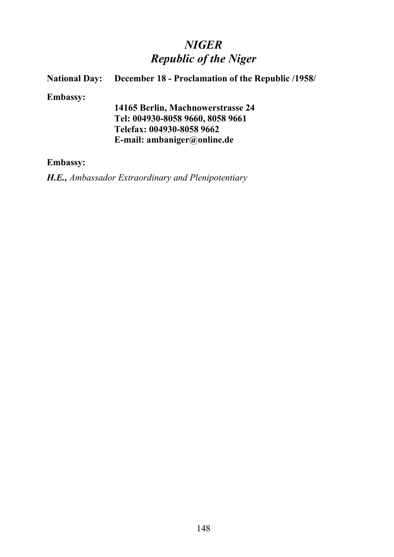# *NIGER Republic of the Niger*

## **Republic of the Niger National Day: December 18 - Proclamation of the Republic /1958/**

**Embassy:**

**14165 Berlin, Machnowerstrasse 24 Tel: 004930-8058 9660, 8058 9661 Telefax: 004930-8058 9662 E-mail: ambaniger@online.de**

### **Embassy:**

*H.E., Ambassador Extraordinary and Plenipotentiary*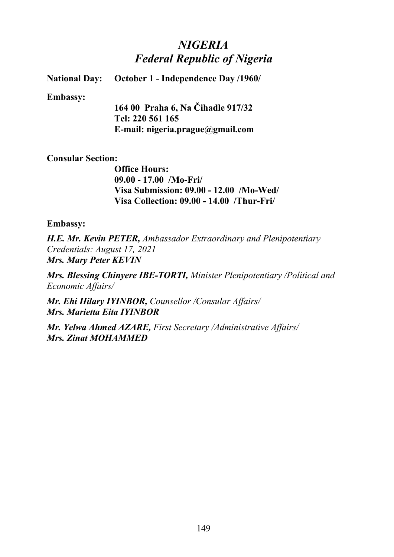# *NIGERIA Federal Republic of Nigeria*

**National Day: October 1 - Independence Day /1960/**

#### **Embassy:**

**164 00 Praha 6, Na Čihadle 917/32 Tel: 220 561 165 E-mail: nigeria.prague@gmail.com**

### **Consular Section:**

**Office Hours: 09.00 - 17.00 /Mo-Fri/ Visa Submission: 09.00 - 12.00 /Mo-Wed/ Visa Collection: 09.00 - 14.00 /Thur-Fri/**

### **Embassy:**

*H.E. Mr. Kevin PETER, Ambassador Extraordinary and Plenipotentiary Credentials: August 17, 2021 Mrs. Mary Peter KEVIN*

*Mrs. Blessing Chinyere IBE-TORTI, Minister Plenipotentiary /Political and Economic Affairs/*

*Mr. Ehi Hilary IYINBOR, Counsellor /Consular Affairs/ Mrs. Marietta Eita IYINBOR*

*Mr. Yelwa Ahmed AZARE, First Secretary /Administrative Affairs/ Mrs. Zinat MOHAMMED*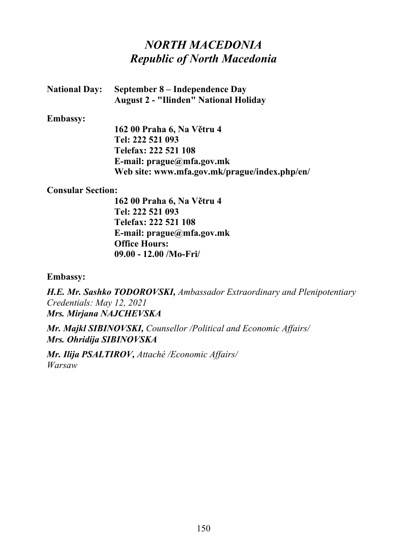## *NORTH MACEDONIA Republic of North Macedonia*

| <b>National Day:</b> | September 8 – Independence Day               |
|----------------------|----------------------------------------------|
|                      | <b>August 2 - "Ilinden" National Holiday</b> |

#### **Embassy:**

**162 00 Praha 6, Na Větru 4 Tel: 222 521 093 Telefax: 222 521 108 E-mail: prague@mfa.gov.mk Web site: www.mfa.gov.mk/prague/index.php/en/**

### **Consular Section:**

**162 00 Praha 6, Na Větru 4 Tel: 222 521 093 Telefax: 222 521 108 E-mail: prague@mfa.gov.mk Office Hours: 09.00 - 12.00 /Mo-Fri/**

### **Embassy:**

*H.E. Mr. Sashko TODOROVSKI, Ambassador Extraordinary and Plenipotentiary Credentials: May 12, 2021 Mrs. Mirjana NAJCHEVSKA*

*Mr. Majkl SIBINOVSKI, Counsellor /Political and Economic Affairs/ Mrs. Ohridija SIBINOVSKA*

*Mr. Ilija PSALTIROV, Attaché /Economic Affairs/ Warsaw*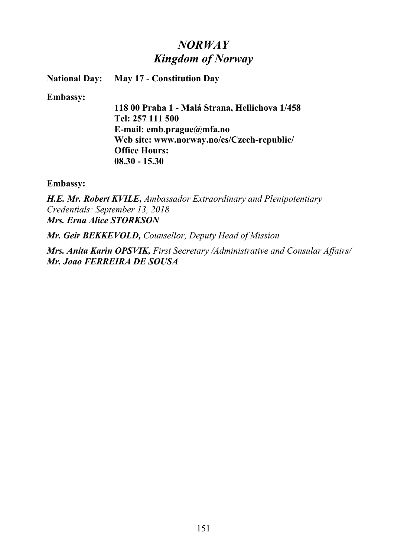## *NORWAY Kingdom of Norway*

**National Day: May 17 - Constitution Day**

**Embassy:**

**118 00 Praha 1 - Malá Strana, Hellichova 1/458 Tel: 257 111 500 E-mail: emb.prague@mfa.no Web site: www.norway.no/cs/Czech-republic/ Office Hours: 08.30 - 15.30**

**Embassy:**

*H.E. Mr. Robert KVILE, Ambassador Extraordinary and Plenipotentiary Credentials: September 13, 2018 Mrs. Erna Alice STORKSON*

*Mr. Geir BEKKEVOLD, Counsellor, Deputy Head of Mission*

*Mrs. Anita Karin OPSVIK, First Secretary /Administrative and Consular Affairs/ Mr. Joao FERREIRA DE SOUSA*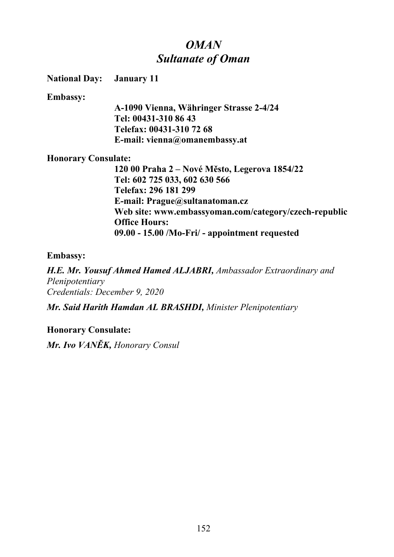## *OMAN Sultanate of Oman*

**National Day: January 11**

**Embassy:**

**A-1090 Vienna, Währinger Strasse 2-4/24 Tel: 00431-310 86 43 Telefax: 00431-310 72 68 E-mail: vienna@omanembassy.at**

### **Honorary Consulate:**

**120 00 Praha 2 – Nové Město, Legerova 1854/22 Tel: 602 725 033, 602 630 566 Telefax: 296 181 299 E-mail: Prague@sultanatoman.cz Web site: www.embassyoman.com/category/czech-republic Office Hours: 09.00 - 15.00 /Mo-Fri/ - appointment requested**

### **Embassy:**

*H.E. Mr. Yousuf Ahmed Hamed ALJABRI, Ambassador Extraordinary and Plenipotentiary Credentials: December 9, 2020*

*Mr. Said Harith Hamdan AL BRASHDI, Minister Plenipotentiary*

## **Honorary Consulate:**

*Mr. Ivo VANĚK, Honorary Consul*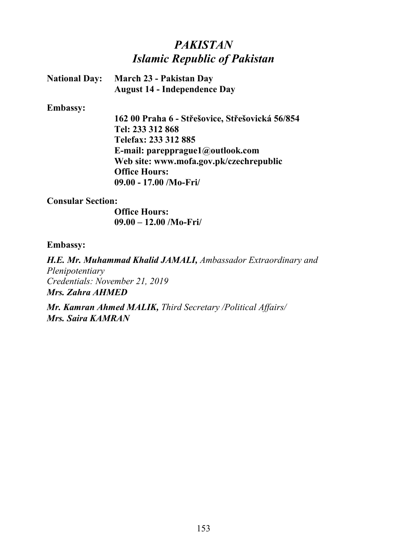# *PAKISTAN Islamic Republic of Pakistan*

| <b>National Day:</b> | <b>March 23 - Pakistan Day</b>      |
|----------------------|-------------------------------------|
|                      | <b>August 14 - Independence Day</b> |

#### **Embassy:**

**162 00 Praha 6 - Střešovice, Střešovická 56/854 Tel: 233 312 868 Telefax: 233 312 885 E-mail: parepprague1@outlook.com Web site: www.mofa.gov.pk/czechrepublic Office Hours: 09.00 - 17.00 /Mo-Fri/**

#### **Consular Section:**

**Office Hours: 09.00 – 12.00 /Mo-Fri/** 

### **Embassy:**

*H.E. Mr. Muhammad Khalid JAMALI, Ambassador Extraordinary and Plenipotentiary Credentials: November 21, 2019 Mrs. Zahra AHMED*

*Mr. Kamran Ahmed MALIK, Third Secretary /Political Affairs/ Mrs. Saira KAMRAN*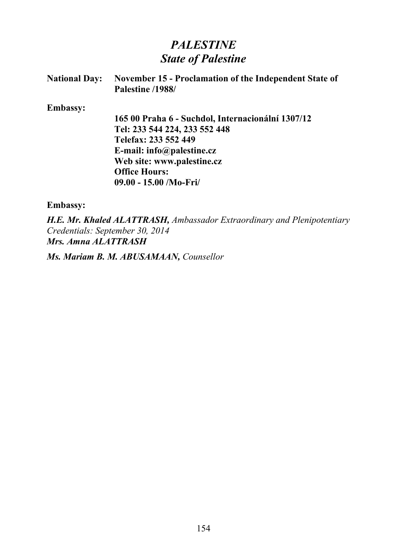## *PALESTINE State of Palestine*

| <b>National Day:</b> | November 15 - Proclamation of the Independent State of<br>Palestine /1988/ |
|----------------------|----------------------------------------------------------------------------|
| <b>Embassy:</b>      |                                                                            |
|                      | 165 00 Praha 6 - Suchdol, Internacionální 1307/12                          |
|                      | Tel: 233 544 224, 233 552 448                                              |
|                      | Telefax: 233 552 449                                                       |
|                      | E-mail: $info(\mathbf{a})$ palestine.cz                                    |
|                      | Web site: www.palestine.cz                                                 |
|                      | <b>Office Hours:</b>                                                       |
|                      | $09.00 - 15.00$ /Mo-Fri/                                                   |
| <b>Embassy:</b>      |                                                                            |

*H.E. Mr. Khaled ALATTRASH, Ambassador Extraordinary and Plenipotentiary Credentials: September 30, 2014 Mrs. Amna ALATTRASH*

*Ms. Mariam B. M. ABUSAMAAN, Counsellor*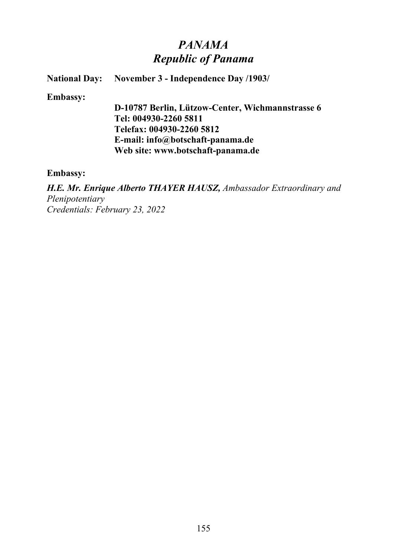## *PANAMA Republic of Panama*

### **National Day: November 3 - Independence Day /1903/**

#### **Embassy:**

**D-10787 Berlin, Lützow-Center, Wichmannstrasse 6 Tel: 004930-2260 5811 Telefax: 004930-2260 5812 E-mail: info@botschaft-panama.de Web site: www.botschaft-panama.de**

#### **Embassy:**

*H.E. Mr. Enrique Alberto THAYER HAUSZ, Ambassador Extraordinary and Plenipotentiary Credentials: February 23, 2022*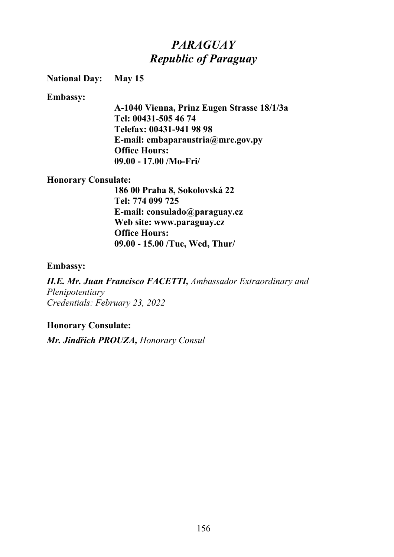# *PARAGUAY Republic of Paraguay*

### **National Day: May 15**

#### **Embassy:**

**A-1040 Vienna, Prinz Eugen Strasse 18/1/3a Tel: 00431-505 46 74 Telefax: 00431-941 98 98 E-mail: embaparaustria@mre.gov.py Office Hours: 09.00 - 17.00 /Mo-Fri/**

#### **Honorary Consulate:**

**186 00 Praha 8, Sokolovská 22 Tel: 774 099 725 E-mail: consulado@paraguay.cz Web site: www.paraguay.cz Office Hours: 09.00 - 15.00 /Tue, Wed, Thur/**

#### **Embassy:**

*H.E. Mr. Juan Francisco FACETTI, Ambassador Extraordinary and Plenipotentiary Credentials: February 23, 2022*

### **Honorary Consulate:**

*Mr. Jindřich PROUZA, Honorary Consul*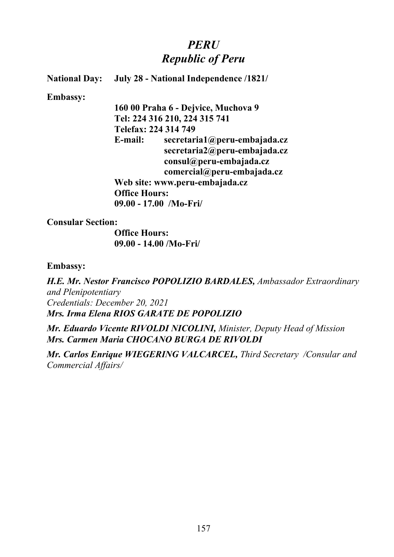## *PERU Republic of Peru*

### **National Day: July 28 - National Independence /1821/**

#### **Embassy:**

**160 00 Praha 6 - Dejvice, Muchova 9 Tel: 224 316 210, 224 315 741 Telefax: 224 314 749 E-mail: secretaria1@peru-embajada.cz secretaria2@peru-embajada.cz consul@peru-embajada.cz comercial@peru-embajada.cz Web site: www.peru-embajada.cz Office Hours: 09.00 - 17.00 /Mo-Fri/**

**Consular Section:**

**Office Hours: 09.00 - 14.00 /Mo-Fri/**

#### **Embassy:**

*H.E. Mr. Nestor Francisco POPOLIZIO BARDALES, Ambassador Extraordinary and Plenipotentiary Credentials: December 20, 2021 Mrs. Irma Elena RIOS GARATE DE POPOLIZIO*

*Mr. Eduardo Vicente RIVOLDI NICOLINI, Minister, Deputy Head of Mission Mrs. Carmen Maria CHOCANO BURGA DE RIVOLDI*

*Mr. Carlos Enrique WIEGERING VALCARCEL, Third Secretary /Consular and Commercial Affairs/*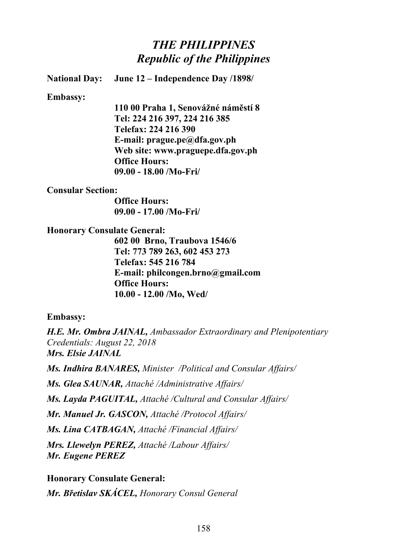## *THE PHILIPPINES Republic of the Philippines*

**National Day: June 12 – Independence Day /1898/**

**Embassy:**

**110 00 Praha 1, Senovážné náměstí 8 Tel: 224 216 397, 224 216 385 Telefax: 224 216 390 E-mail: prague.pe@dfa.gov.ph Web site: www.praguepe.dfa.gov.ph Office Hours: 09.00 - 18.00 /Mo-Fri/**

#### **Consular Section:**

**Office Hours: 09.00 - 17.00 /Mo-Fri/**

#### **Honorary Consulate General:**

**602 00 Brno, Traubova 1546/6 Tel: 773 789 263, 602 453 273 Telefax: 545 216 784 E-mail: philcongen.brno@gmail.com Office Hours: 10.00 - 12.00 /Mo, Wed/**

#### **Embassy:**

*H.E. Mr. Ombra JAINAL, Ambassador Extraordinary and Plenipotentiary Credentials: August 22, 2018 Mrs. Elsie JAINAL*

*Ms. Indhira BANARES, Minister /Political and Consular Affairs/*

*Ms. Glea SAUNAR, Attaché /Administrative Affairs/*

*Ms. Layda PAGUITAL, Attaché /Cultural and Consular Affairs/*

*Mr. Manuel Jr. GASCON, Attaché /Protocol Affairs/*

*Ms. Lina CATBAGAN, Attaché /Financial Affairs/*

*Mrs. Llewelyn PEREZ, Attaché /Labour Affairs/ Mr. Eugene PEREZ*

**Honorary Consulate General:** *Mr. Břetislav SKÁCEL, Honorary Consul General*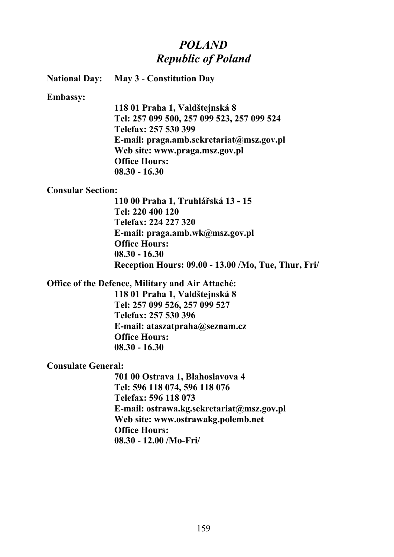## *POLAND Republic of Poland*

**National Day: May 3 - Constitution Day**

**Embassy:**

**118 01 Praha 1, Valdštejnská 8 Tel: 257 099 500, 257 099 523, 257 099 524 Telefax: 257 530 399 E-mail: praga.amb.sekretariat@msz.gov.pl Web site: www.praga.msz.gov.pl Office Hours: 08.30 - 16.30**

#### **Consular Section:**

**110 00 Praha 1, Truhlářská 13 - 15 Tel: 220 400 120 Telefax: 224 227 320 E-mail: praga.amb.wk@msz.gov.pl Office Hours: 08.30 - 16.30 Reception Hours: 09.00 - 13.00 /Mo, Tue, Thur, Fri/**

### **Office of the Defence, Military and Air Attaché:**

**118 01 Praha 1, Valdštejnská 8 Tel: 257 099 526, 257 099 527 Telefax: 257 530 396 E-mail: ataszatpraha@seznam.cz Office Hours: 08.30 - 16.30**

#### **Consulate General:**

**701 00 Ostrava 1, Blahoslavova 4 Tel: 596 118 074, 596 118 076 Telefax: 596 118 073 E-mail: ostrawa.kg.sekretariat@msz.gov.pl Web site: www.ostrawakg.polemb.net Office Hours: 08.30 - 12.00 /Mo-Fri/**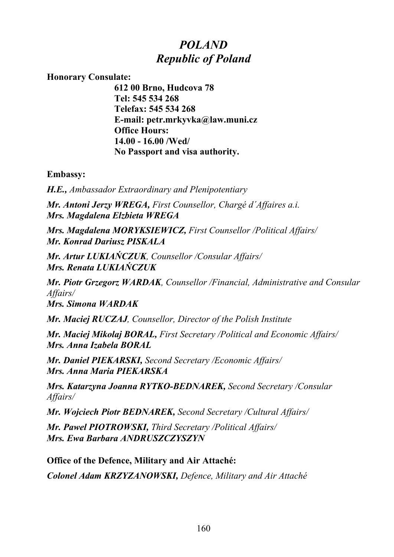## *POLAND Republic of Poland*

**Honorary Consulate:**

**612 00 Brno, Hudcova 78 Tel: 545 534 268 Telefax: 545 534 268 E-mail: petr.mrkyvka@law.muni.cz Office Hours: 14.00 - 16.00 /Wed/ No Passport and visa authority.**

**Embassy:**

*H.E., Ambassador Extraordinary and Plenipotentiary*

*Mr. Antoni Jerzy WREGA, First Counsellor, Chargé d´Affaires a.i. Mrs. Magdalena Elzbieta WREGA*

*Mrs. Magdalena MORYKSIEWICZ, First Counsellor /Political Affairs/ Mr. Konrad Dariusz PISKALA*

*Mr. Artur LUKIAŃCZUK, Counsellor /Consular Affairs/ Mrs. Renata LUKIAŃCZUK*

*Mr. Piotr Grzegorz WARDAK, Counsellor /Financial, Administrative and Consular Affairs/ Mrs. Simona WARDAK*

*Mr. Maciej RUCZAJ, Counsellor, Director of the Polish Institute*

*Mr. Maciej Mikolaj BORAL, First Secretary /Political and Economic Affairs/ Mrs. Anna Izabela BORAL*

*Mr. Daniel PIEKARSKI, Second Secretary /Economic Affairs/ Mrs. Anna Maria PIEKARSKA*

*Mrs. Katarzyna Joanna RYTKO-BEDNAREK, Second Secretary /Consular Affairs/*

*Mr. Wojciech Piotr BEDNAREK, Second Secretary /Cultural Affairs/*

*Mr. Pawel PIOTROWSKI, Third Secretary /Political Affairs/ Mrs. Ewa Barbara ANDRUSZCZYSZYN*

**Office of the Defence, Military and Air Attaché:** *Colonel Adam KRZYZANOWSKI, Defence, Military and Air Attaché*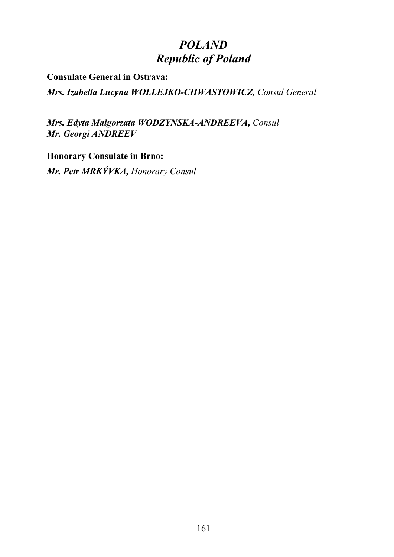# *POLAND Republic of Poland*

**Consulate General in Ostrava:**

*Mrs. Izabella Lucyna WOLLEJKO-CHWASTOWICZ, Consul General* 

*Mrs. Edyta Malgorzata WODZYNSKA-ANDREEVA, Consul Mr. Georgi ANDREEV*

**Honorary Consulate in Brno:** *Mr. Petr MRKÝVKA, Honorary Consul*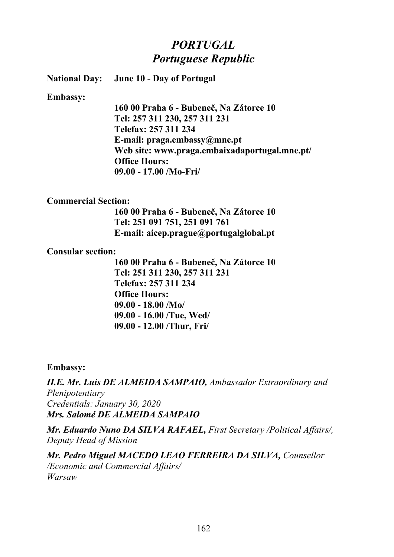## *PORTUGAL Portuguese Republic*

**National Day: June 10 - Day of Portugal**

**Embassy:**

**160 00 Praha 6 - Bubeneč, Na Zátorce 10 Tel: 257 311 230, 257 311 231 Telefax: 257 311 234 E-mail: praga.embassy@mne.pt Web site: www.praga.embaixadaportugal.mne.pt/ Office Hours: 09.00 - 17.00 /Mo-Fri/** 

### **Commercial Section:**

**160 00 Praha 6 - Bubeneč, Na Zátorce 10 Tel: 251 091 751, 251 091 761 E-mail: aicep.prague@portugalglobal.pt**

#### **Consular section:**

**160 00 Praha 6 - Bubeneč, Na Zátorce 10 Tel: 251 311 230, 257 311 231 Telefax: 257 311 234 Office Hours: 09.00 - 18.00 /Mo/ 09.00 - 16.00 /Tue, Wed/ 09.00 - 12.00 /Thur, Fri/**

#### **Embassy:**

*H.E. Mr. Luís DE ALMEIDA SAMPAIO, Ambassador Extraordinary and Plenipotentiary Credentials: January 30, 2020 Mrs. Salomé DE ALMEIDA SAMPAIO*

*Mr. Eduardo Nuno DA SILVA RAFAEL, First Secretary /Political Affairs/, Deputy Head of Mission*

*Mr. Pedro Miguel MACEDO LEAO FERREIRA DA SILVA, Counsellor /Economic and Commercial Affairs/ Warsaw*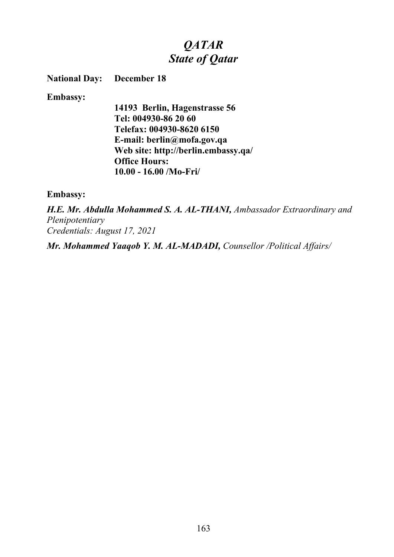# *QATAR State of Qatar*

**National Day: December 18** 

**Embassy:**

**14193 Berlin, Hagenstrasse 56 Tel: 004930-86 20 60 Telefax: 004930-8620 6150 E-mail: berlin@mofa.gov.qa Web site: http://berlin.embassy.qa/ Office Hours: 10.00 - 16.00 /Mo-Fri/**

**Embassy:**

*H.E. Mr. Abdulla Mohammed S. A. AL-THANI, Ambassador Extraordinary and Plenipotentiary Credentials: August 17, 2021*

*Mr. Mohammed Yaaqob Y. M. AL-MADADI, Counsellor /Political Affairs/*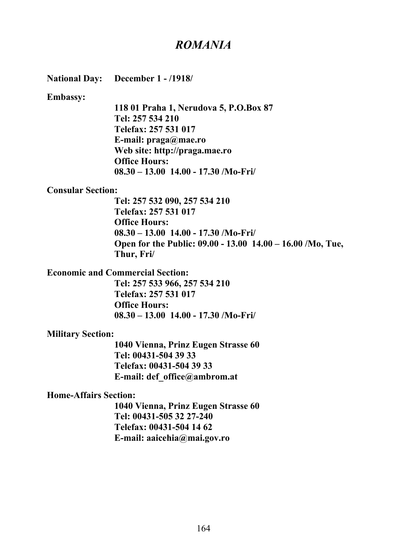## *ROMANIA*

**National Day: December 1 - /1918/**

**Embassy:**

**118 01 Praha 1, Nerudova 5, P.O.Box 87 Tel: 257 534 210 Telefax: 257 531 017 E-mail: praga@mae.ro Web site: http://praga.mae.ro Office Hours: 08.30 – 13.00 14.00 - 17.30 /Mo-Fri/**

#### **Consular Section:**

**Tel: 257 532 090, 257 534 210 Telefax: 257 531 017 Office Hours: 08.30 – 13.00 14.00 - 17.30 /Mo-Fri/ Open for the Public: 09.00 - 13.00 14.00 – 16.00 /Mo, Tue, Thur, Fri/**

**Economic and Commercial Section:**

**Tel: 257 533 966, 257 534 210 Telefax: 257 531 017 Office Hours: 08.30 – 13.00 14.00 - 17.30 /Mo-Fri/**

#### **Military Section:**

**1040 Vienna, Prinz Eugen Strasse 60 Tel: 00431-504 39 33 Telefax: 00431-504 39 33 E-mail: def\_office@ambrom.at**

### **Home-Affairs Section:**

**1040 Vienna, Prinz Eugen Strasse 60 Tel: 00431-505 32 27-240 Telefax: 00431-504 14 62 E-mail: aaicehia@mai.gov.ro**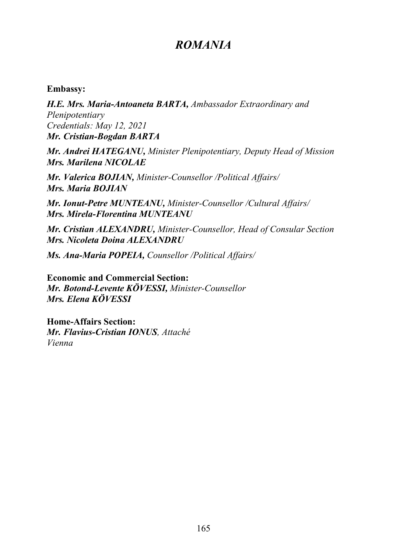## *ROMANIA*

### **Embassy:**

*H.E. Mrs. Maria-Antoaneta BARTA, Ambassador Extraordinary and Plenipotentiary Credentials: May 12, 2021 Mr. Cristian-Bogdan BARTA*

*Mr. Andrei HATEGANU, Minister Plenipotentiary, Deputy Head of Mission Mrs. Marilena NICOLAE*

*Mr. Valerica BOJIAN, Minister-Counsellor /Political Affairs/ Mrs. Maria BOJIAN*

*Mr. Ionut-Petre MUNTEANU, Minister-Counsellor /Cultural Affairs/ Mrs. Mirela-Florentina MUNTEANU*

*Mr. Cristian ALEXANDRU, Minister-Counsellor, Head of Consular Section Mrs. Nicoleta Doina ALEXANDRU*

*Ms. Ana-Maria POPEIA, Counsellor /Political Affairs/*

**Economic and Commercial Section:** *Mr. Botond-Levente KÖVESSI, Minister-Counsellor Mrs. Elena KÖVESSI*

**Home-Affairs Section:** *Mr. Flavius-Cristian IONUS, Attaché Vienna*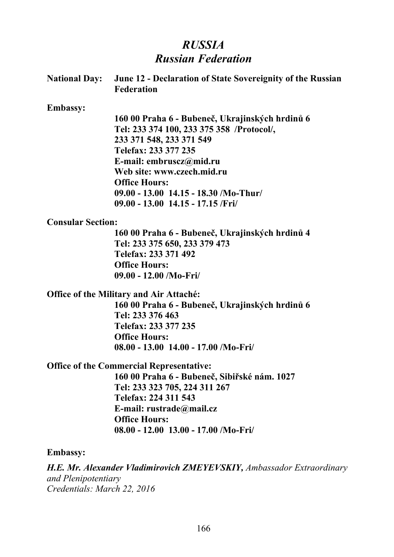# *RUSSIA Russian Federation*

|                          | National Day: June 12 - Declaration of State Sovereignity of the Russian<br><b>Federation</b> |
|--------------------------|-----------------------------------------------------------------------------------------------|
| <b>Embassy:</b>          |                                                                                               |
|                          | 160 00 Praha 6 - Bubeneč, Ukrajinských hrdinů 6                                               |
|                          | Tel: 233 374 100, 233 375 358 /Protocol/,                                                     |
|                          | 233 371 548, 233 371 549                                                                      |
|                          | Telefax: 233 377 235                                                                          |
|                          | E-mail: embruscz@mid.ru                                                                       |
|                          | Web site: www.czech.mid.ru                                                                    |
|                          | <b>Office Hours:</b>                                                                          |
|                          | $09.00 - 13.00$ 14.15 - 18.30 /Mo-Thur/                                                       |
|                          | $09.00 - 13.00$ 14.15 - 17.15 /Fri                                                            |
| <b>Consular Section:</b> |                                                                                               |
|                          | 160 00 Praha 6 - Bubeneč, Ukrajinských hrdinů 4                                               |
|                          | Tel: 233 375 650, 233 379 473                                                                 |
|                          | Telefax: 233 371 492                                                                          |
|                          | <b>Office Hours:</b>                                                                          |
|                          | $09.00 - 12.00$ /Mo-Fri/                                                                      |
|                          | <b>Office of the Military and Air Attaché:</b>                                                |
|                          | 160 00 Praha 6 - Bubeneč, Ukrajinských hrdinů 6                                               |
|                          | Tel: 233 376 463                                                                              |
|                          | Telefax: 233 377 235                                                                          |
|                          | <b>Office Hours:</b>                                                                          |
|                          | 08.00 - 13.00 14.00 - 17.00 /Mo-Fri/                                                          |
|                          | <b>Office of the Commercial Representative:</b>                                               |
|                          | 160 00 Praha 6 - Bubeneč, Sibiřské nám. 1027                                                  |
|                          | Tel: 233 323 705, 224 311 267                                                                 |
|                          | Telefax: 224 311 543                                                                          |
|                          | E-mail: rustrade@mail.cz                                                                      |
|                          | <b>Office Hours:</b>                                                                          |
|                          | $08.00 - 12.00$ 13.00 - 17.00 /Mo-Fri/                                                        |
| <b>Embassy:</b>          |                                                                                               |
| and Plenipotentiary      | <b>H.E. Mr. Alexander Vladimirovich ZMEYEVSKIY, Ambassador Extraordinary</b>                  |

*Credentials: March 22, 2016*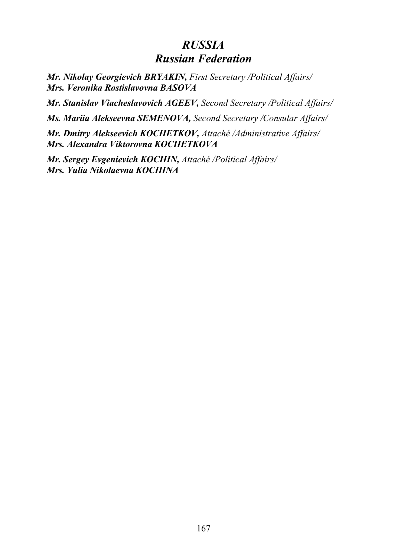## *RUSSIA Russian Federation*

*Mr. Nikolay Georgievich BRYAKIN, First Secretary /Political Affairs/ Mrs. Veronika Rostislavovna BASOVA*

*Mr. Stanislav Viacheslavovich AGEEV, Second Secretary /Political Affairs/*

*Ms. Mariia Alekseevna SEMENOVA, Second Secretary /Consular Affairs/*

*Mr. Dmitry Alekseevich KOCHETKOV, Attaché /Administrative Affairs/ Mrs. Alexandra Viktorovna KOCHETKOVA*

*Mr. Sergey Evgenievich KOCHIN, Attaché /Political Affairs/ Mrs. Yulia Nikolaevna KOCHINA*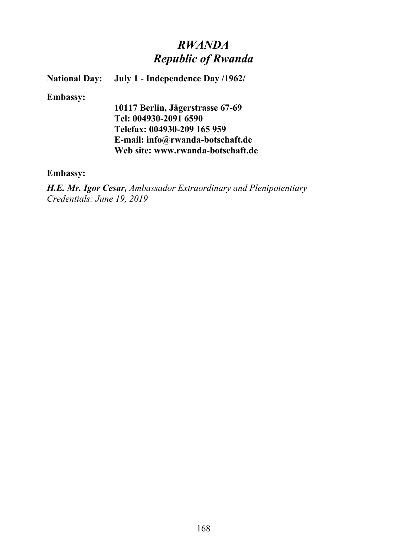## *RWANDA Republic of Rwanda*

**National Day: July 1 - Independence Day /1962/**

#### **Embassy:**

**10117 Berlin, Jägerstrasse 67-69 Tel: 004930-2091 6590 Telefax: 004930-209 165 959 E-mail: info@rwanda-botschaft.de Web site: www.rwanda-botschaft.de**

### **Embassy:**

*H.E. Mr. Igor Cesar, Ambassador Extraordinary and Plenipotentiary Credentials: June 19, 2019*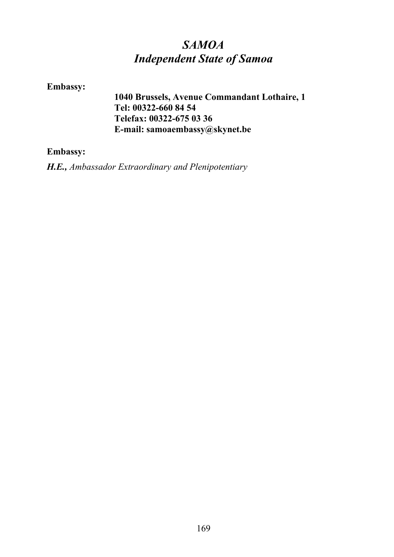# *SAMOA Independent State of Samoa*

## **Embassy:**

**1040 Brussels, Avenue Commandant Lothaire, 1 Tel: 00322-660 84 54 Telefax: 00322-675 03 36 E-mail: samoaembassy@skynet.be**

## **Embassy:**

*H.E., Ambassador Extraordinary and Plenipotentiary*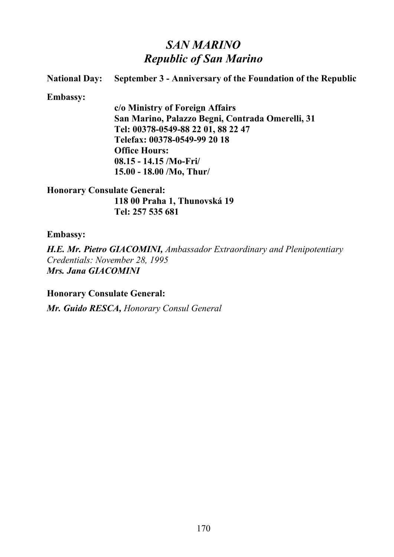## *SAN MARINO Republic of San Marino*

## **National Day: September 3 - Anniversary of the Foundation of the Republic Embassy: c/o Ministry of Foreign Affairs San Marino, Palazzo Begni, Contrada Omerelli, 31 Tel: 00378-0549-88 22 01, 88 22 47 Telefax: 00378-0549-99 20 18**

**Office Hours: 08.15 - 14.15 /Mo-Fri/ 15.00 - 18.00 /Mo, Thur/**

**Honorary Consulate General: 118 00 Praha 1, Thunovská 19 Tel: 257 535 681**

**Embassy:**

*H.E. Mr. Pietro GIACOMINI, Ambassador Extraordinary and Plenipotentiary Credentials: November 28, 1995 Mrs. Jana GIACOMINI*

**Honorary Consulate General:**

*Mr. Guido RESCA, Honorary Consul General*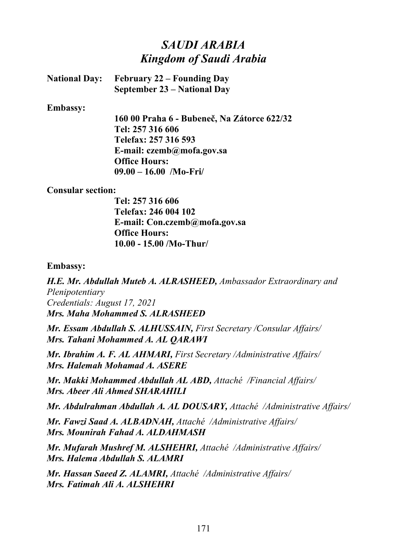## *SAUDI ARABIA Kingdom of Saudi Arabia*

| <b>National Day:</b> February 22 – Founding Day |
|-------------------------------------------------|
| <b>September 23 – National Day</b>              |

#### **Embassy:**

**160 00 Praha 6 - Bubeneč, Na Zátorce 622/32 Tel: 257 316 606 Telefax: 257 316 593 E-mail: czemb@mofa.gov.sa Office Hours: 09.00 – 16.00 /Mo-Fri/**

#### **Consular section:**

**Tel: 257 316 606 Telefax: 246 004 102 E-mail: Con.czemb@mofa.gov.sa Office Hours: 10.00 - 15.00 /Mo-Thur/**

#### **Embassy:**

*H.E. Mr. Abdullah Muteb A. ALRASHEED, Ambassador Extraordinary and Plenipotentiary Credentials: August 17, 2021 Mrs. Maha Mohammed S. ALRASHEED*

*Mr. Essam Abdullah S. ALHUSSAIN, First Secretary /Consular Affairs/ Mrs. Tahani Mohammed A. AL QARAWI*

*Mr. Ibrahim A. F. AL AHMARI, First Secretary /Administrative Affairs/ Mrs. Halemah Mohamad A. ASERE*

*Mr. Makki Mohammed Abdullah AL ABD, Attaché /Financial Affairs/ Mrs. Abeer Ali Ahmed SHARAHILI*

*Mr. Abdulrahman Abdullah A. AL DOUSARY, Attaché /Administrative Affairs/*

*Mr. Fawzi Saad A. ALBADNAH, Attaché /Administrative Affairs/ Mrs. Mounirah Fahad A. ALDAHMASH*

*Mr. Mufarah Mushref M. ALSHEHRI, Attaché /Administrative Affairs/ Mrs. Halema Abdullah S. ALAMRI*

*Mr. Hassan Saeed Z. ALAMRI, Attaché /Administrative Affairs/ Mrs. Fatimah Ali A. ALSHEHRI*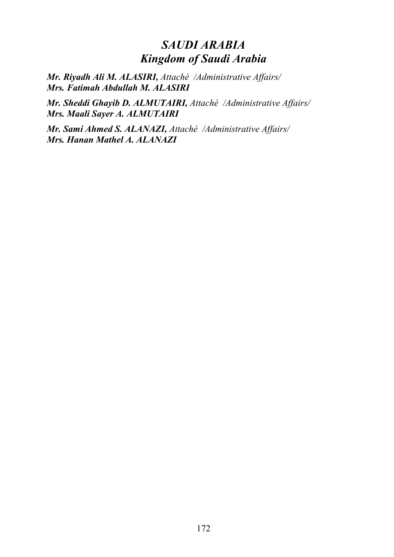## *SAUDI ARABIA Kingdom of Saudi Arabia*

*Mr. Riyadh Ali M. ALASIRI, Attaché /Administrative Affairs/ Mrs. Fatimah Abdullah M. ALASIRI*

*Mr. Sheddi Ghayib D. ALMUTAIRI, Attaché /Administrative Affairs/ Mrs. Maali Sayer A. ALMUTAIRI*

*Mr. Sami Ahmed S. ALANAZI, Attaché /Administrative Affairs/ Mrs. Hanan Mathel A. ALANAZI*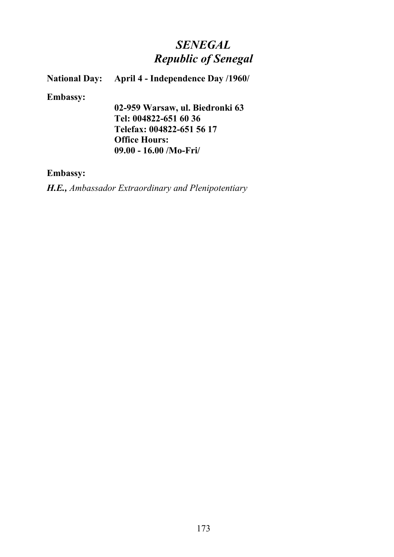# *SENEGAL Republic of Senegal*

**National Day:** April 4 - Independence Day /1960/

**Embassy:**

**02-959 Warsaw, ul. Biedronki 63 Tel: 004822-651 60 36 Telefax: 004822-651 56 17 Office Hours: 09.00 - 16.00 /Mo-Fri/**

### **Embassy:**

*H.E., Ambassador Extraordinary and Plenipotentiary*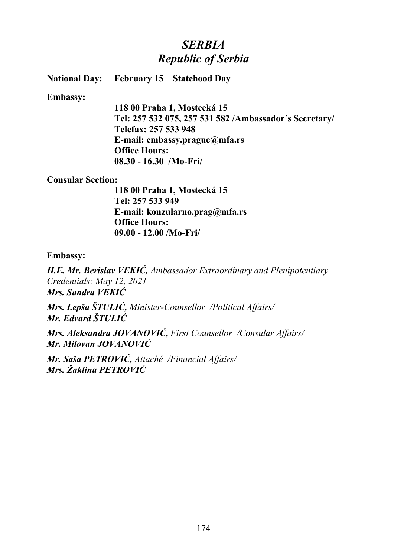## *SERBIA Republic of Serbia*

**National Day: February 15 – Statehood Day**

**Embassy:**

**118 00 Praha 1, Mostecká 15 Tel: 257 532 075, 257 531 582 /Ambassador´s Secretary/ Telefax: 257 533 948 E-mail: embassy.prague@mfa.rs Office Hours: 08.30 - 16.30 /Mo-Fri/**

#### **Consular Section:**

**118 00 Praha 1, Mostecká 15 Tel: 257 533 949 E-mail: konzularno.prag@mfa.rs Office Hours: 09.00 - 12.00 /Mo-Fri/**

#### **Embassy:**

*H.E. Mr. Berislav VEKIĆ, Ambassador Extraordinary and Plenipotentiary Credentials: May 12, 2021 Mrs. Sandra VEKIĆ*

*Mrs. Lepša ŠTULIĆ, Minister-Counsellor /Political Affairs/ Mr. Edvard ŠTULIĆ*

*Mrs. Aleksandra JOVANOVIĆ, First Counsellor /Consular Affairs/ Mr. Milovan JOVANOVIĆ*

*Mr. Saša PETROVIĆ, Attaché /Financial Affairs/ Mrs. Žaklina PETROVIĆ*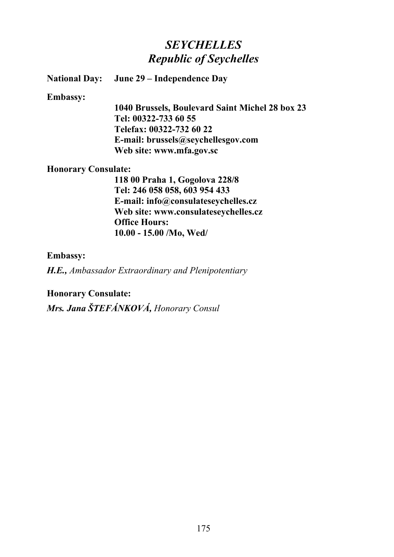## *SEYCHELLES Republic of Seychelles*

**National Day: June 29 – Independence Day**

#### **Embassy:**

**1040 Brussels, Boulevard Saint Michel 28 box 23 Tel: 00322-733 60 55 Telefax: 00322-732 60 22 E-mail: brussels@seychellesgov.com Web site: www.mfa.gov.sc**

### **Honorary Consulate:**

**118 00 Praha 1, Gogolova 228/8 Tel: 246 058 058, 603 954 433 E-mail: info@consulateseychelles.cz Web site: www.consulateseychelles.cz Office Hours: 10.00 - 15.00 /Mo, Wed/**

### **Embassy:**

*H.E., Ambassador Extraordinary and Plenipotentiary*

**Honorary Consulate:**

*Mrs. Jana ŠTEFÁNKOVÁ, Honorary Consul*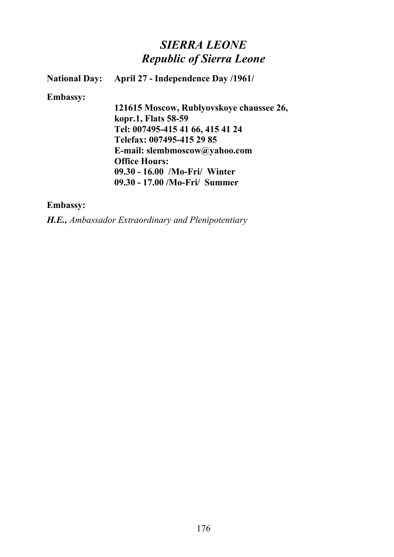## *SIERRA LEONE Republic of Sierra Leone*

**National Day: April 27 - Independence Day /1961/**

#### **Embassy:**

**121615 Moscow, Rublyovskoye chaussee 26, kopr.1, Flats 58-59 Tel: 007495-415 41 66, 415 41 24 Telefax: 007495-415 29 85 E-mail: slembmoscow@yahoo.com Office Hours: 09.30 - 16.00 /Mo-Fri/ Winter 09.30 - 17.00 /Mo-Fri/ Summer**

#### **Embassy:**

*H.E., Ambassador Extraordinary and Plenipotentiary*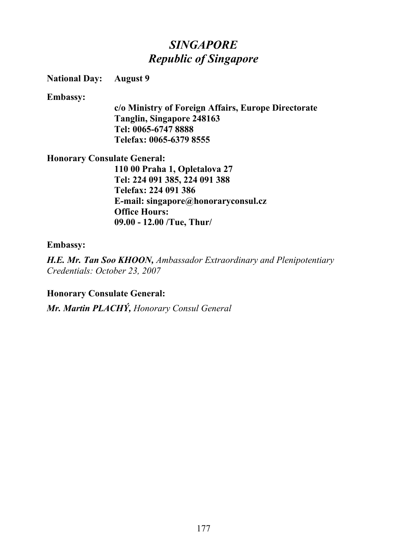# *SINGAPORE Republic of Singapore*

### **National Day: August 9**

### **Embassy:**

**c/o Ministry of Foreign Affairs, Europe Directorate Tanglin, Singapore 248163 Tel: 0065-6747 8888 Telefax: 0065-6379 8555**

### **Honorary Consulate General:**

**110 00 Praha 1, Opletalova 27 Tel: 224 091 385, 224 091 388 Telefax: 224 091 386 E-mail: singapore@honoraryconsul.cz Office Hours: 09.00 - 12.00 /Tue, Thur/**

### **Embassy:**

*H.E. Mr. Tan Soo KHOON, Ambassador Extraordinary and Plenipotentiary Credentials: October 23, 2007*

### **Honorary Consulate General:**

*Mr. Martin PLACHÝ, Honorary Consul General*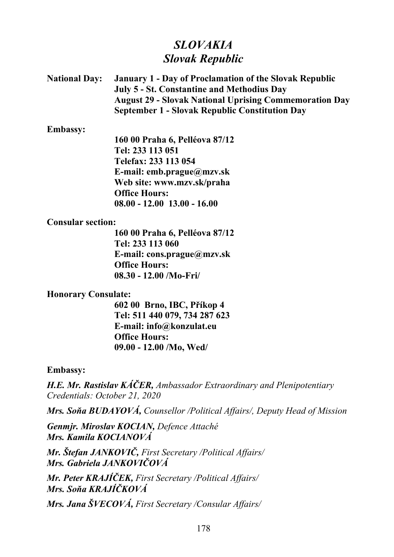## *SLOVAKIA Slovak Republic*

**National Day: January 1 - Day of Proclamation of the Slovak Republic July 5 - St. Constantine and Methodius Day August 29 - Slovak National Uprising Commemoration Day September 1 - Slovak Republic Constitution Day**

**Embassy:**

**160 00 Praha 6, Pelléova 87/12 Tel: 233 113 051 Telefax: 233 113 054 E-mail: emb.prague@mzv.sk Web site: www.mzv.sk/praha Office Hours: 08.00 - 12.00 13.00 - 16.00**

### **Consular section:**

**160 00 Praha 6, Pelléova 87/12 Tel: 233 113 060 E-mail: cons.prague@mzv.sk Office Hours: 08.30 - 12.00 /Mo-Fri/**

## **Honorary Consulate:**

**602 00 Brno, IBC, Příkop 4 Tel: 511 440 079, 734 287 623 E-mail: info@konzulat.eu Office Hours: 09.00 - 12.00 /Mo, Wed/**

### **Embassy:**

*H.E. Mr. Rastislav KÁČER, Ambassador Extraordinary and Plenipotentiary Credentials: October 21, 2020*

*Mrs. Soňa BUDAYOVÁ, Counsellor /Political Affairs/, Deputy Head of Mission*

*Genmjr. Miroslav KOCIAN, Defence Attaché Mrs. Kamila KOCIANOVÁ*

*Mr. Štefan JANKOVIČ, First Secretary /Political Affairs/ Mrs. Gabriela JANKOVIČOVÁ*

*Mr. Peter KRAJÍČEK, First Secretary /Political Affairs/ Mrs. Soňa KRAJÍČKOVÁ*

*Mrs. Jana ŠVECOVÁ, First Secretary /Consular Affairs/*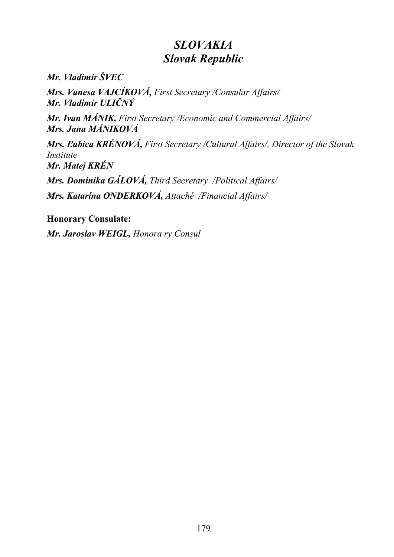# *SLOVAKIA Slovak Republic*

*Mr. Vladimír ŠVEC*

*Mrs. Vanesa VAJCÍKOVÁ, First Secretary /Consular Affairs/ Mr. Vladimír ULIČNÝ*

*Mr. Ivan MÁNIK, First Secretary /Economic and Commercial Affairs/ Mrs. Jana MÁNIKOVÁ*

*Mrs. Ľubica KRÉNOVÁ, First Secretary /Cultural Affairs/, Director of the Slovak Institute Mr. Matej KRÉN*

*Mrs. Dominika GÁLOVÁ, Third Secretary /Political Affairs/*

*Mrs. Katarína ONDERKOVÁ, Attaché /Financial Affairs/*

**Honorary Consulate:**

*Mr. Jaroslav WEIGL, Honora ry Consul*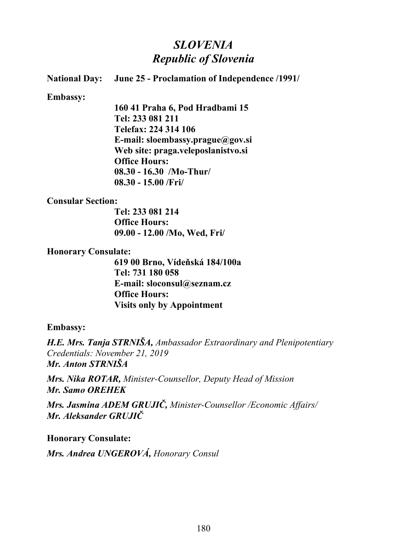# *SLOVENIA Republic of Slovenia*

# **National Day: June 25 - Proclamation of Independence /1991/ Embassy:**

**160 41 Praha 6, Pod Hradbami 15 Tel: 233 081 211 Telefax: 224 314 106 E-mail: sloembassy.prague@gov.si Web site: praga.veleposlanistvo.si Office Hours: 08.30 - 16.30 /Mo-Thur/ 08.30 - 15.00 /Fri/**

## **Consular Section:**

**Tel: 233 081 214 Office Hours: 09.00 - 12.00 /Mo, Wed, Fri/**

## **Honorary Consulate:**

**619 00 Brno, Vídeňská 184/100a Tel: 731 180 058 E-mail: sloconsul@seznam.cz Office Hours: Visits only by Appointment**

## **Embassy:**

*H.E. Mrs. Tanja STRNIŠA, Ambassador Extraordinary and Plenipotentiary Credentials: November 21, 2019 Mr. Anton STRNIŠA*

*Mrs. Nika ROTAR, Minister-Counsellor, Deputy Head of Mission Mr. Samo OREHEK*

*Mrs. Jasmina ADEM GRUJIČ, Minister-Counsellor /Economic Affairs/ Mr. Aleksander GRUJIČ*

**Honorary Consulate:** *Mrs. Andrea UNGEROVÁ, Honorary Consul*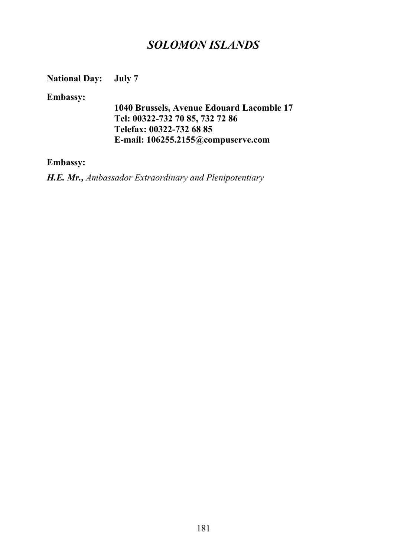## *SOLOMON ISLANDS*

**National Day: July 7**

**Embassy:**

**1040 Brussels, Avenue Edouard Lacomble 17 Tel: 00322-732 70 85, 732 72 86 Telefax: 00322-732 68 85 E-mail: 106255.2155@compuserve.com**

### **Embassy:**

*H.E. Mr., Ambassador Extraordinary and Plenipotentiary*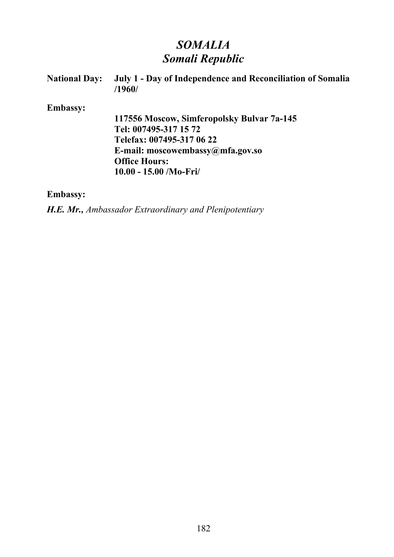# *SOMALIA Somali Republic*

| <b>National Day:</b> | July 1 - Day of Independence and Reconciliation of Somalia<br>/1960/ |
|----------------------|----------------------------------------------------------------------|
| <b>Embassy:</b>      |                                                                      |
|                      | 117556 Moscow, Simferopolsky Bulvar 7a-145                           |
|                      | Tel: 007495-317 15 72                                                |
|                      | Telefax: 007495-317 06 22                                            |
|                      | E-mail: moscowembassy@mfa.gov.so                                     |
|                      | <b>Office Hours:</b>                                                 |
|                      | $10.00 - 15.00$ /Mo-Fri/                                             |
|                      |                                                                      |

## **Embassy:**

*H.E. Mr., Ambassador Extraordinary and Plenipotentiary*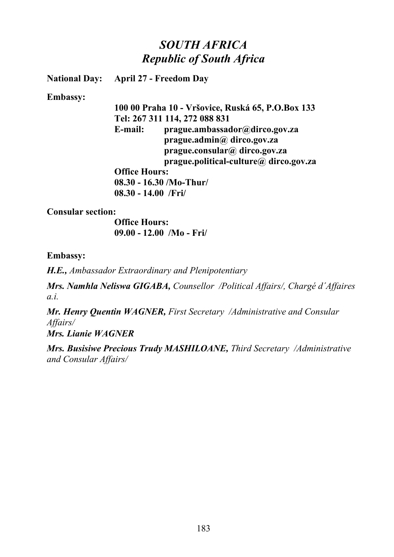# *SOUTH AFRICA Republic of South Africa*

**National Day: April 27 - Freedom Day**

**Embassy:**

**100 00 Praha 10 - Vršovice, Ruská 65, P.O.Box 133 Tel: 267 311 114, 272 088 831 E-mail: prague.ambassador@dirco.gov.za prague.admin@ dirco.gov.za prague.consular@ dirco.gov.za prague.political-culture@ dirco.gov.za Office Hours: 08.30 - 16.30 /Mo-Thur/ 08.30 - 14.00 /Fri/**

**Consular section:**

**Office Hours: 09.00 - 12.00 /Mo - Fri/**

**Embassy:**

*H.E., Ambassador Extraordinary and Plenipotentiary*

*Mrs. Namhla Neliswa GIGABA, Counsellor /Political Affairs/, Chargé d´Affaires a.i.*

*Mr. Henry Quentin WAGNER, First Secretary /Administrative and Consular Affairs/*

*Mrs. Lianie WAGNER*

*Mrs. Busisiwe Precious Trudy MASHILOANE, Third Secretary /Administrative and Consular Affairs/*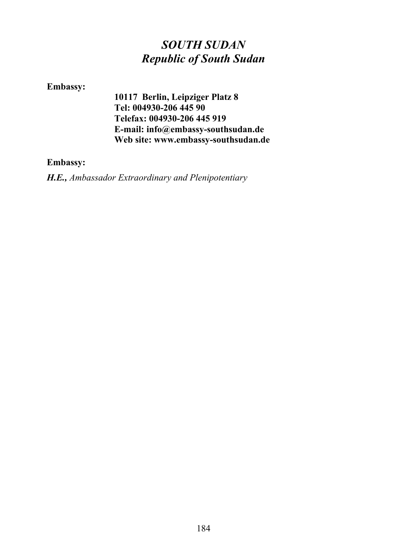# *SOUTH SUDAN Republic of South Sudan*

## **Embassy:**

**10117 Berlin, Leipziger Platz 8 Tel: 004930-206 445 90 Telefax: 004930-206 445 919 E-mail: info@embassy-southsudan.de Web site: www.embassy-southsudan.de**

## **Embassy:**

*H.E., Ambassador Extraordinary and Plenipotentiary*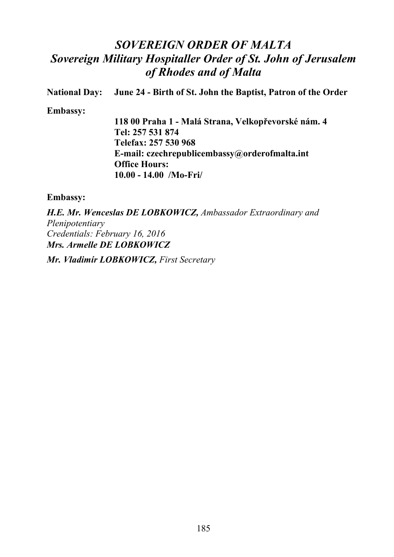# *SOVEREIGN ORDER OF MALTA Sovereign Military Hospitaller Order of St. John of Jerusalem of Rhodes and of Malta*

**National Day: June 24 - Birth of St. John the Baptist, Patron of the Order**

**Embassy:**

**118 00 Praha 1 - Malá Strana, Velkopřevorské nám. 4 Tel: 257 531 874 Telefax: 257 530 968 E-mail: czechrepublicembassy@orderofmalta.int Office Hours: 10.00 - 14.00 /Mo-Fri/**

## **Embassy:**

*H.E. Mr. Wenceslas DE LOBKOWICZ, Ambassador Extraordinary and Plenipotentiary Credentials: February 16, 2016 Mrs. Armelle DE LOBKOWICZ*

*Mr. Vladimír LOBKOWICZ, First Secretary*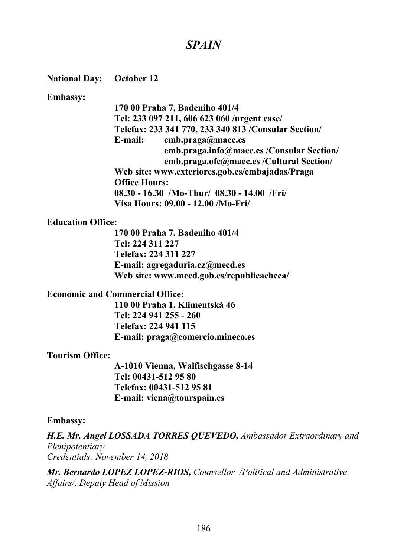## *SPAIN*

### **National Day: October 12**

#### **Embassy:**

**170 00 Praha 7, Badeniho 401/4 Tel: 233 097 211, 606 623 060 /urgent case/ Telefax: 233 341 770, 233 340 813 /Consular Section/ E-mail: emb.praga@maec.es emb.praga.info@maec.es /Consular Section/ emb.praga.ofc@maec.es /Cultural Section/ Web site: www.exteriores.gob.es/embajadas/Praga Office Hours: 08.30 - 16.30 /Mo-Thur/ 08.30 - 14.00 /Fri/ Visa Hours: 09.00 - 12.00 /Mo-Fri/**

### **Education Office:**

**170 00 Praha 7, Badeniho 401/4 Tel: 224 311 227 Telefax: 224 311 227 E-mail: agregaduria.cz@mecd.es Web site: www.mecd.gob.es/republicacheca/**

### **Economic and Commercial Office:**

**110 00 Praha 1, Klimentská 46 Tel: 224 941 255 - 260 Telefax: 224 941 115 E-mail: praga@comercio.mineco.es**

#### **Tourism Office:**

**A-1010 Vienna, Walfischgasse 8-14 Tel: 00431-512 95 80 Telefax: 00431-512 95 81 E-mail: viena@tourspain.es**

#### **Embassy:**

*H.E. Mr. Angel LOSSADA TORRES QUEVEDO, Ambassador Extraordinary and Plenipotentiary Credentials: November 14, 2018*

*Mr. Bernardo LOPEZ LOPEZ-RIOS, Counsellor /Political and Administrative Affairs/, Deputy Head of Mission*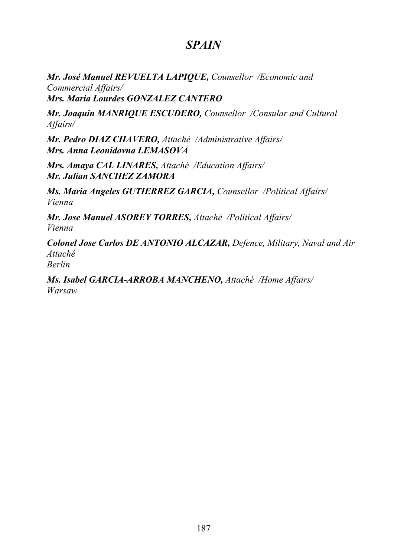## *SPAIN*

*Mr. José Manuel REVUELTA LAPIQUE, Counsellor /Economic and Commercial Affairs/ Mrs. Maria Lourdes GONZALEZ CANTERO*

*Mr. Joaquin MANRIQUE ESCUDERO, Counsellor /Consular and Cultural Affairs/*

*Mr. Pedro DIAZ CHAVERO, Attaché /Administrative Affairs/ Mrs. Anna Leonidovna LEMASOVA*

*Mrs. Amaya CAL LINARES, Attaché /Education Affairs/ Mr. Julian SANCHEZ ZAMORA*

*Ms. Maria Angeles GUTIERREZ GARCIA, Counsellor /Political Affairs/ Vienna*

*Mr. Jose Manuel ASOREY TORRES, Attaché /Political Affairs/ Vienna*

*Colonel Jose Carlos DE ANTONIO ALCAZAR, Defence, Military, Naval and Air Attaché Berlin*

*Ms. Isabel GARCIA-ARROBA MANCHENO, Attaché /Home Affairs/ Warsaw*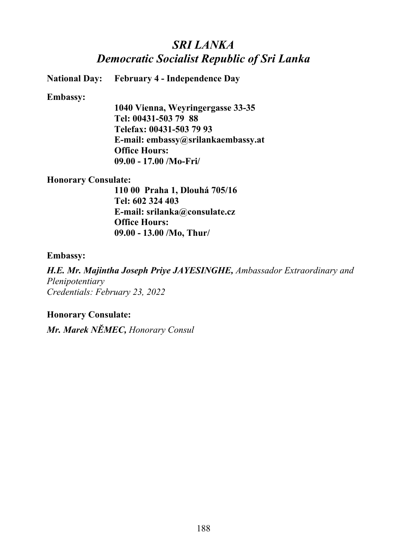# *SRI LANKA Democratic Socialist Republic of Sri Lanka*

**National Day: February 4 - Independence Day**

### **Embassy:**

**1040 Vienna, Weyringergasse 33-35 Tel: 00431-503 79 88 Telefax: 00431-503 79 93 E-mail: embassy@srilankaembassy.at Office Hours: 09.00 - 17.00 /Mo-Fri/**

## **Honorary Consulate:**

**110 00 Praha 1, Dlouhá 705/16 Tel: 602 324 403 E-mail: srilanka@consulate.cz Office Hours: 09.00 - 13.00 /Mo, Thur/**

### **Embassy:**

*H.E. Mr. Majintha Joseph Priye JAYESINGHE, Ambassador Extraordinary and Plenipotentiary Credentials: February 23, 2022*

## **Honorary Consulate:**

*Mr. Marek NĚMEC, Honorary Consul*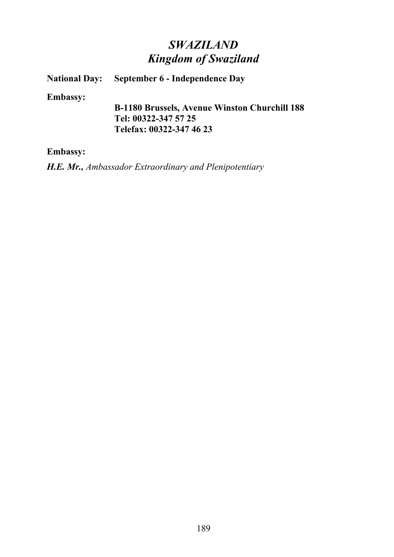# *SWAZILAND Kingdom of Swaziland*

**National Day:** September 6 - Independence Day

**Embassy:**

**B-1180 Brussels, Avenue Winston Churchill 188 Tel: 00322-347 57 25 Telefax: 00322-347 46 23**

**Embassy:**

*H.E. Mr., Ambassador Extraordinary and Plenipotentiary*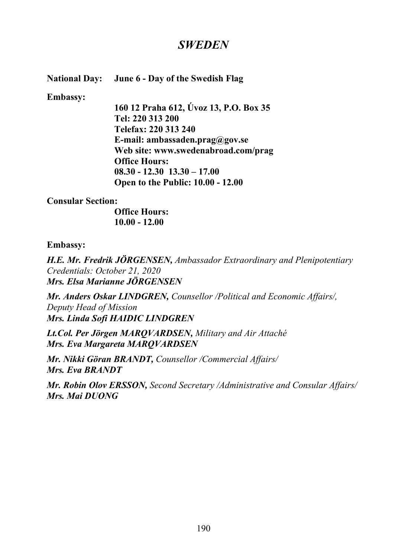## *SWEDEN*

## **National Day: June 6 - Day of the Swedish Flag**

**Embassy:**

**160 12 Praha 612, Úvoz 13, P.O. Box 35 Tel: 220 313 200 Telefax: 220 313 240 E-mail: ambassaden.prag@gov.se Web site: www.swedenabroad.com/prag Office Hours: 08.30 - 12.30 13.30 – 17.00 Open to the Public: 10.00 - 12.00**

**Consular Section:**

**Office Hours: 10.00 - 12.00**

## **Embassy:**

*H.E. Mr. Fredrik JÖRGENSEN, Ambassador Extraordinary and Plenipotentiary Credentials: October 21, 2020 Mrs. Elsa Marianne JÖRGENSEN*

*Mr. Anders Oskar LINDGREN, Counsellor /Political and Economic Affairs/, Deputy Head of Mission Mrs. Linda Sofi HAIDIC LINDGREN*

*Lt.Col. Per Jörgen MARQVARDSEN, Military and Air Attaché Mrs. Eva Margareta MARQVARDSEN*

*Mr. Nikki Göran BRANDT, Counsellor /Commercial Affairs/ Mrs. Eva BRANDT*

*Mr. Robin Olov ERSSON, Second Secretary /Administrative and Consular Affairs/ Mrs. Mai DUONG*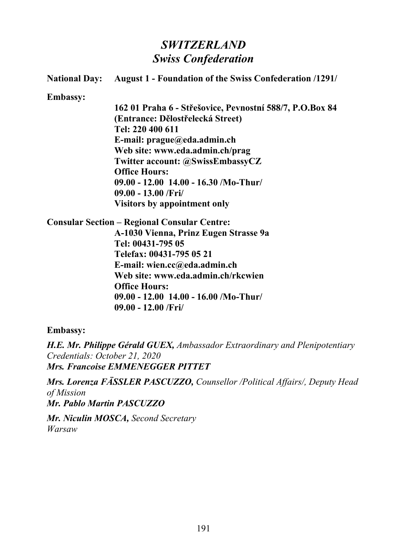## *SWITZERLAND Swiss Confederation*

|                 | <b>National Day:</b> August 1 - Foundation of the Swiss Confederation /1291/ |
|-----------------|------------------------------------------------------------------------------|
| <b>Embassy:</b> |                                                                              |
|                 | 162 01 Praha 6 - Střešovice, Pevnostní 588/7, P.O.Box 84                     |
|                 | (Entrance: Dělostřelecká Street)                                             |
|                 | Tel: 220 400 611                                                             |
|                 | E-mail: $prague@eda.addmin.ch$                                               |
|                 | Web site: www.eda.admin.ch/prag                                              |
|                 | Twitter account: @SwissEmbassyCZ                                             |
|                 | <b>Office Hours:</b>                                                         |
|                 | $09.00 - 12.00$ 14.00 - 16.30 /Mo-Thur/                                      |
|                 | $09.00 - 13.00 / Fri/$                                                       |
|                 | <b>Visitors by appointment only</b>                                          |
|                 | <b>Consular Section – Regional Consular Centre:</b>                          |
|                 | A-1030 Vienna, Prinz Eugen Strasse 9a                                        |
|                 | Tel: 00431-795 05                                                            |
|                 | Telefax: 00431-795 05 21                                                     |
|                 | E-mail: wien.cc@eda.admin.ch                                                 |
|                 | Web site: www.eda.admin.ch/rkcwien                                           |
|                 | <b>Office Hours:</b>                                                         |
|                 | $09.00 - 12.00$ 14.00 - 16.00 /Mo-Thur/                                      |
|                 | $09.00 - 12.00$ /Fri/                                                        |

**Embassy:**

*H.E. Mr. Philippe Gérald GUEX, Ambassador Extraordinary and Plenipotentiary Credentials: October 21, 2020 Mrs. Francoise EMMENEGGER PITTET*

*Mrs. Lorenza FÄSSLER PASCUZZO, Counsellor /Political Affairs/, Deputy Head of Mission Mr. Pablo Martin PASCUZZO* 

*Mr. Niculin MOSCA, Second Secretary Warsaw*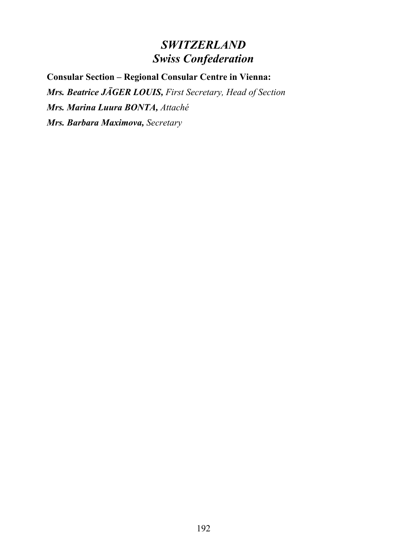# *SWITZERLAND Swiss Confederation*

**Consular Section – Regional Consular Centre in Vienna:** *Mrs. Beatrice JÄGER LOUIS, First Secretary, Head of Section Mrs. Marina Luura BONTA, Attaché Mrs. Barbara Maximova, Secretary*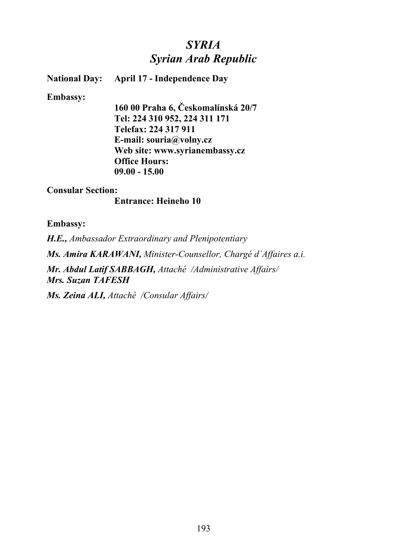## *SYRIA Syrian Arab Republic*

**National Day: April 17 - Independence Day**

#### **Embassy:**

**160 00 Praha 6, Českomalínská 20/7 Tel: 224 310 952, 224 311 171 Telefax: 224 317 911 E-mail: souria@volny.cz Web site: www.syrianembassy.cz Office Hours: 09.00 - 15.00**

### **Consular Section:**

### **Entrance: Heineho 10**

### **Embassy:**

*H.E., Ambassador Extraordinary and Plenipotentiary Ms. Amira KARAWANI, Minister-Counsellor, Chargé d´Affaires a.i. Mr. Abdul Latif SABBAGH, Attaché /Administrative Affairs/ Mrs. Suzan TAFESH*

*Ms. Zeina ALI, Attaché /Consular Affairs/*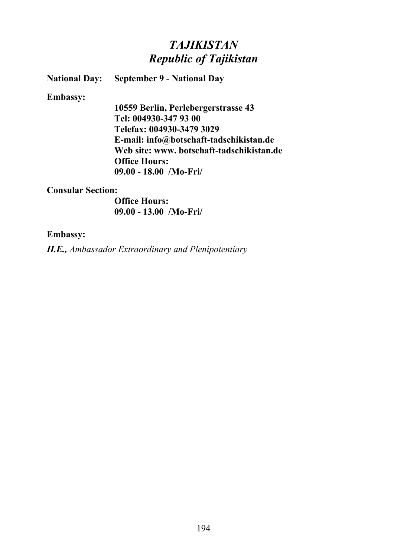# *TAJIKISTAN Republic of Tajikistan*

**National Day: September 9 - National Day**

**Embassy:**

**10559 Berlin, Perlebergerstrasse 43 Tel: 004930-347 93 00 Telefax: 004930-3479 3029 E-mail: info@botschaft-tadschikistan.de Web site: www. botschaft-tadschikistan.de Office Hours: 09.00 - 18.00 /Mo-Fri/**

### **Consular Section:**

**Office Hours: 09.00 - 13.00 /Mo-Fri/**

### **Embassy:**

*H.E., Ambassador Extraordinary and Plenipotentiary*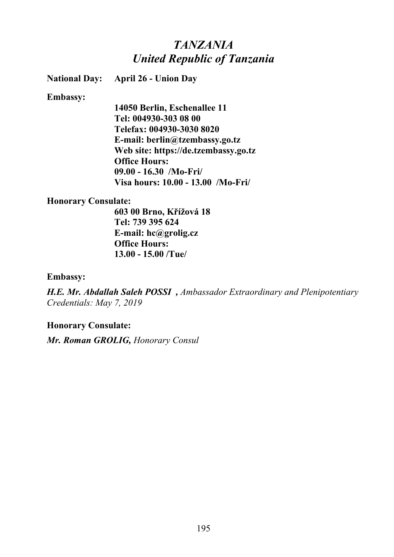## *TANZANIA United Republic of Tanzania*

**National Day: April 26 - Union Day**

### **Embassy:**

**14050 Berlin, Eschenallee 11 Tel: 004930-303 08 00 Telefax: 004930-3030 8020 E-mail: berlin@tzembassy.go.tz Web site: https://de.tzembassy.go.tz Office Hours: 09.00 - 16.30 /Mo-Fri/ Visa hours: 10.00 - 13.00 /Mo-Fri/**

### **Honorary Consulate:**

**603 00 Brno, Křížová 18 Tel: 739 395 624 E-mail: hc@grolig.cz Office Hours: 13.00 - 15.00 /Tue/**

### **Embassy:**

*H.E. Mr. Abdallah Saleh POSSI , Ambassador Extraordinary and Plenipotentiary Credentials: May 7, 2019*

## **Honorary Consulate:**

*Mr. Roman GROLIG, Honorary Consul*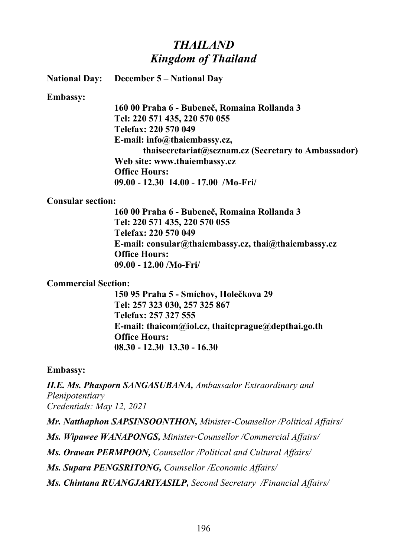## *THAILAND Kingdom of Thailand*

**National Day: December 5 – National Day**

**Embassy:**

**160 00 Praha 6 - Bubeneč, Romaina Rollanda 3 Tel: 220 571 435, 220 570 055 Telefax: 220 570 049 E-mail: info@thaiembassy.cz, thaisecretariat@seznam.cz (Secretary to Ambassador) Web site: www.thaiembassy.cz Office Hours: 09.00 - 12.30 14.00 - 17.00 /Mo-Fri/**

**Consular section:**

**160 00 Praha 6 - Bubeneč, Romaina Rollanda 3 Tel: 220 571 435, 220 570 055 Telefax: 220 570 049 E-mail: consular@thaiembassy.cz, thai@thaiembassy.cz Office Hours: 09.00 - 12.00 /Mo-Fri/**

### **Commercial Section:**

**150 95 Praha 5 - Smíchov, Holečkova 29 Tel: 257 323 030, 257 325 867 Telefax: 257 327 555 E-mail: thaicom@iol.cz, thaitcprague@depthai.go.th Office Hours: 08.30 - 12.30 13.30 - 16.30**

#### **Embassy:**

*H.E. Ms. Phasporn SANGASUBANA, Ambassador Extraordinary and Plenipotentiary Credentials: May 12, 2021*

*Mr. Natthaphon SAPSINSOONTHON, Minister-Counsellor /Political Affairs/*

*Ms. Wipawee WANAPONGS, Minister-Counsellor /Commercial Affairs/* 

*Ms. Orawan PERMPOON, Counsellor /Political and Cultural Affairs/* 

*Ms. Supara PENGSRITONG, Counsellor /Economic Affairs/* 

*Ms. Chintana RUANGJARIYASILP, Second Secretary /Financial Affairs/*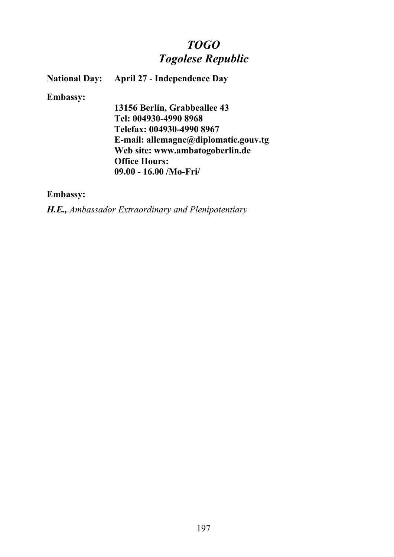# *TOGO Togolese Republic*

**National Day: April 27 - Independence Day**

### **Embassy:**

**13156 Berlin, Grabbeallee 43 Tel: 004930-4990 8968 Telefax: 004930-4990 8967 E-mail: allemagne@diplomatie.gouv.tg Web site: www.ambatogoberlin.de Office Hours: 09.00 - 16.00 /Mo-Fri/**

## **Embassy:**

*H.E., Ambassador Extraordinary and Plenipotentiary*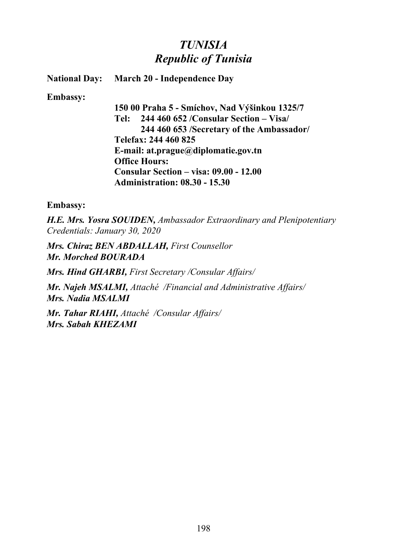# *TUNISIA Republic of Tunisia*

**National Day: March 20 - Independence Day**

**Embassy:**

**150 00 Praha 5 - Smíchov, Nad Výšinkou 1325/7 Tel: 244 460 652 /Consular Section – Visa/ 244 460 653 /Secretary of the Ambassador/ Telefax: 244 460 825 E-mail: at.prague@diplomatie.gov.tn Office Hours: Consular Section – visa: 09.00 - 12.00 Administration: 08.30 - 15.30**

**Embassy:**

*H.E. Mrs. Yosra SOUIDEN, Ambassador Extraordinary and Plenipotentiary Credentials: January 30, 2020*

*Mrs. Chiraz BEN ABDALLAH, First Counsellor Mr. Morched BOURADA*

*Mrs. Hind GHARBI, First Secretary /Consular Affairs/*

*Mr. Najeh MSALMI, Attaché /Financial and Administrative Affairs/ Mrs. Nadia MSALMI*

*Mr. Tahar RIAHI, Attaché /Consular Affairs/ Mrs. Sabah KHEZAMI*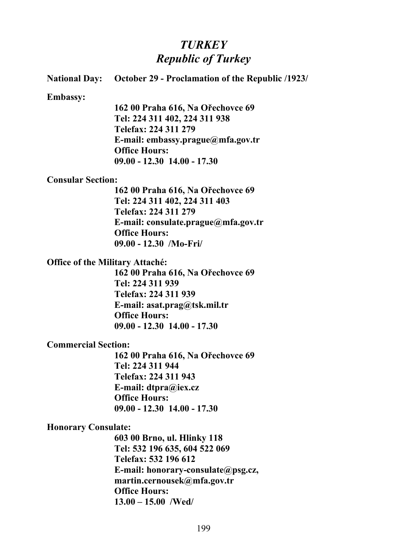# *TURKEY Republic of Turkey*

|                                        | <b>National Day:</b> October 29 - Proclamation of the Republic /1923/ |
|----------------------------------------|-----------------------------------------------------------------------|
| <b>Embassy:</b>                        |                                                                       |
|                                        | 162 00 Praha 616, Na Ořechovce 69                                     |
|                                        | Tel: 224 311 402, 224 311 938                                         |
|                                        | Telefax: 224 311 279                                                  |
|                                        | E-mail: embassy.prague@mfa.gov.tr                                     |
|                                        | <b>Office Hours:</b>                                                  |
|                                        | $09.00 - 12.30$ 14.00 - 17.30                                         |
| <b>Consular Section:</b>               |                                                                       |
|                                        | 162 00 Praha 616, Na Ořechovce 69                                     |
|                                        | Tel: 224 311 402, 224 311 403                                         |
|                                        | Telefax: 224 311 279                                                  |
|                                        | E-mail: consulate.prague@mfa.gov.tr                                   |
|                                        | <b>Office Hours:</b>                                                  |
|                                        | $09.00 - 12.30$ /Mo-Fri/                                              |
| <b>Office of the Military Attaché:</b> |                                                                       |
|                                        | 162 00 Praha 616, Na Ořechovce 69                                     |
|                                        | Tel: 224 311 939                                                      |
|                                        | Telefax: 224 311 939                                                  |
|                                        | E-mail: $asat.prag@tsk.mil.tr$                                        |
|                                        | <b>Office Hours:</b>                                                  |
|                                        | $09.00 - 12.30$ 14.00 - 17.30                                         |
| <b>Commercial Section:</b>             |                                                                       |
|                                        | 162 00 Praha 616, Na Ořechovce 69                                     |
|                                        | Tel: 224 311 944                                                      |
|                                        | Telefax: 224 311 943                                                  |
|                                        | E-mail: dtpra@iex.cz                                                  |
|                                        | <b>Office Hours:</b>                                                  |
|                                        | $09.00 - 12.30$ 14.00 - 17.30                                         |
| <b>Honorary Consulate:</b>             |                                                                       |
|                                        | 603 00 Brno, ul. Hlinky 118                                           |
|                                        | Tel: 532 196 635, 604 522 069                                         |
|                                        | $T_{c1}, f_{c2}, f22, 106, 612$                                       |

**Telefax: 532 196 612 E-mail: honorary-consulate@psg.cz, martin.cernousek@mfa.gov.tr Office Hours: 13.00 – 15.00 /Wed/**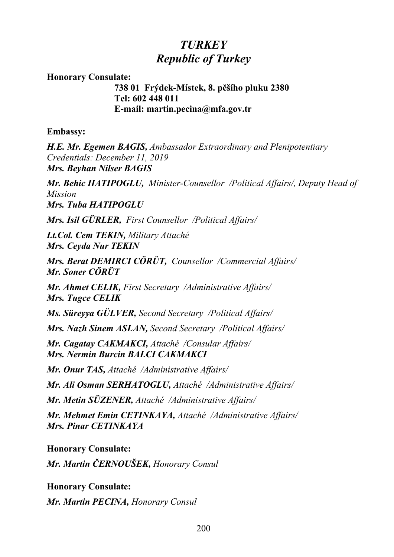# *TURKEY Republic of Turkey*

**Honorary Consulate:**

**738 01 Frýdek-Místek, 8. pěšího pluku 2380 Tel: 602 448 011 E-mail: martin.pecina@mfa.gov.tr**

**Embassy:**

*H.E. Mr. Egemen BAGIS, Ambassador Extraordinary and Plenipotentiary Credentials: December 11, 2019 Mrs. Beyhan Nilser BAGIS*

*Mr. Behic HATIPOGLU, Minister-Counsellor /Political Affairs/, Deputy Head of Mission Mrs. Tuba HATIPOGLU*

*Mrs. Isil GÜRLER, First Counsellor /Political Affairs/*

*Lt.Col. Cem TEKIN, Military Attaché Mrs. Ceyda Nur TEKIN*

*Mrs. Berat DEMIRCI CÖRÜT, Counsellor /Commercial Affairs/ Mr. Soner CÖRÜT*

*Mr. Ahmet CELIK, First Secretary /Administrative Affairs/ Mrs. Tugce CELIK*

*Ms. Süreyya GÜLVER, Second Secretary /Political Affairs/*

*Mrs. Nazh Sinem ASLAN, Second Secretary /Political Affairs/*

*Mr. Cagatay CAKMAKCI, Attaché /Consular Affairs/ Mrs. Nermin Burcin BALCI CAKMAKCI*

*Mr. Onur TAS, Attaché /Administrative Affairs/*

*Mr. Ali Osman SERHATOGLU, Attaché /Administrative Affairs/*

*Mr. Metin SÜZENER, Attaché /Administrative Affairs/*

*Mr. Mehmet Emin CETINKAYA, Attaché /Administrative Affairs/ Mrs. Pinar CETINKAYA*

**Honorary Consulate:**

*Mr. Martin ČERNOUŠEK, Honorary Consul*

**Honorary Consulate:** *Mr. Martin PECINA, Honorary Consul*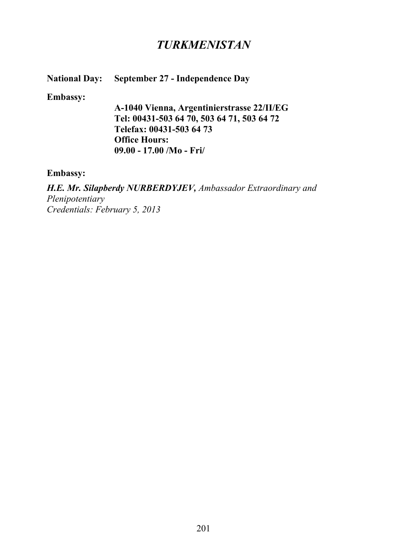## *TURKMENISTAN*

## **National Day: September 27 - Independence Day**

#### **Embassy:**

**A-1040 Vienna, Argentinierstrasse 22/II/EG Tel: 00431-503 64 70, 503 64 71, 503 64 72 Telefax: 00431-503 64 73 Office Hours: 09.00 - 17.00 /Mo - Fri/**

### **Embassy:**

*H.E. Mr. Silapberdy NURBERDYJEV, Ambassador Extraordinary and Plenipotentiary Credentials: February 5, 2013*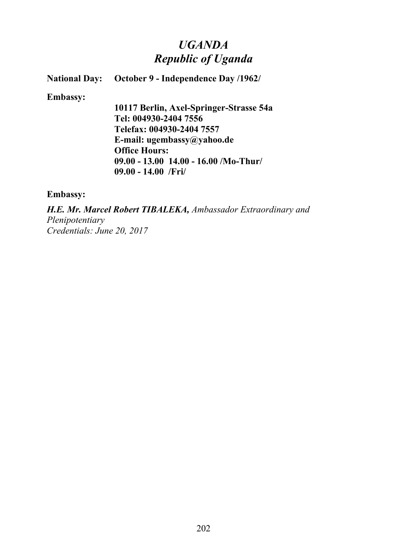# *UGANDA Republic of Uganda*

**National Day:** October 9 - Independence Day /1962/

**Embassy:**

**10117 Berlin, Axel-Springer-Strasse 54a Tel: 004930-2404 7556 Telefax: 004930-2404 7557 E-mail: ugembassy@yahoo.de Office Hours: 09.00 - 13.00 14.00 - 16.00 /Mo-Thur/ 09.00 - 14.00 /Fri/**

**Embassy:**

*H.E. Mr. Marcel Robert TIBALEKA, Ambassador Extraordinary and Plenipotentiary Credentials: June 20, 2017*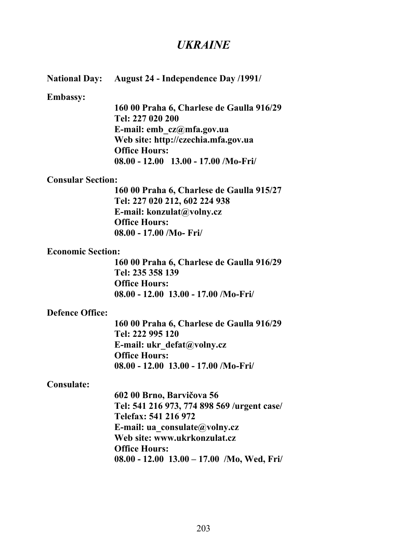## *UKRAINE*

### **National Day: August 24 - Independence Day /1991/**

#### **Embassy:**

**160 00 Praha 6, Charlese de Gaulla 916/29 Tel: 227 020 200 E-mail: emb\_cz@mfa.gov.ua Web site: http://czechia.mfa.gov.ua Office Hours: 08.00 - 12.00 13.00 - 17.00 /Mo-Fri/**

#### **Consular Section:**

**160 00 Praha 6, Charlese de Gaulla 915/27 Tel: 227 020 212, 602 224 938 E-mail: konzulat@volny.cz Office Hours: 08.00 - 17.00 /Mo- Fri/**

#### **Economic Section:**

**160 00 Praha 6, Charlese de Gaulla 916/29 Tel: 235 358 139 Office Hours: 08.00 - 12.00 13.00 - 17.00 /Mo-Fri/**

#### **Defence Office:**

**160 00 Praha 6, Charlese de Gaulla 916/29 Tel: 222 995 120 E-mail: ukr\_defat@volny.cz Office Hours: 08.00 - 12.00 13.00 - 17.00 /Mo-Fri/**

#### **Consulate:**

**602 00 Brno, Barvičova 56 Tel: 541 216 973, 774 898 569 /urgent case/ Telefax: 541 216 972 E-mail: ua\_consulate@volny.cz Web site: www.ukrkonzulat.cz Office Hours: 08.00 - 12.00 13.00 – 17.00 /Mo, Wed, Fri/**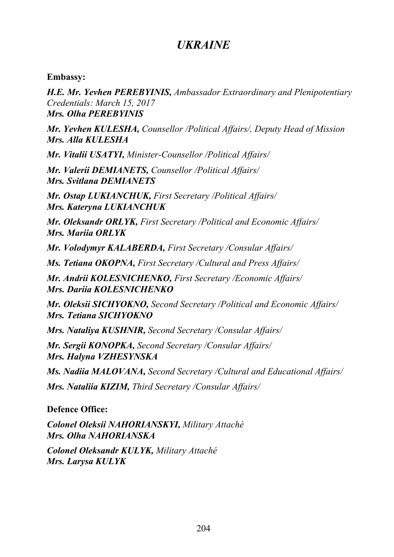## *UKRAINE*

**Embassy:**

*H.E. Mr. Yevhen PEREBYINIS, Ambassador Extraordinary and Plenipotentiary Credentials: March 15, 2017 Mrs. Olha PEREBYINIS*

*Mr. Yevhen KULESHA, Counsellor /Political Affairs/, Deputy Head of Mission Mrs. Alla KULESHA*

*Mr. Vitalii USATYI, Minister-Counsellor /Political Affairs/*

*Mr. Valerii DEMIANETS, Counsellor /Political Affairs/ Mrs. Svitlana DEMIANETS*

*Mr. Ostap LUKIANCHUK, First Secretary /Political Affairs/ Mrs. Kateryna LUKIANCHUK*

*Mr. Oleksandr ORLYK, First Secretary /Political and Economic Affairs/ Mrs. Mariia ORLYK*

*Mr. Volodymyr KALABERDA, First Secretary /Consular Affairs/*

*Ms. Tetiana OKOPNA, First Secretary /Cultural and Press Affairs/*

*Mr. Andrii KOLESNICHENKO, First Secretary /Economic Affairs/ Mrs. Dariia KOLESNICHENKO*

*Mr. Oleksii SICHYOKNO, Second Secretary /Political and Economic Affairs/ Mrs. Tetiana SICHYOKNO*

*Mrs. Nataliya KUSHNIR, Second Secretary /Consular Affairs/*

*Mr. Sergii KONOPKA, Second Secretary /Consular Affairs/ Mrs. Halyna VZHESYNSKA*

*Ms. Nadiia MALOVANA, Second Secretary /Cultural and Educational Affairs/*

*Mrs. Nataliia KIZIM, Third Secretary /Consular Affairs/*

## **Defence Office:**

*Colonel Oleksii NAHORIANSKYI, Military Attaché Mrs. Olha NAHORIANSKA*

*Colonel Oleksandr KULYK, Military Attaché Mrs. Larysa KULYK*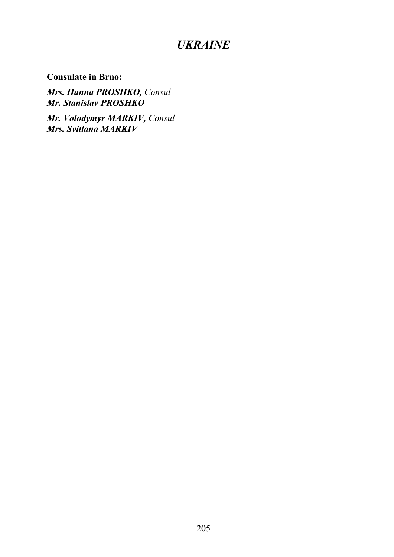# *UKRAINE*

**Consulate in Brno:**

*Mrs. Hanna PROSHKO, Consul Mr. Stanislav PROSHKO*

*Mr. Volodymyr MARKIV, Consul Mrs. Svitlana MARKIV*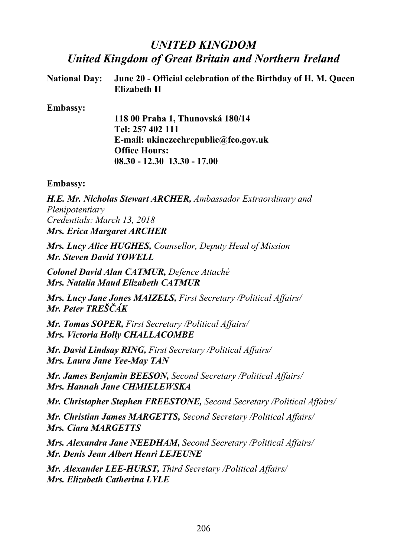# *UNITED KINGDOM United Kingdom of Great Britain and Northern Ireland*

| National Day: June 20 - Official celebration of the Birthday of H. M. Queen |
|-----------------------------------------------------------------------------|
| <b>Elizabeth II</b>                                                         |

### **Embassy:**

**118 00 Praha 1, Thunovská 180/14 Tel: 257 402 111 E-mail: ukinczechrepublic@fco.gov.uk Office Hours: 08.30 - 12.30 13.30 - 17.00**

### **Embassy:**

*H.E. Mr. Nicholas Stewart ARCHER, Ambassador Extraordinary and Plenipotentiary Credentials: March 13, 2018 Mrs. Erica Margaret ARCHER*

*Mrs. Lucy Alice HUGHES, Counsellor, Deputy Head of Mission Mr. Steven David TOWELL*

*Colonel David Alan CATMUR, Defence Attaché Mrs. Natalia Maud Elizabeth CATMUR*

*Mrs. Lucy Jane Jones MAIZELS, First Secretary /Political Affairs/ Mr. Peter TREŠČÁK*

*Mr. Tomas SOPER, First Secretary /Political Affairs/ Mrs. Victoria Holly CHALLACOMBE*

*Mr. David Lindsay RING, First Secretary /Political Affairs/ Mrs. Laura Jane Yee-May TAN*

*Mr. James Benjamin BEESON, Second Secretary /Political Affairs/ Mrs. Hannah Jane CHMIELEWSKA*

*Mr. Christopher Stephen FREESTONE, Second Secretary /Political Affairs/*

*Mr. Christian James MARGETTS, Second Secretary /Political Affairs/ Mrs. Ciara MARGETTS*

*Mrs. Alexandra Jane NEEDHAM, Second Secretary /Political Affairs/ Mr. Denis Jean Albert Henri LEJEUNE*

*Mr. Alexander LEE-HURST, Third Secretary /Political Affairs/ Mrs. Elizabeth Catherina LYLE*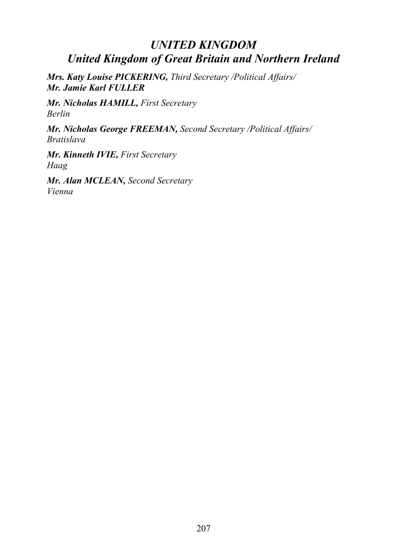# *UNITED KINGDOM United Kingdom of Great Britain and Northern Ireland*

*Mrs. Katy Louise PICKERING, Third Secretary /Political Affairs/ Mr. Jamie Karl FULLER*

*Mr. Nicholas HAMILL, First Secretary Berlin*

*Mr. Nicholas George FREEMAN, Second Secretary /Political Affairs/ Bratislava* 

*Mr. Kinneth IVIE, First Secretary Haag*

*Mr. Alan MCLEAN, Second Secretary Vienna*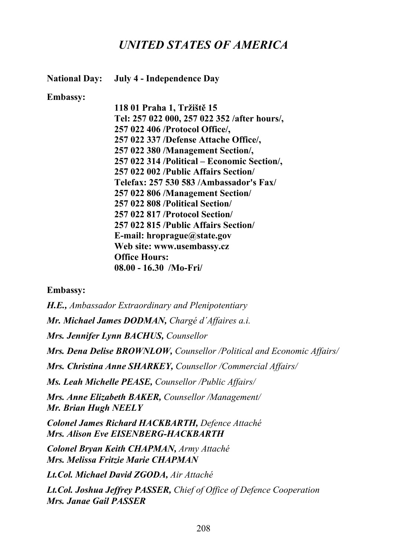**National Day: July 4 - Independence Day**

### **Embassy:**

**118 01 Praha 1, Tržiště 15 Tel: 257 022 000, 257 022 352 /after hours/, 257 022 406 /Protocol Office/, 257 022 337 /Defense Attache Office/, 257 022 380 /Management Section/, 257 022 314 /Political – Economic Section/, 257 022 002 /Public Affairs Section/ Telefax: 257 530 583 /Ambassador's Fax/ 257 022 806 /Management Section/ 257 022 808 /Political Section/ 257 022 817 /Protocol Section/ 257 022 815 /Public Affairs Section/ E-mail: hroprague@state.gov Web site: www.usembassy.cz Office Hours: 08.00 - 16.30 /Mo-Fri/**

## **Embassy:**

*H.E., Ambassador Extraordinary and Plenipotentiary Mr. Michael James DODMAN, Chargé d´Affaires a.i. Mrs. Jennifer Lynn BACHUS, Counsellor Mrs. Dena Delise BROWNLOW, Counsellor /Political and Economic Affairs/ Mrs. Christina Anne SHARKEY, Counsellor /Commercial Affairs/ Ms. Leah Michelle PEASE, Counsellor /Public Affairs/ Mrs. Anne Elizabeth BAKER, Counsellor /Management/ Mr. Brian Hugh NEELY Colonel James Richard HACKBARTH, Defence Attaché Mrs. Alison Eve EISENBERG-HACKBARTH Colonel Bryan Keith CHAPMAN, Army Attaché Mrs. Melissa Fritzie Marie CHAPMAN Lt.Col. Michael David ZGODA, Air Attaché Lt.Col. Joshua Jeffrey PASSER, Chief of Office of Defence Cooperation Mrs. Janae Gail PASSER*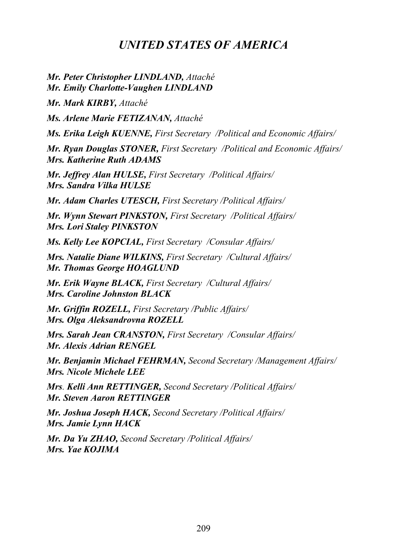*Mr. Peter Christopher LINDLAND, Attaché Mr. Emily Charlotte-Vaughen LINDLAND*

*Mr. Mark KIRBY, Attaché*

*Ms. Arlene Marie FETIZANAN, Attaché*

*Ms. Erika Leigh KUENNE, First Secretary /Political and Economic Affairs/*

*Mr. Ryan Douglas STONER, First Secretary /Political and Economic Affairs/ Mrs. Katherine Ruth ADAMS*

*Mr. Jeffrey Alan HULSE, First Secretary /Political Affairs/ Mrs. Sandra Vilka HULSE*

*Mr. Adam Charles UTESCH, First Secretary /Political Affairs/*

*Mr. Wynn Stewart PINKSTON, First Secretary /Political Affairs/ Mrs. Lori Staley PINKSTON*

*Ms. Kelly Lee KOPCIAL, First Secretary /Consular Affairs/*

*Mrs. Natalie Diane WILKINS, First Secretary /Cultural Affairs/ Mr. Thomas George HOAGLUND*

*Mr. Erik Wayne BLACK, First Secretary /Cultural Affairs/ Mrs. Caroline Johnston BLACK*

*Mr. Griffin ROZELL, First Secretary /Public Affairs/ Mrs. Olga Aleksandrovna ROZELL*

*Mrs. Sarah Jean CRANSTON, First Secretary /Consular Affairs/ Mr. Alexis Adrian RENGEL*

*Mr. Benjamin Michael FEHRMAN, Second Secretary /Management Affairs/ Mrs. Nicole Michele LEE*

*Mrs. Kelli Ann RETTINGER, Second Secretary /Political Affairs/ Mr. Steven Aaron RETTINGER*

*Mr. Joshua Joseph HACK, Second Secretary /Political Affairs/ Mrs. Jamie Lynn HACK*

*Mr. Da Yu ZHAO, Second Secretary /Political Affairs/ Mrs. Yae KOJIMA*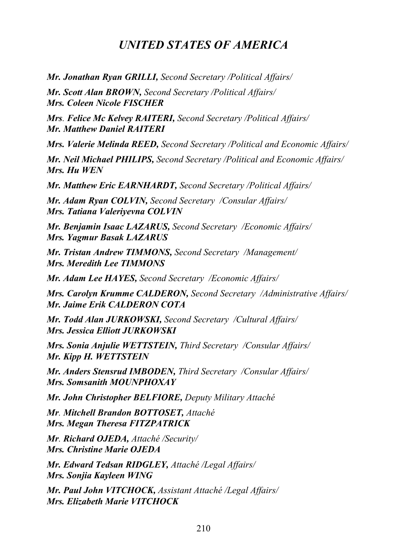*Mr. Jonathan Ryan GRILLI, Second Secretary /Political Affairs/*

*Mr. Scott Alan BROWN, Second Secretary /Political Affairs/ Mrs. Coleen Nicole FISCHER*

*Mrs. Felice Mc Kelvey RAITERI, Second Secretary /Political Affairs/ Mr. Matthew Daniel RAITERI*

*Mrs. Valerie Melinda REED, Second Secretary /Political and Economic Affairs/*

*Mr. Neil Michael PHILIPS, Second Secretary /Political and Economic Affairs/ Mrs. Hu WEN*

*Mr. Matthew Eric EARNHARDT, Second Secretary /Political Affairs/*

*Mr. Adam Ryan COLVIN, Second Secretary /Consular Affairs/ Mrs. Tatiana Valeriyevna COLVIN*

*Mr. Benjamin Isaac LAZARUS, Second Secretary /Economic Affairs/ Mrs. Yagmur Basak LAZARUS*

*Mr. Tristan Andrew TIMMONS, Second Secretary /Management/ Mrs. Meredith Lee TIMMONS*

*Mr. Adam Lee HAYES, Second Secretary /Economic Affairs/*

*Mrs. Carolyn Krumme CALDERON, Second Secretary /Administrative Affairs/ Mr. Jaime Erik CALDERON COTA*

*Mr. Todd Alan JURKOWSKI, Second Secretary /Cultural Affairs/ Mrs. Jessica Elliott JURKOWSKI*

*Mrs. Sonia Anjulie WETTSTEIN, Third Secretary /Consular Affairs/ Mr. Kipp H. WETTSTEIN*

*Mr. Anders Stensrud IMBODEN, Third Secretary /Consular Affairs/ Mrs. Somsanith MOUNPHOXAY*

*Mr. John Christopher BELFIORE, Deputy Military Attaché*

*Mr. Mitchell Brandon BOTTOSET, Attaché Mrs. Megan Theresa FITZPATRICK*

*Mr. Richard OJEDA, Attaché /Security/ Mrs. Christine Marie OJEDA*

*Mr. Edward Tedsan RIDGLEY, Attaché /Legal Affairs/ Mrs. Sonjia Kayleen WING*

*Mr. Paul John VITCHOCK, Assistant Attaché /Legal Affairs/ Mrs. Elizabeth Marie VITCHOCK*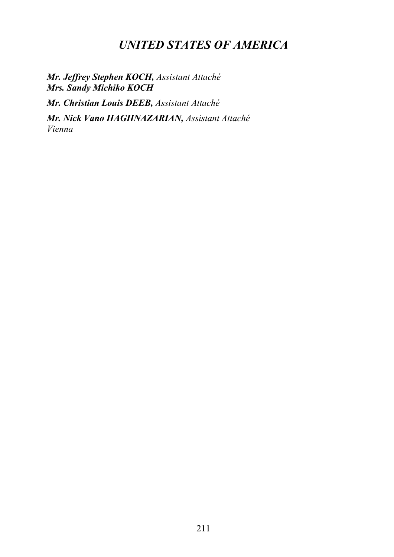*Mr. Jeffrey Stephen KOCH, Assistant Attaché Mrs. Sandy Michiko KOCH*

*Mr. Christian Louis DEEB, Assistant Attaché*

*Mr. Nick Vano HAGHNAZARIAN, Assistant Attaché Vienna*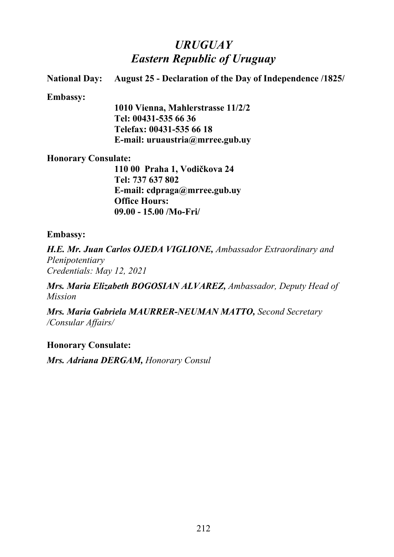# *URUGUAY Eastern Republic of Uruguay*

**National Day: August 25 - Declaration of the Day of Independence /1825/**

### **Embassy:**

**1010 Vienna, Mahlerstrasse 11/2/2 Tel: 00431-535 66 36 Telefax: 00431-535 66 18 E-mail: uruaustria@mrree.gub.uy**

### **Honorary Consulate:**

**110 00 Praha 1, Vodičkova 24 Tel: 737 637 802 E-mail: cdpraga@mrree.gub.uy Office Hours: 09.00 - 15.00 /Mo-Fri/**

### **Embassy:**

*H.E. Mr. Juan Carlos OJEDA VIGLIONE, Ambassador Extraordinary and Plenipotentiary Credentials: May 12, 2021*

*Mrs. Maria Elizabeth BOGOSIAN ALVAREZ, Ambassador, Deputy Head of Mission*

*Mrs. Maria Gabriela MAURRER-NEUMAN MATTO, Second Secretary /Consular Affairs/*

## **Honorary Consulate:**

*Mrs. Adriana DERGAM, Honorary Consul*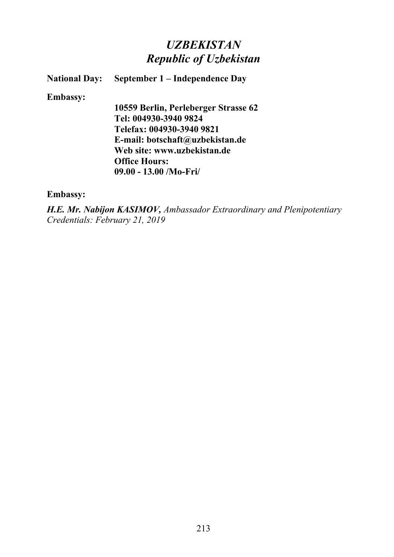# *UZBEKISTAN Republic of Uzbekistan*

## **National Day: September 1 – Independence Day**

### **Embassy:**

**10559 Berlin, Perleberger Strasse 62 Tel: 004930-3940 9824 Telefax: 004930-3940 9821 E-mail: botschaft@uzbekistan.de Web site: www.uzbekistan.de Office Hours: 09.00 - 13.00 /Mo-Fri/**

## **Embassy:**

*H.E. Mr. Nabijon KASIMOV, Ambassador Extraordinary and Plenipotentiary Credentials: February 21, 2019*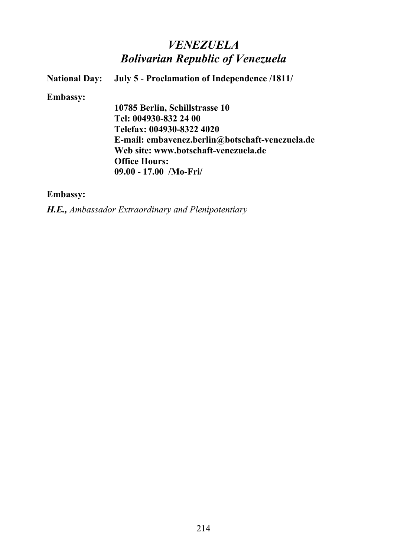# *VENEZUELA Bolivarian Republic of Venezuela*

**National Day: July 5 - Proclamation of Independence /1811/ Embassy: 10785 Berlin, Schillstrasse 10 Tel: 004930-832 24 00 Telefax: 004930-8322 4020 E-mail: embavenez.berlin@botschaft-venezuela.de Web site: www.botschaft-venezuela.de Office Hours: 09.00 - 17.00 /Mo-Fri/**

## **Embassy:**

*H.E., Ambassador Extraordinary and Plenipotentiary*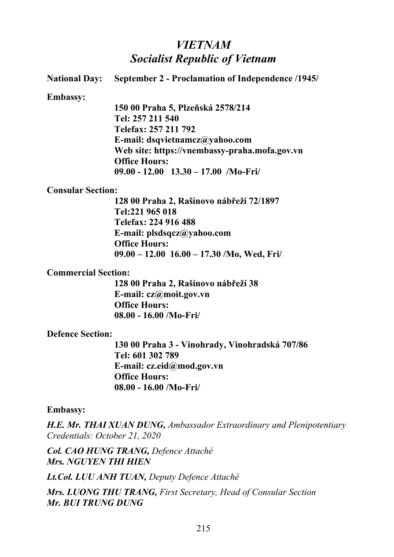### *VIETNAM Socialist Republic of Vietnam*

**National Day: September 2 - Proclamation of Independence /1945/**

**Embassy:**

**150 00 Praha 5, Plzeňská 2578/214 Tel: 257 211 540 Telefax: 257 211 792 E-mail: dsqvietnamcz@yahoo.com Web site: https://vnembassy-praha.mofa.gov.vn Office Hours: 09.00 - 12.00 13.30 – 17.00 /Mo-Fri/**

#### **Consular Section:**

**128 00 Praha 2, Rašínovo nábřeží 72/1897 Tel:221 965 018 Telefax: 224 916 488 E-mail: plsdsqcz@yahoo.com Office Hours: 09.00 – 12.00 16.00 – 17.30 /Mo, Wed, Fri/**

#### **Commercial Section:**

**128 00 Praha 2, Rašínovo nábřeží 38 E-mail: cz@moit.gov.vn Office Hours: 08.00 - 16.00 /Mo-Fri/**

### **Defence Section:**

**130 00 Praha 3 - Vinohrady, Vinohradská 707/86 Tel: 601 302 789 E-mail: cz.eid@mod.gov.vn Office Hours: 08.00 - 16.00 /Mo-Fri/**

#### **Embassy:**

*H.E. Mr. THAI XUAN DUNG, Ambassador Extraordinary and Plenipotentiary Credentials: October 21, 2020*

*Col. CAO HUNG TRANG, Defence Attaché Mrs. NGUYEN THI HIEN*

*Lt.Col. LUU ANH TUAN, Deputy Defence Attaché*

*Mrs. LUONG THU TRANG, First Secretary, Head of Consular Section Mr. BUI TRUNG DUNG*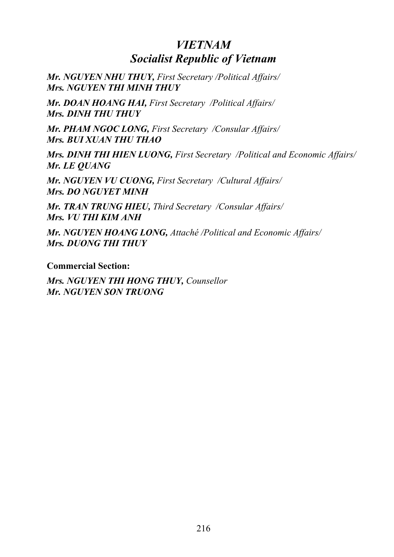### *VIETNAM Socialist Republic of Vietnam*

*Mr. NGUYEN NHU THUY, First Secretary /Political Affairs/ Mrs. NGUYEN THI MINH THUY*

*Mr. DOAN HOANG HAI, First Secretary /Political Affairs/ Mrs. DINH THU THUY*

*Mr. PHAM NGOC LONG, First Secretary /Consular Affairs/ Mrs. BUI XUAN THU THAO*

*Mrs. DINH THI HIEN LUONG, First Secretary /Political and Economic Affairs/ Mr. LE QUANG*

*Mr. NGUYEN VU CUONG, First Secretary /Cultural Affairs/ Mrs. DO NGUYET MINH*

*Mr. TRAN TRUNG HIEU, Third Secretary /Consular Affairs/ Mrs. VU THI KIM ANH*

*Mr. NGUYEN HOANG LONG, Attaché /Political and Economic Affairs/ Mrs. DUONG THI THUY*

**Commercial Section:**

*Mrs. NGUYEN THI HONG THUY, Counsellor Mr. NGUYEN SON TRUONG*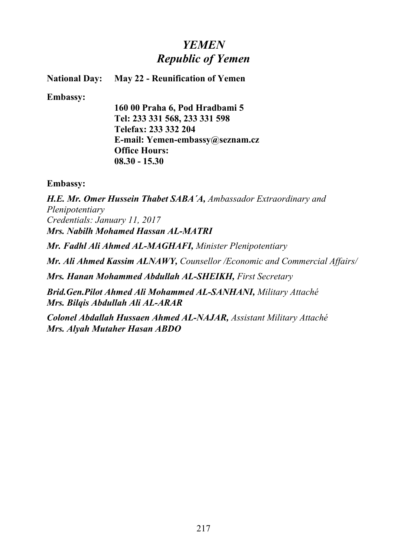# *YEMEN Republic of Yemen*

#### **National Day: May 22 - Reunification of Yemen**

**Embassy:**

**160 00 Praha 6, Pod Hradbami 5 Tel: 233 331 568, 233 331 598 Telefax: 233 332 204 E-mail: Yemen-embassy@seznam.cz Office Hours: 08.30 - 15.30**

**Embassy:**

*H.E. Mr. Omer Hussein Thabet SABA´A, Ambassador Extraordinary and Plenipotentiary Credentials: January 11, 2017 Mrs. Nabilh Mohamed Hassan AL-MATRI*

*Mr. Fadhl Ali Ahmed AL-MAGHAFI, Minister Plenipotentiary*

*Mr. Ali Ahmed Kassim ALNAWY, Counsellor /Economic and Commercial Affairs/*

*Mrs. Hanan Mohammed Abdullah AL-SHEIKH, First Secretary* 

*Brid.Gen.Pilot Ahmed Ali Mohammed AL-SANHANI, Military Attaché Mrs. Bilqis Abdullah Ali AL-ARAR*

*Colonel Abdallah Hussaen Ahmed AL-NAJAR, Assistant Military Attaché Mrs. Alyah Mutaher Hasan ABDO*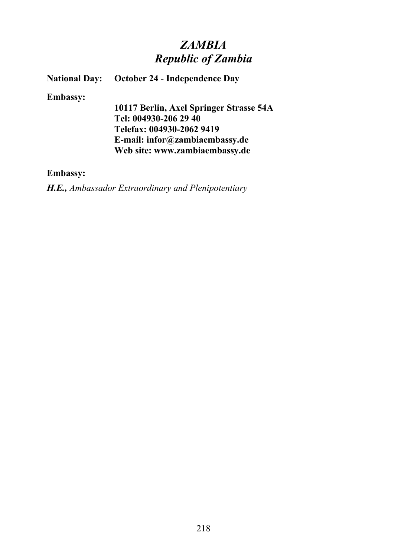### *ZAMBIA Republic of Zambia*

#### **National Day: October 24 - Independence Day**

#### **Embassy:**

**10117 Berlin, Axel Springer Strasse 54A Tel: 004930-206 29 40 Telefax: 004930-2062 9419 E-mail: infor@zambiaembassy.de Web site: www.zambiaembassy.de**

#### **Embassy:**

*H.E., Ambassador Extraordinary and Plenipotentiary*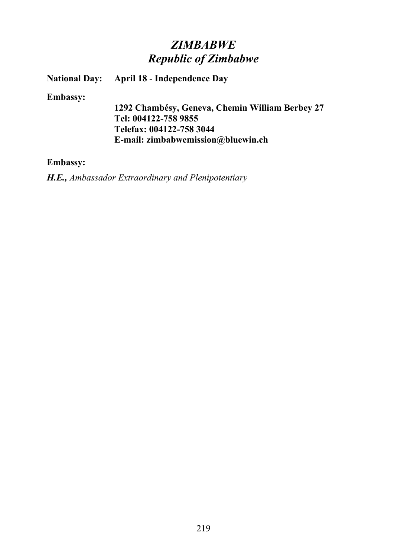### *ZIMBABWE Republic of Zimbabwe*

### **National Day:** April 18 - Independence Day

**Embassy:**

**1292 Chambésy, Geneva, Chemin William Berbey 27 Tel: 004122-758 9855 Telefax: 004122-758 3044 E-mail: zimbabwemission@bluewin.ch**

#### **Embassy:**

*H.E., Ambassador Extraordinary and Plenipotentiary*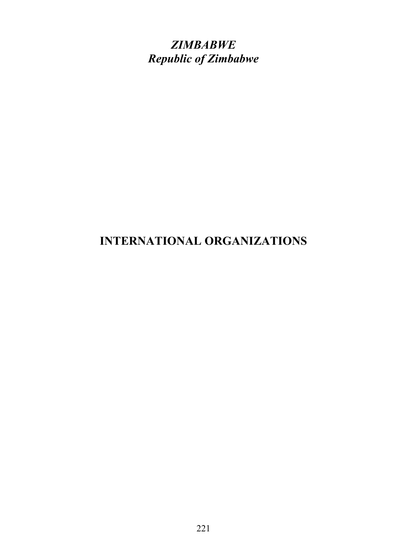*ZIMBABWE Republic of Zimbabwe*

# **INTERNATIONAL ORGANIZATIONS**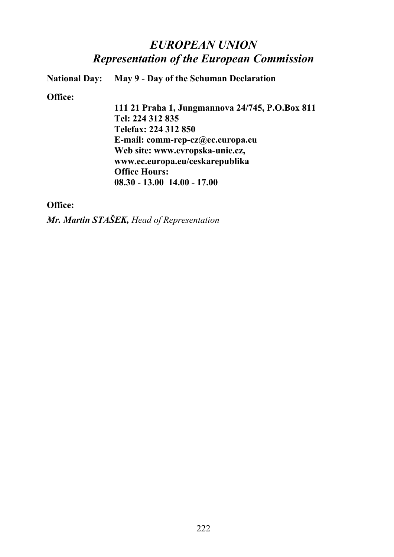### *EUROPEAN UNION Representation of the European Commission*

**National Day: May 9 - Day of the Schuman Declaration** 

**Office:**

**111 21 Praha 1, Jungmannova 24/745, P.O.Box 811 Tel: 224 312 835 Telefax: 224 312 850 E-mail: comm-rep-cz@ec.europa.eu Web site: www.evropska-unie.cz, www.ec.europa.eu/ceskarepublika Office Hours: 08.30 - 13.00 14.00 - 17.00**

#### **Office:**

*Mr. Martin STAŠEK, Head of Representation*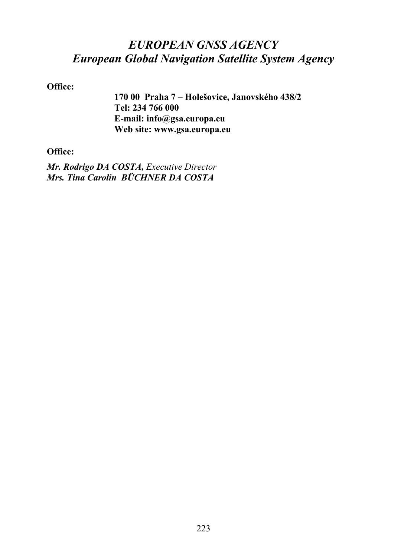### *EUROPEAN GNSS AGENCY European Global Navigation Satellite System Agency*

#### **Office:**

**170 00 Praha 7 – Holešovice, Janovského 438/2 Tel: 234 766 000 E-mail: info@gsa.europa.eu Web site: www.gsa.europa.eu**

### **Office:**

*Mr. Rodrigo DA COSTA, Executive Director Mrs. Tina Carolin BÜCHNER DA COSTA*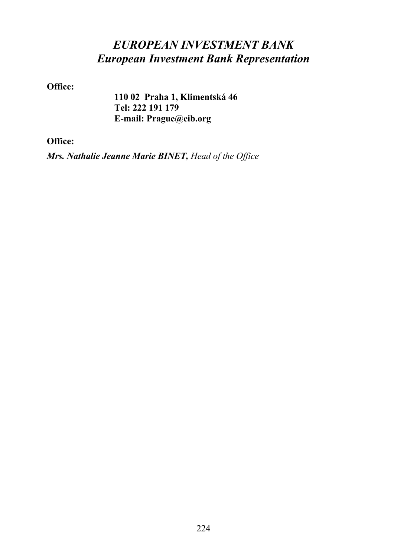# *EUROPEAN INVESTMENT BANK European Investment Bank Representation*

**Office:**

**110 02 Praha 1, Klimentská 46 Tel: 222 191 179 E-mail: Prague@eib.org**

**Office:**

*Mrs. Nathalie Jeanne Marie BINET, Head of the Office*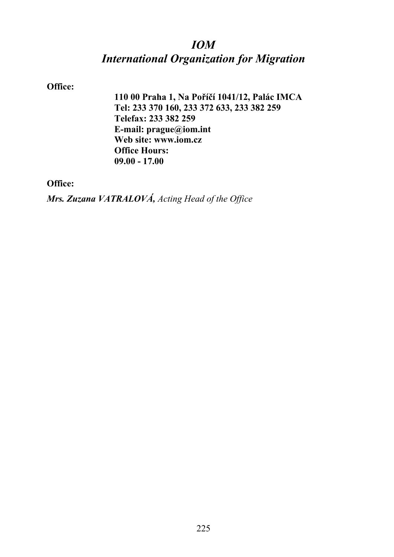### *IOM International Organization for Migration*

### **Office:**

**110 00 Praha 1, Na Poříčí 1041/12, Palác IMCA Tel: 233 370 160, 233 372 633, 233 382 259 Telefax: 233 382 259 E-mail: prague@iom.int Web site: www.iom.cz Office Hours: 09.00 - 17.00**

**Office:**

*Mrs. Zuzana VATRALOVÁ, Acting Head of the Office*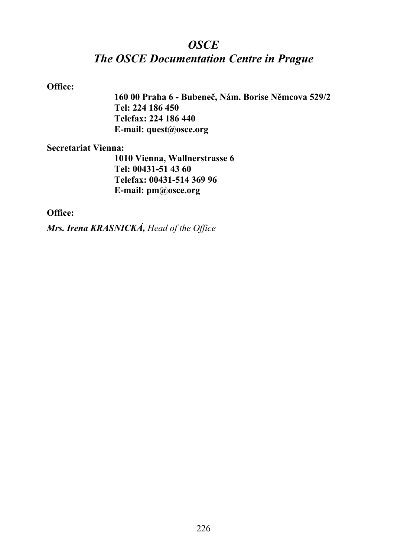### *OSCE The OSCE Documentation Centre in Prague*

### **Office:**

**160 00 Praha 6 - Bubeneč, Nám. Borise Němcova 529/2 Tel: 224 186 450 Telefax: 224 186 440 E-mail: quest@osce.org**

#### **Secretariat Vienna:**

**1010 Vienna, Wallnerstrasse 6 Tel: 00431-51 43 60 Telefax: 00431-514 369 96 E-mail: pm@osce.org**

#### **Office:**

*Mrs. Irena KRASNICKÁ, Head of the Office*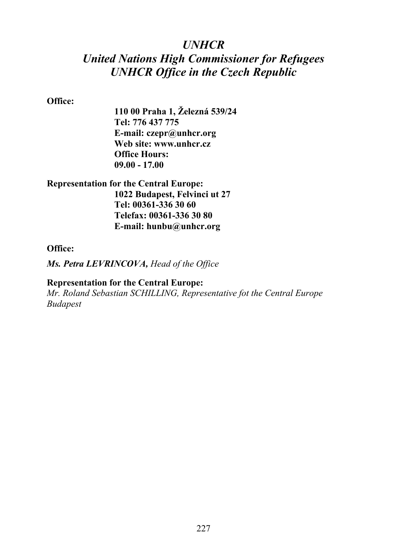### *UNHCR*

# *United Nations High Commissioner for Refugees UNHCR Office in the Czech Republic*

#### **Office:**

**110 00 Praha 1, Železná 539/24 Tel: 776 437 775 E-mail: czepr@unhcr.org Web site: www.unhcr.cz Office Hours: 09.00 - 17.00**

### **Representation for the Central Europe: 1022 Budapest, Felvinci ut 27 Tel: 00361-336 30 60 Telefax: 00361-336 30 80 E-mail: hunbu@unhcr.org**

#### **Office:**

*Ms. Petra LEVRINCOVA, Head of the Office*

### **Representation for the Central Europe:**

*Mr. Roland Sebastian SCHILLING, Representative fot the Central Europe Budapest*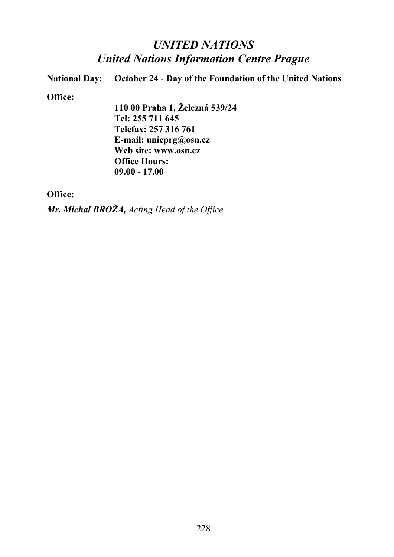### *UNITED NATIONS United Nations Information Centre Prague*

**National Day:** October 24 - Day of the Foundation of the United Nations

#### **Office:**

**110 00 Praha 1, Železná 539/24 Tel: 255 711 645 Telefax: 257 316 761 E-mail: unicprg@osn.cz Web site: www.osn.cz Office Hours: 09.00 - 17.00**

### **Office:**

*Mr. Michal BROŽA, Acting Head of the Office*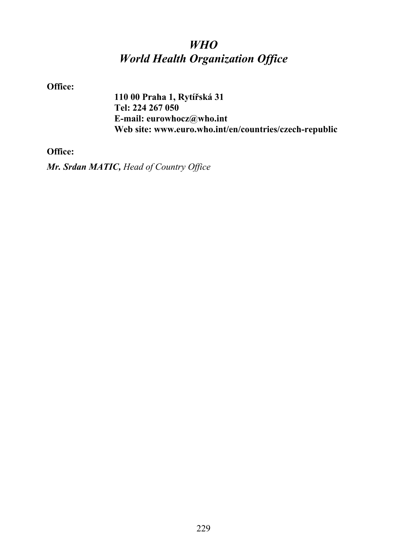# *WHO World Health Organization Office*

**Office:**

**110 00 Praha 1, Rytířská 31 Tel: 224 267 050 E-mail: eurowhocz@who.int Web site: www.euro.who.int/en/countries/czech-republic**

**Office:**

*Mr. Srdan MATIC, Head of Country Office*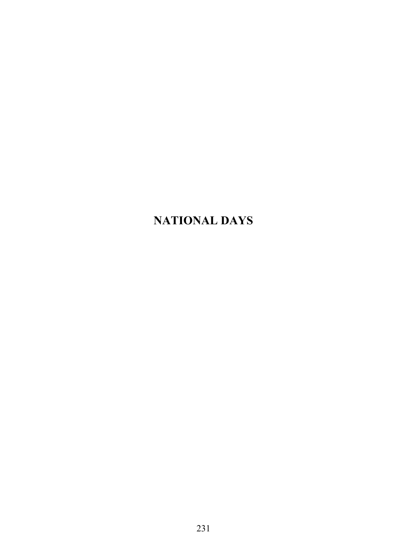# **NATIONAL DAYS**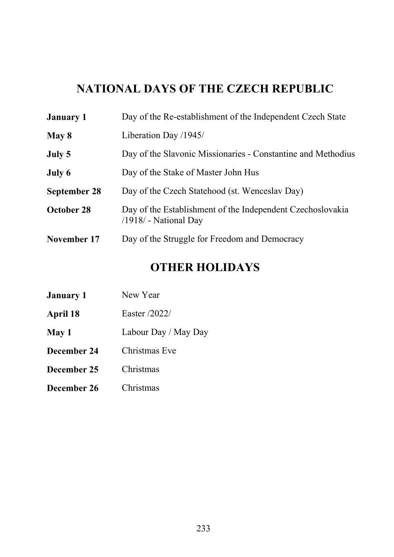# **NATIONAL DAYS OF THE CZECH REPUBLIC**

| <b>January 1</b>    | Day of the Re-establishment of the Independent Czech State                            |
|---------------------|---------------------------------------------------------------------------------------|
| May 8               | Liberation Day /1945/                                                                 |
| July 5              | Day of the Slavonic Missionaries - Constantine and Methodius                          |
| July 6              | Day of the Stake of Master John Hus                                                   |
| <b>September 28</b> | Day of the Czech Statehood (st. Wenceslav Day)                                        |
| October 28          | Day of the Establishment of the Independent Czechoslovakia<br>$/1918/$ - National Day |
| November 17         | Day of the Struggle for Freedom and Democracy                                         |

# **OTHER HOLIDAYS**

| <b>January 1</b> | New Year             |
|------------------|----------------------|
| April 18         | Easter /2022/        |
| May 1            | Labour Day / May Day |
| December 24      | Christmas Eve        |
| December 25      | Christmas            |
| December 26      | Christmas            |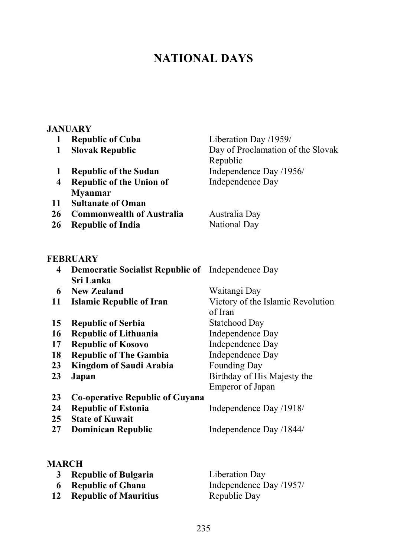# **NATIONAL DAYS**

|                         | <b>JANUARY</b>                                           |                                               |
|-------------------------|----------------------------------------------------------|-----------------------------------------------|
| 1                       | <b>Republic of Cuba</b>                                  | Liberation Day /1959/                         |
| 1                       | <b>Slovak Republic</b>                                   | Day of Proclamation of the Slovak<br>Republic |
| 1                       | <b>Republic of the Sudan</b>                             | Independence Day /1956/                       |
| $\overline{\mathbf{4}}$ | <b>Republic of the Union of</b><br><b>Myanmar</b>        | Independence Day                              |
| 11                      | <b>Sultanate of Oman</b>                                 |                                               |
| 26                      | <b>Commonwealth of Australia</b>                         | Australia Day                                 |
| <b>26</b>               | <b>Republic of India</b>                                 | <b>National Day</b>                           |
|                         | FEBRUARY                                                 |                                               |
| 4                       | <b>Democratic Socialist Republic of</b> Independence Day |                                               |
|                         | Sri Lanka                                                |                                               |
| 6                       | <b>New Zealand</b>                                       | Waitangi Day                                  |
| 11                      | <b>Islamic Republic of Iran</b>                          | Victory of the Islamic Revolution<br>of Iran  |
| 15                      | <b>Republic of Serbia</b>                                | <b>Statehood Day</b>                          |
| 16                      | <b>Republic of Lithuania</b>                             | Independence Day                              |
| 17                      | <b>Republic of Kosovo</b>                                | <b>Independence Day</b>                       |
| 18                      | <b>Republic of The Gambia</b>                            | Independence Day                              |
| 23                      | <b>Kingdom of Saudi Arabia</b>                           | <b>Founding Day</b>                           |
| 23                      | Japan                                                    | Birthday of His Majesty the                   |
|                         |                                                          | <b>Emperor of Japan</b>                       |
| 23                      | <b>Co-operative Republic of Guyana</b>                   |                                               |
| 24                      | <b>Republic of Estonia</b>                               | Independence Day /1918/                       |
| 25                      | <b>State of Kuwait</b>                                   |                                               |
| 27                      | <b>Dominican Republic</b>                                | Independence Day /1844/                       |
|                         |                                                          |                                               |
|                         |                                                          |                                               |

### **MARCH Republic of Bulgaria** Liberation Day **Republic of Ghana** Independence Day /1957/ **Republic of Mauritius** Republic Day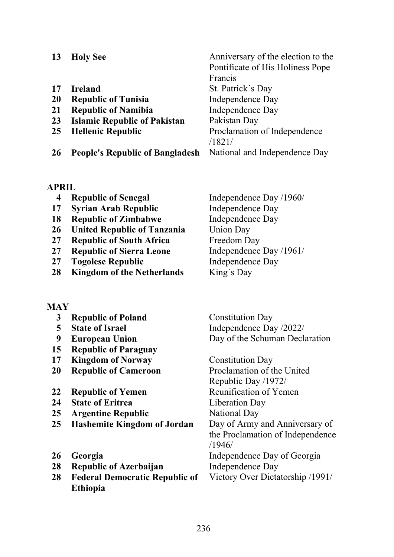| <b>Holy See</b>                        | Anniversary of the election to the |
|----------------------------------------|------------------------------------|
|                                        | Pontificate of His Holiness Pope   |
|                                        | Francis                            |
| <b>Ireland</b>                         | St. Patrick's Day                  |
| <b>Republic of Tunisia</b>             | Independence Day                   |
| <b>Republic of Namibia</b>             | Independence Day                   |
| <b>Islamic Republic of Pakistan</b>    | Pakistan Day                       |
| <b>Hellenic Republic</b>               | Proclamation of Independence       |
|                                        | /1821/                             |
| <b>People's Republic of Bangladesh</b> | National and Independence Day      |
|                                        |                                    |

#### **APRIL**

- **Republic of Senegal** Independence Day /1960/
- **Syrian Arab Republic** Independence Day
- **Republic of Zimbabwe** Independence Day
- **26 United Republic of Tanzania** Union Day<br>**27 Republic of South Africa** Freedom Dav
- **Republic of South Africa**
- **Republic of Sierra Leone** Independence Day /1961/
- **Togolese Republic** Independence Day
- **Kingdom of the Netherlands** King´s Day

### **MAY**

- **Republic of Poland** Constitution Day **5 State of Israel** Independence Day  $/2022/$  **European Union** Day of the Schuman Declaration **Republic of Paraguay Kingdom of Norway** Constitution Day **Republic of Cameroon** Proclamation of the United Republic Day /1972/ **Republic of Yemen Reunification of Yemen State of Eritrea** Liberation Day **25 Argentine Republic** National Day **Hashemite Kingdom of Jordan** Day of Army and Anniversary of the Proclamation of Independence /1946/ **Georgia** Independence Day of Georgia
- **Republic of Azerbaijan** Independence Day
- **Federal Democratic Republic of Ethiopia**

Victory Over Dictatorship /1991/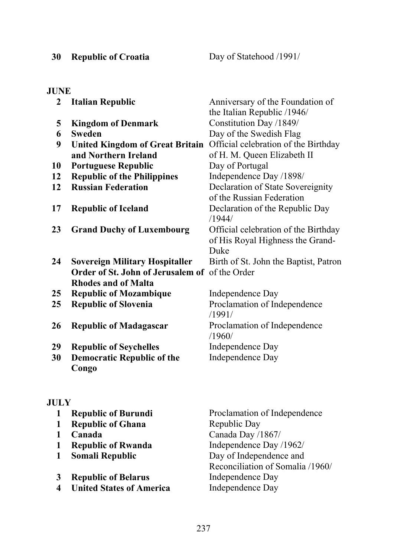**30 Republic of Croatia** Day of Statehood /1991/

### **JUNE**

| $\overline{2}$ | <b>Italian Republic</b>                        | Anniversary of the Foundation of                                                 |
|----------------|------------------------------------------------|----------------------------------------------------------------------------------|
|                |                                                | the Italian Republic /1946/                                                      |
| 5              | <b>Kingdom of Denmark</b>                      | Constitution Day /1849/                                                          |
| 6              | <b>Sweden</b>                                  | Day of the Swedish Flag                                                          |
| 9              | <b>United Kingdom of Great Britain</b>         | Official celebration of the Birthday                                             |
|                | and Northern Ireland                           | of H. M. Queen Elizabeth II                                                      |
| 10             | <b>Portuguese Republic</b>                     | Day of Portugal                                                                  |
| 12             | <b>Republic of the Philippines</b>             | Independence Day /1898/                                                          |
| 12             | <b>Russian Federation</b>                      | Declaration of State Sovereignity<br>of the Russian Federation                   |
| 17             | <b>Republic of Iceland</b>                     | Declaration of the Republic Day<br>/1944/                                        |
| 23             | <b>Grand Duchy of Luxembourg</b>               | Official celebration of the Birthday<br>of His Royal Highness the Grand-<br>Duke |
| 24             | <b>Sovereign Military Hospitaller</b>          | Birth of St. John the Baptist, Patron                                            |
|                | Order of St. John of Jerusalem of of the Order |                                                                                  |
|                | <b>Rhodes and of Malta</b>                     |                                                                                  |
| 25             | <b>Republic of Mozambique</b>                  | Independence Day                                                                 |
| 25             | <b>Republic of Slovenia</b>                    | Proclamation of Independence<br>/1991/                                           |
| 26             | <b>Republic of Madagascar</b>                  | Proclamation of Independence<br>/1960/                                           |
| 29             | <b>Republic of Seychelles</b>                  | Independence Day                                                                 |
| 30             | <b>Democratic Republic of the</b>              | Independence Day                                                                 |
|                | Congo                                          |                                                                                  |

### **JULY**

| <b>Republic of Burundi</b>      | Proclamation of Independence     |
|---------------------------------|----------------------------------|
| <b>Republic of Ghana</b>        | Republic Day                     |
| Canada                          | Canada Day /1867/                |
| <b>Republic of Rwanda</b>       | Independence Day /1962/          |
| Somali Republic                 | Day of Independence and          |
|                                 | Reconciliation of Somalia /1960/ |
| <b>Republic of Belarus</b>      | Independence Day                 |
| <b>United States of America</b> | Independence Day                 |
|                                 |                                  |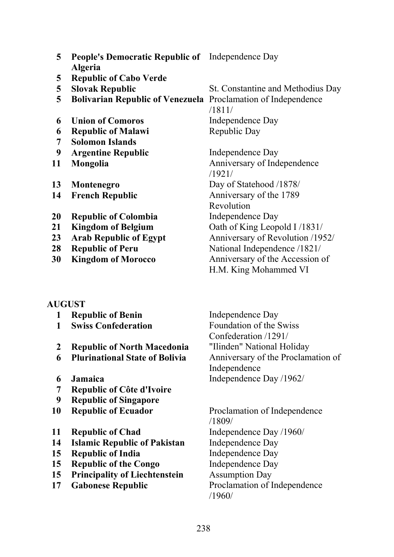| 5              | People's Democratic Republic of Independence Day                     |                                   |
|----------------|----------------------------------------------------------------------|-----------------------------------|
|                | <b>Algeria</b>                                                       |                                   |
| $\overline{5}$ | <b>Republic of Cabo Verde</b>                                        |                                   |
| 5              | <b>Slovak Republic</b>                                               | St. Constantine and Methodius Day |
| 5              | <b>Bolivarian Republic of Venezuela</b> Proclamation of Independence |                                   |
|                |                                                                      | /1811/                            |
| 6              | <b>Union of Comoros</b>                                              | Independence Day                  |
| 6              | <b>Republic of Malawi</b>                                            | Republic Day                      |
| 7              | <b>Solomon Islands</b>                                               |                                   |
| 9              | <b>Argentine Republic</b>                                            | Independence Day                  |
| 11             | Mongolia                                                             | Anniversary of Independence       |
|                |                                                                      | /1921/                            |
| 13             | Montenegro                                                           | Day of Statehood /1878/           |
| 14             | <b>French Republic</b>                                               | Anniversary of the 1789           |
|                |                                                                      | Revolution                        |
| 20             | <b>Republic of Colombia</b>                                          | Independence Day                  |
| 21             | <b>Kingdom of Belgium</b>                                            | Oath of King Leopold I /1831/     |
| 23             | <b>Arab Republic of Egypt</b>                                        | Anniversary of Revolution /1952/  |
| 28             | <b>Republic of Peru</b>                                              | National Independence /1821/      |
| 30             | <b>Kingdom of Morocco</b>                                            | Anniversary of the Accession of   |
|                |                                                                      | H.M. King Mohammed VI             |

#### **AUGUST**

- **Republic of Benin** Independence Day
- 
- **Republic of North Macedonia** "Ilinden" National Holiday
- 
- 
- **Republic of Côte d'Ivoire**
- **Republic of Singapore**
- **Republic of Ecuador** Proclamation of Independence
- 
- **Islamic Republic of Pakistan** Independence Day
- **Republic of India** Independence Day
- **Republic of the Congo** Independence Day
- **Principality of Liechtenstein** Assumption Day
- 

 **Swiss Confederation** Foundation of the Swiss Confederation /1291/ **Plurinational State of Bolivia** Anniversary of the Proclamation of Independence **Jamaica** Independence Day /1962/

/1809/ **Republic of Chad** Independence Day /1960/ **Gabonese Republic** Proclamation of Independence /1960/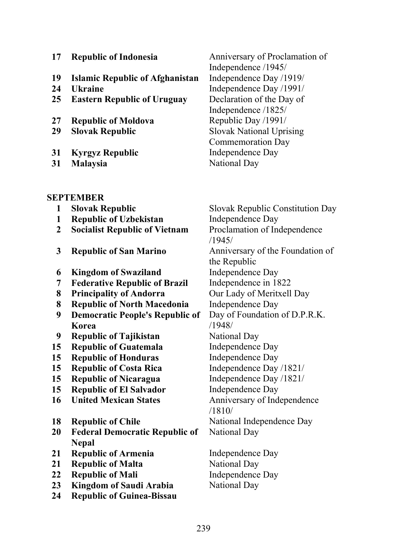| 17 | <b>Republic of Indonesia</b>                             | Anniversary of Proclamation of                         |
|----|----------------------------------------------------------|--------------------------------------------------------|
| 19 |                                                          | Independence /1945/                                    |
| 24 | <b>Islamic Republic of Afghanistan</b><br><b>Ukraine</b> | Independence Day /1919/<br>Independence Day /1991/     |
| 25 |                                                          | Declaration of the Day of                              |
|    | <b>Eastern Republic of Uruguay</b>                       |                                                        |
|    |                                                          | Independence /1825/                                    |
| 27 | <b>Republic of Moldova</b>                               | Republic Day /1991/<br><b>Slovak National Uprising</b> |
| 29 | <b>Slovak Republic</b>                                   |                                                        |
| 31 |                                                          | <b>Commemoration Day</b><br>Independence Day           |
| 31 | <b>Kyrgyz Republic</b>                                   | <b>National Day</b>                                    |
|    | <b>Malaysia</b>                                          |                                                        |
|    | SEPTEMBER                                                |                                                        |
| 1  | <b>Slovak Republic</b>                                   | Slovak Republic Constitution Day                       |
| 1  | <b>Republic of Uzbekistan</b>                            | Independence Day                                       |
| 2  | <b>Socialist Republic of Vietnam</b>                     | Proclamation of Independence                           |
|    |                                                          | /1945/                                                 |
| 3  | <b>Republic of San Marino</b>                            | Anniversary of the Foundation of                       |
|    |                                                          | the Republic                                           |
| 6  | <b>Kingdom of Swaziland</b>                              | Independence Day                                       |
| 7  | <b>Federative Republic of Brazil</b>                     | Independence in 1822                                   |
| 8  | <b>Principality of Andorra</b>                           | Our Lady of Meritxell Day                              |
| 8  | <b>Republic of North Macedonia</b>                       | Independence Day                                       |
| 9  | <b>Democratic People's Republic of</b>                   | Day of Foundation of D.P.R.K.                          |
|    | Korea                                                    | /1948/                                                 |
| 9  | <b>Republic of Tajikistan</b>                            | <b>National Day</b>                                    |
| 15 | <b>Republic of Guatemala</b>                             | Independence Day                                       |
| 15 | <b>Republic of Honduras</b>                              | Independence Day                                       |
| 15 | <b>Republic of Costa Rica</b>                            | Independence Day /1821/                                |
| 15 | <b>Republic of Nicaragua</b>                             | Independence Day /1821/                                |
| 15 | <b>Republic of El Salvador</b>                           | Independence Day                                       |
| 16 | <b>United Mexican States</b>                             | Anniversary of Independence                            |
|    |                                                          | /1810/                                                 |
| 18 | <b>Republic of Chile</b>                                 | National Independence Day                              |
| 20 | <b>Federal Democratic Republic of</b>                    | National Day                                           |
|    | <b>Nepal</b>                                             |                                                        |
| 21 | <b>Republic of Armenia</b>                               | Independence Day                                       |
| 21 | <b>Republic of Malta</b>                                 | National Day                                           |
| 22 | <b>Republic of Mali</b>                                  | Independence Day                                       |
| 23 | <b>Kingdom of Saudi Arabia</b>                           | National Day                                           |
| 24 | <b>Republic of Guinea-Bissau</b>                         |                                                        |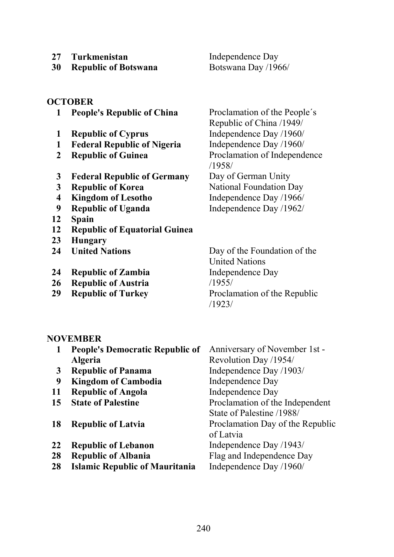**27 Turkmenistan** Independence Day

**30 Republic of Botswana** Botswana Day /1966/

### **OCTOBER**

- **People's Republic of China** Proclamation of the People´s
- 
- **Federal Republic of Nigeria** Independence Day /1960/
- 
- **Federal Republic of Germany** Day of German Unity
- 
- 
- 
- **Spain**
- **Republic of Equatorial Guinea**
- **Hungary**
- 
- **Republic of Zambia** Independence Day
- **Republic of Austria** /1955/
- 

Republic of China /1949/ **Republic of Cyprus** Independence Day /1960/ **Republic of Guinea** Proclamation of Independence /1958/ **Republic of Korea** National Foundation Day **Kingdom of Lesotho** Independence Day /1966/ **Republic of Uganda** Independence Day /1962/

 **United Nations** Day of the Foundation of the United Nations **Republic of Turkey** Proclamation of the Republic /1923/

### **NOVEMBER**

| 1  | <b>People's Democratic Republic of</b> | Anniversary of November 1st -    |
|----|----------------------------------------|----------------------------------|
|    | <b>Algeria</b>                         | Revolution Day /1954/            |
| 3  | <b>Republic of Panama</b>              | Independence Day /1903/          |
| 9  | <b>Kingdom of Cambodia</b>             | Independence Day                 |
| 11 | <b>Republic of Angola</b>              | Independence Day                 |
| 15 | <b>State of Palestine</b>              | Proclamation of the Independent  |
|    |                                        | State of Palestine /1988/        |
| 18 | <b>Republic of Latvia</b>              | Proclamation Day of the Republic |
|    |                                        | of Latvia                        |
| 22 | <b>Republic of Lebanon</b>             | Independence Day /1943/          |
| 28 | <b>Republic of Albania</b>             | Flag and Independence Day        |
| 28 | <b>Islamic Republic of Mauritania</b>  | Independence Day /1960/          |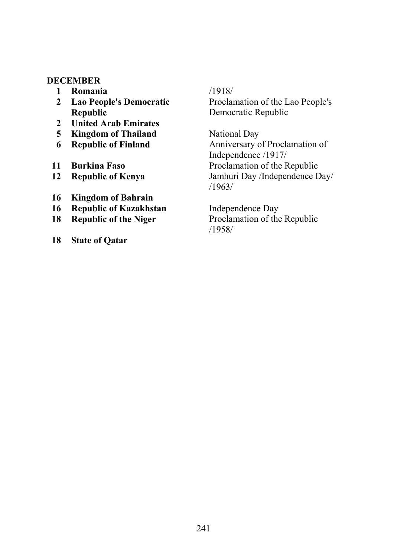### **DECEMBER**

- **Romania** /1918/
- **Lao People's Democratic Republic**
- **United Arab Emirates**
- **Kingdom of Thailand** National Day
- 
- 
- 
- **Kingdom of Bahrain**
- **Republic of Kazakhstan** Independence Day
- 
- **State of Qatar**

# Proclamation of the Lao People's Democratic Republic

 **Republic of Finland** Anniversary of Proclamation of Independence /1917/ **Burkina Faso** Proclamation of the Republic **Republic of Kenya** Jamhuri Day /Independence Day/ /1963/

 **Republic of the Niger** Proclamation of the Republic /1958/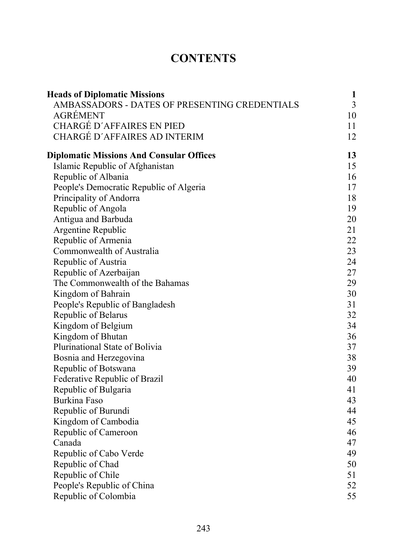# **CONTENTS**

| <b>Heads of Diplomatic Missions</b>             | 1  |
|-------------------------------------------------|----|
| AMBASSADORS - DATES OF PRESENTING CREDENTIALS   | 3  |
| <b>AGRÉMENT</b>                                 | 10 |
| <b>CHARGÉ D'AFFAIRES EN PIED</b>                | 11 |
| <b>CHARGÉ D'AFFAIRES AD INTERIM</b>             | 12 |
| <b>Diplomatic Missions And Consular Offices</b> | 13 |
| Islamic Republic of Afghanistan                 | 15 |
| Republic of Albania                             | 16 |
| People's Democratic Republic of Algeria         | 17 |
| Principality of Andorra                         | 18 |
| Republic of Angola                              | 19 |
| Antigua and Barbuda                             | 20 |
| Argentine Republic                              | 21 |
| Republic of Armenia                             | 22 |
| Commonwealth of Australia                       | 23 |
| Republic of Austria                             | 24 |
| Republic of Azerbaijan                          | 27 |
| The Commonwealth of the Bahamas                 | 29 |
| Kingdom of Bahrain                              | 30 |
| People's Republic of Bangladesh                 | 31 |
| Republic of Belarus                             | 32 |
| Kingdom of Belgium                              | 34 |
| Kingdom of Bhutan                               | 36 |
| Plurinational State of Bolivia                  | 37 |
| Bosnia and Herzegovina                          | 38 |
| Republic of Botswana                            | 39 |
| Federative Republic of Brazil                   | 40 |
| Republic of Bulgaria                            | 41 |
| Burkina Faso                                    | 43 |
| Republic of Burundi                             | 44 |
| Kingdom of Cambodia                             | 45 |
| Republic of Cameroon                            | 46 |
| Canada                                          | 47 |
| Republic of Cabo Verde                          | 49 |
| Republic of Chad                                | 50 |
| Republic of Chile                               | 51 |
| People's Republic of China                      | 52 |
| Republic of Colombia                            | 55 |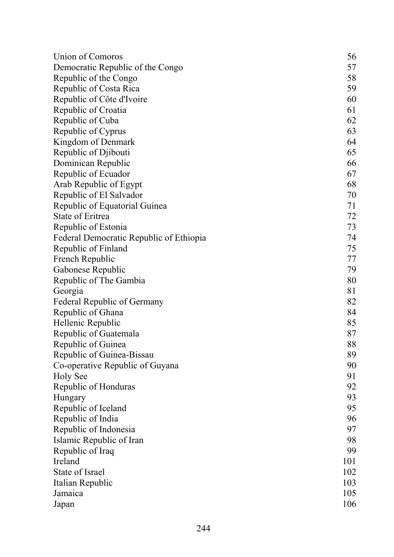| <b>Union of Comoros</b>                 | 56  |
|-----------------------------------------|-----|
| Democratic Republic of the Congo        | 57  |
| Republic of the Congo                   | 58  |
| Republic of Costa Rica                  | 59  |
| Republic of Côte d'Ivoire               | 60  |
| Republic of Croatia                     | 61  |
| Republic of Cuba                        | 62  |
| Republic of Cyprus                      | 63  |
| Kingdom of Denmark                      | 64  |
| Republic of Djibouti                    | 65  |
| Dominican Republic                      | 66  |
| Republic of Ecuador                     | 67  |
| Arab Republic of Egypt                  | 68  |
| Republic of El Salvador                 | 70  |
| Republic of Equatorial Guinea           | 71  |
| State of Eritrea                        | 72  |
| Republic of Estonia                     | 73  |
| Federal Democratic Republic of Ethiopia | 74  |
| Republic of Finland                     | 75  |
| French Republic                         | 77  |
| Gabonese Republic                       | 79  |
| Republic of The Gambia                  | 80  |
| Georgia                                 | 81  |
| <b>Federal Republic of Germany</b>      | 82  |
| Republic of Ghana                       | 84  |
| Hellenic Republic                       | 85  |
| Republic of Guatemala                   | 87  |
| Republic of Guinea                      | 88  |
| Republic of Guinea-Bissau               | 89  |
| Co-operative Republic of Guyana         | 90  |
| <b>Holy See</b>                         | 91  |
| Republic of Honduras                    | 92  |
| Hungary                                 | 93  |
| Republic of Iceland                     | 95  |
| Republic of India                       | 96  |
| Republic of Indonesia                   | 97  |
| Islamic Republic of Iran                | 98  |
| Republic of Iraq                        | 99  |
| Ireland                                 | 101 |
| State of Israel                         | 102 |
| Italian Republic                        | 103 |
| Jamaica                                 | 105 |
| Japan                                   | 106 |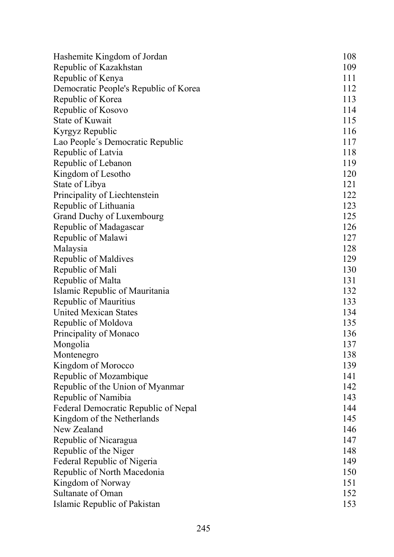| Hashemite Kingdom of Jordan           | 108 |
|---------------------------------------|-----|
| Republic of Kazakhstan                | 109 |
| Republic of Kenya                     | 111 |
| Democratic People's Republic of Korea | 112 |
| Republic of Korea                     | 113 |
| Republic of Kosovo                    | 114 |
| <b>State of Kuwait</b>                | 115 |
| Kyrgyz Republic                       | 116 |
| Lao People's Democratic Republic      | 117 |
| Republic of Latvia                    | 118 |
| Republic of Lebanon                   | 119 |
| Kingdom of Lesotho                    | 120 |
| State of Libya                        | 121 |
| Principality of Liechtenstein         | 122 |
| Republic of Lithuania                 | 123 |
| <b>Grand Duchy of Luxembourg</b>      | 125 |
| Republic of Madagascar                | 126 |
| Republic of Malawi                    | 127 |
| Malaysia                              | 128 |
| Republic of Maldives                  | 129 |
| Republic of Mali                      | 130 |
| Republic of Malta                     | 131 |
| Islamic Republic of Mauritania        | 132 |
| Republic of Mauritius                 | 133 |
| <b>United Mexican States</b>          | 134 |
| Republic of Moldova                   | 135 |
| Principality of Monaco                | 136 |
| Mongolia                              | 137 |
| Montenegro                            | 138 |
| Kingdom of Morocco                    | 139 |
| Republic of Mozambique                | 141 |
| Republic of the Union of Myanmar      | 142 |
| Republic of Namibia                   | 143 |
| Federal Democratic Republic of Nepal  | 144 |
| Kingdom of the Netherlands            | 145 |
| New Zealand                           | 146 |
| Republic of Nicaragua                 | 147 |
| Republic of the Niger                 | 148 |
| Federal Republic of Nigeria           | 149 |
| Republic of North Macedonia           | 150 |
| Kingdom of Norway                     | 151 |
| Sultanate of Oman                     | 152 |
| Islamic Republic of Pakistan          | 153 |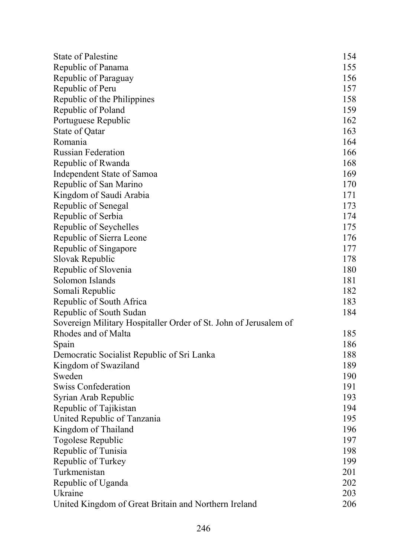| <b>State of Palestine</b>                                        | 154 |
|------------------------------------------------------------------|-----|
| Republic of Panama                                               | 155 |
| Republic of Paraguay                                             | 156 |
| Republic of Peru                                                 | 157 |
| Republic of the Philippines                                      | 158 |
| Republic of Poland                                               | 159 |
| Portuguese Republic                                              | 162 |
| State of Qatar                                                   | 163 |
| Romania                                                          | 164 |
| <b>Russian Federation</b>                                        | 166 |
| Republic of Rwanda                                               | 168 |
| Independent State of Samoa                                       | 169 |
| Republic of San Marino                                           | 170 |
| Kingdom of Saudi Arabia                                          | 171 |
| Republic of Senegal                                              | 173 |
| Republic of Serbia                                               | 174 |
| Republic of Seychelles                                           | 175 |
| Republic of Sierra Leone                                         | 176 |
| Republic of Singapore                                            | 177 |
| Slovak Republic                                                  | 178 |
| Republic of Slovenia                                             | 180 |
| Solomon Islands                                                  | 181 |
| Somali Republic                                                  | 182 |
| Republic of South Africa                                         | 183 |
| Republic of South Sudan                                          | 184 |
| Sovereign Military Hospitaller Order of St. John of Jerusalem of |     |
| Rhodes and of Malta                                              | 185 |
| Spain                                                            | 186 |
| Democratic Socialist Republic of Sri Lanka                       | 188 |
| Kingdom of Swaziland                                             | 189 |
| Sweden                                                           | 190 |
| <b>Swiss Confederation</b>                                       | 191 |
| Syrian Arab Republic                                             | 193 |
| Republic of Tajikistan                                           | 194 |
| United Republic of Tanzania                                      | 195 |
| Kingdom of Thailand                                              | 196 |
| Togolese Republic                                                | 197 |
| Republic of Tunisia                                              | 198 |
| Republic of Turkey                                               | 199 |
| Turkmenistan                                                     | 201 |
| Republic of Uganda                                               | 202 |
| Ukraine                                                          | 203 |
| United Kingdom of Great Britain and Northern Ireland             | 206 |